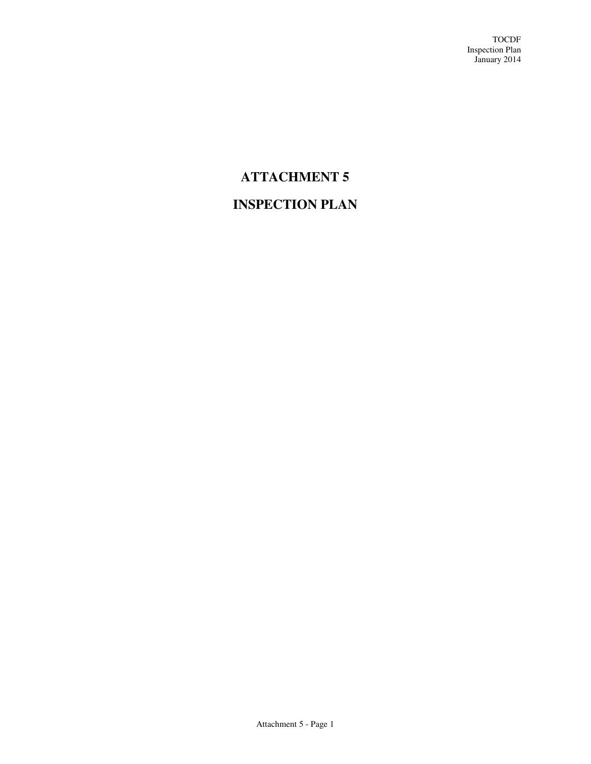# **ATTACHMENT 5**

# **INSPECTION PLAN**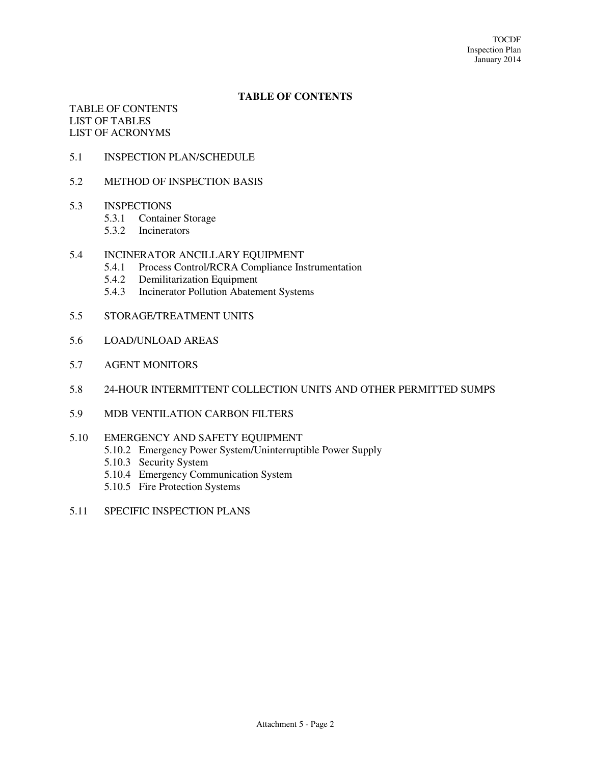## **TABLE OF CONTENTS**

TABLE OF CONTENTS LIST OF TABLES LIST OF ACRONYMS

- 5.1 INSPECTION PLAN/SCHEDULE
- 5.2 METHOD OF INSPECTION BASIS
- 5.3 INSPECTIONS
	- 5.3.1 Container Storage
	- 5.3.2 Incinerators
- 5.4 INCINERATOR ANCILLARY EQUIPMENT
	- 5.4.1 Process Control/RCRA Compliance Instrumentation
	- 5.4.2 Demilitarization Equipment
	- 5.4.3 Incinerator Pollution Abatement Systems
- 5.5 STORAGE/TREATMENT UNITS
- 5.6 LOAD/UNLOAD AREAS
- 5.7 AGENT MONITORS
- 5.8 24-HOUR INTERMITTENT COLLECTION UNITS AND OTHER PERMITTED SUMPS
- 5.9 MDB VENTILATION CARBON FILTERS
- 5.10 EMERGENCY AND SAFETY EQUIPMENT
	- 5.10.2 Emergency Power System/Uninterruptible Power Supply
	- 5.10.3 Security System
	- 5.10.4 Emergency Communication System
	- 5.10.5 Fire Protection Systems
- 5.11 SPECIFIC INSPECTION PLANS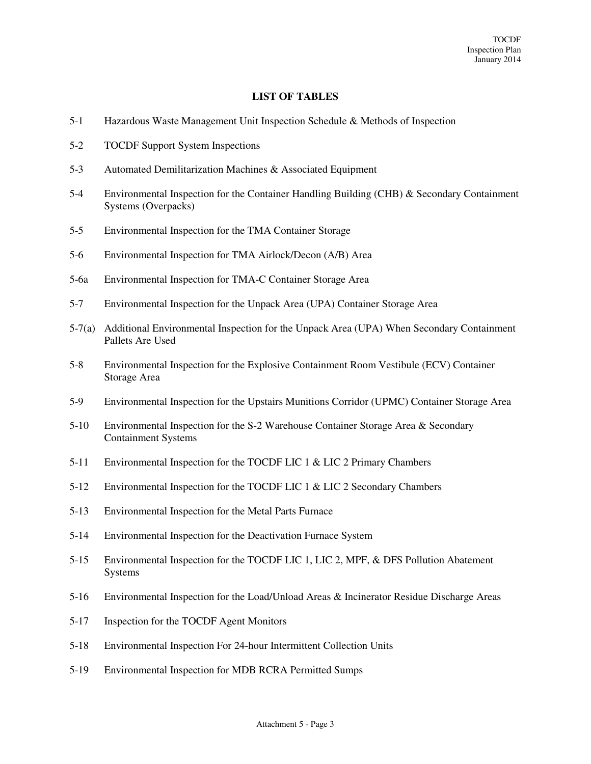## **LIST OF TABLES**

- 5-1 Hazardous Waste Management Unit Inspection Schedule & Methods of Inspection
- 5-2 TOCDF Support System Inspections
- 5-3 Automated Demilitarization Machines & Associated Equipment
- 5-4 Environmental Inspection for the Container Handling Building (CHB) & Secondary Containment Systems (Overpacks)
- 5-5 Environmental Inspection for the TMA Container Storage
- 5-6 Environmental Inspection for TMA Airlock/Decon (A/B) Area
- 5-6a Environmental Inspection for TMA-C Container Storage Area
- 5-7 Environmental Inspection for the Unpack Area (UPA) Container Storage Area
- 5-7(a) Additional Environmental Inspection for the Unpack Area (UPA) When Secondary Containment Pallets Are Used
- 5-8 Environmental Inspection for the Explosive Containment Room Vestibule (ECV) Container Storage Area
- 5-9 Environmental Inspection for the Upstairs Munitions Corridor (UPMC) Container Storage Area
- 5-10 Environmental Inspection for the S-2 Warehouse Container Storage Area & Secondary Containment Systems
- 5-11 Environmental Inspection for the TOCDF LIC 1 & LIC 2 Primary Chambers
- 5-12 Environmental Inspection for the TOCDF LIC 1 & LIC 2 Secondary Chambers
- 5-13 Environmental Inspection for the Metal Parts Furnace
- 5-14 Environmental Inspection for the Deactivation Furnace System
- 5-15 Environmental Inspection for the TOCDF LIC 1, LIC 2, MPF, & DFS Pollution Abatement Systems
- 5-16 Environmental Inspection for the Load/Unload Areas & Incinerator Residue Discharge Areas
- 5-17 Inspection for the TOCDF Agent Monitors
- 5-18 Environmental Inspection For 24-hour Intermittent Collection Units
- 5-19 Environmental Inspection for MDB RCRA Permitted Sumps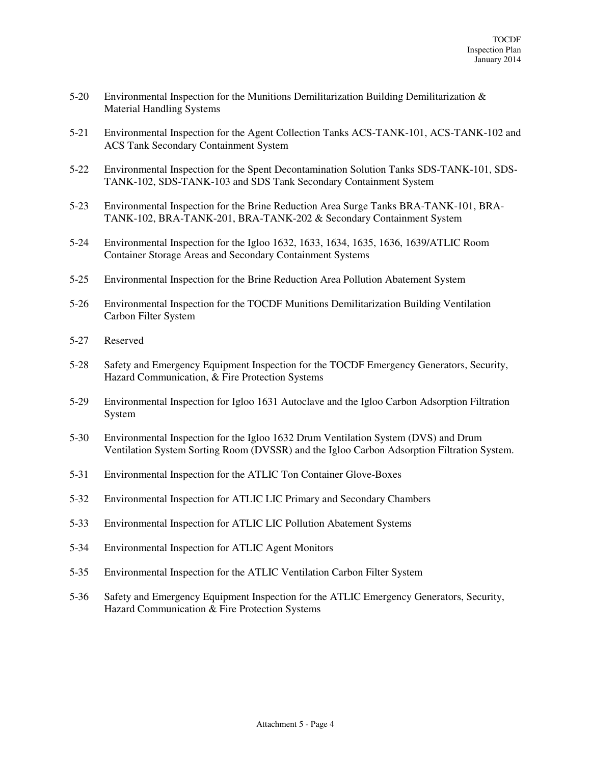- 5-20 Environmental Inspection for the Munitions Demilitarization Building Demilitarization & Material Handling Systems
- 5-21 Environmental Inspection for the Agent Collection Tanks ACS-TANK-101, ACS-TANK-102 and ACS Tank Secondary Containment System
- 5-22 Environmental Inspection for the Spent Decontamination Solution Tanks SDS-TANK-101, SDS-TANK-102, SDS-TANK-103 and SDS Tank Secondary Containment System
- 5-23 Environmental Inspection for the Brine Reduction Area Surge Tanks BRA-TANK-101, BRA-TANK-102, BRA-TANK-201, BRA-TANK-202 & Secondary Containment System
- 5-24 Environmental Inspection for the Igloo 1632, 1633, 1634, 1635, 1636, 1639/ATLIC Room Container Storage Areas and Secondary Containment Systems
- 5-25 Environmental Inspection for the Brine Reduction Area Pollution Abatement System
- 5-26 Environmental Inspection for the TOCDF Munitions Demilitarization Building Ventilation Carbon Filter System
- 5-27 Reserved
- 5-28 Safety and Emergency Equipment Inspection for the TOCDF Emergency Generators, Security, Hazard Communication, & Fire Protection Systems
- 5-29 Environmental Inspection for Igloo 1631 Autoclave and the Igloo Carbon Adsorption Filtration System
- 5-30 Environmental Inspection for the Igloo 1632 Drum Ventilation System (DVS) and Drum Ventilation System Sorting Room (DVSSR) and the Igloo Carbon Adsorption Filtration System.
- 5-31 Environmental Inspection for the ATLIC Ton Container Glove-Boxes
- 5-32 Environmental Inspection for ATLIC LIC Primary and Secondary Chambers
- 5-33 Environmental Inspection for ATLIC LIC Pollution Abatement Systems
- 5-34 Environmental Inspection for ATLIC Agent Monitors
- 5-35 Environmental Inspection for the ATLIC Ventilation Carbon Filter System
- 5-36 Safety and Emergency Equipment Inspection for the ATLIC Emergency Generators, Security, Hazard Communication & Fire Protection Systems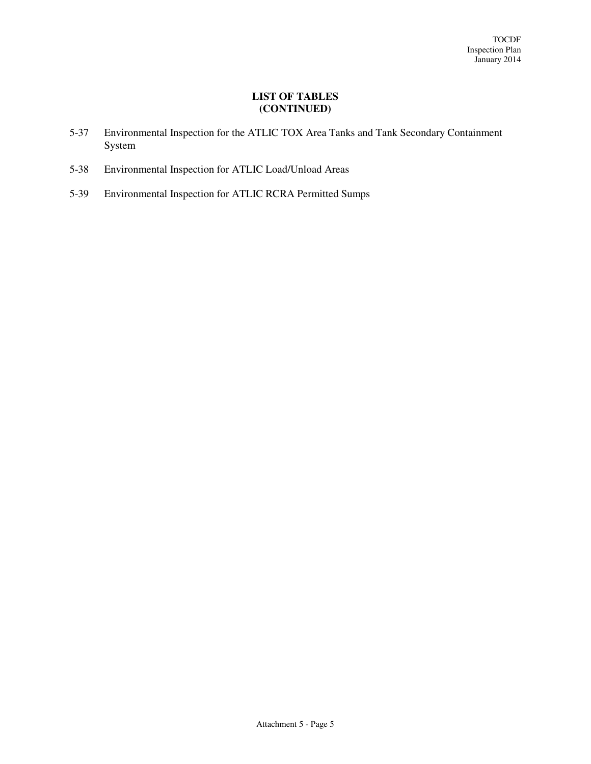## **LIST OF TABLES (CONTINUED)**

- 5-37 Environmental Inspection for the ATLIC TOX Area Tanks and Tank Secondary Containment System
- 5-38 Environmental Inspection for ATLIC Load/Unload Areas
- 5-39 Environmental Inspection for ATLIC RCRA Permitted Sumps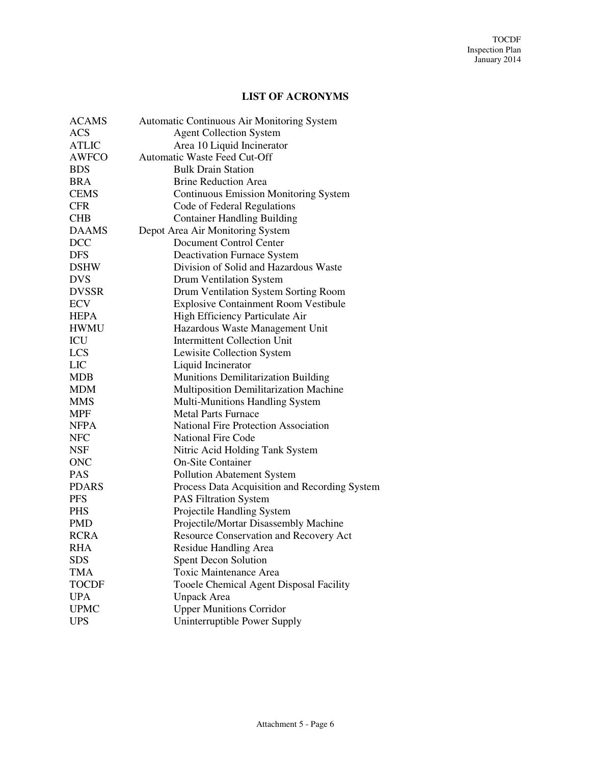## **LIST OF ACRONYMS**

| <b>ACAMS</b> | Automatic Continuous Air Monitoring System    |
|--------------|-----------------------------------------------|
| <b>ACS</b>   | <b>Agent Collection System</b>                |
| <b>ATLIC</b> | Area 10 Liquid Incinerator                    |
| <b>AWFCO</b> | Automatic Waste Feed Cut-Off                  |
| <b>BDS</b>   | <b>Bulk Drain Station</b>                     |
| <b>BRA</b>   | <b>Brine Reduction Area</b>                   |
| <b>CEMS</b>  | <b>Continuous Emission Monitoring System</b>  |
| <b>CFR</b>   | Code of Federal Regulations                   |
| <b>CHB</b>   | <b>Container Handling Building</b>            |
| <b>DAAMS</b> | Depot Area Air Monitoring System              |
| <b>DCC</b>   | Document Control Center                       |
| <b>DFS</b>   | <b>Deactivation Furnace System</b>            |
| <b>DSHW</b>  | Division of Solid and Hazardous Waste         |
| <b>DVS</b>   | Drum Ventilation System                       |
| <b>DVSSR</b> | Drum Ventilation System Sorting Room          |
| <b>ECV</b>   | <b>Explosive Containment Room Vestibule</b>   |
| <b>HEPA</b>  | High Efficiency Particulate Air               |
| <b>HWMU</b>  | Hazardous Waste Management Unit               |
| ICU          | <b>Intermittent Collection Unit</b>           |
| <b>LCS</b>   | Lewisite Collection System                    |
| <b>LIC</b>   | Liquid Incinerator                            |
| <b>MDB</b>   | Munitions Demilitarization Building           |
| <b>MDM</b>   | Multiposition Demilitarization Machine        |
| <b>MMS</b>   | Multi-Munitions Handling System               |
| <b>MPF</b>   | <b>Metal Parts Furnace</b>                    |
| <b>NFPA</b>  | <b>National Fire Protection Association</b>   |
| <b>NFC</b>   | <b>National Fire Code</b>                     |
| <b>NSF</b>   | Nitric Acid Holding Tank System               |
| <b>ONC</b>   | <b>On-Site Container</b>                      |
| <b>PAS</b>   | <b>Pollution Abatement System</b>             |
| <b>PDARS</b> | Process Data Acquisition and Recording System |
| <b>PFS</b>   | <b>PAS Filtration System</b>                  |
| <b>PHS</b>   | Projectile Handling System                    |
| <b>PMD</b>   | Projectile/Mortar Disassembly Machine         |
| <b>RCRA</b>  | Resource Conservation and Recovery Act        |
| <b>RHA</b>   | Residue Handling Area                         |
| SDS          | <b>Spent Decon Solution</b>                   |
| <b>TMA</b>   | Toxic Maintenance Area                        |
| <b>TOCDF</b> | Tooele Chemical Agent Disposal Facility       |
| <b>UPA</b>   | <b>Unpack Area</b>                            |
| <b>UPMC</b>  | <b>Upper Munitions Corridor</b>               |
| <b>UPS</b>   | Uninterruptible Power Supply                  |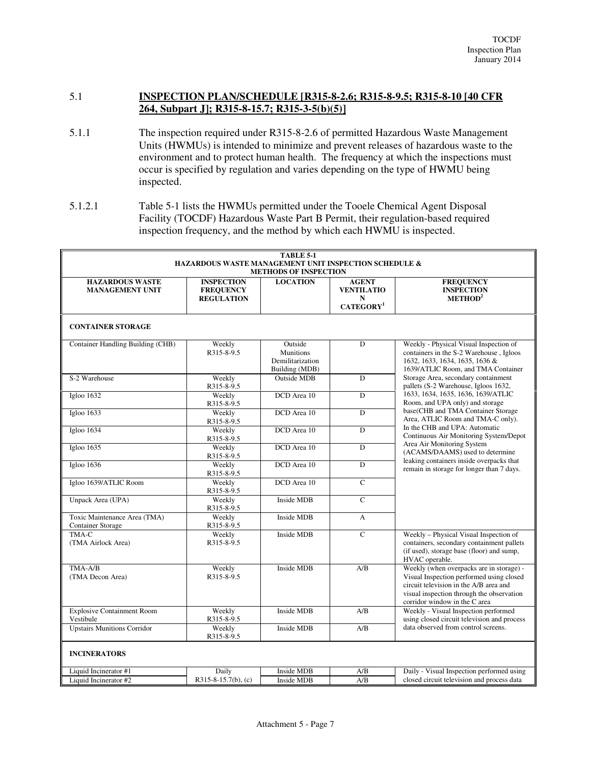## 5.1 **INSPECTION PLAN/SCHEDULE [R315-8-2.6; R315-8-9.5; R315-8-10 [40 CFR 264, Subpart J]; R315-8-15.7; R315-3-5(b)(5)]**

- 5.1.1 The inspection required under R315-8-2.6 of permitted Hazardous Waste Management Units (HWMUs) is intended to minimize and prevent releases of hazardous waste to the environment and to protect human health. The frequency at which the inspections must occur is specified by regulation and varies depending on the type of HWMU being inspected.
- 5.1.2.1 Table 5-1 lists the HWMUs permitted under the Tooele Chemical Agent Disposal Facility (TOCDF) Hazardous Waste Part B Permit, their regulation-based required inspection frequency, and the method by which each HWMU is inspected.

| <b>TABLE 5-1</b><br><b>HAZARDOUS WASTE MANAGEMENT UNIT INSPECTION SCHEDULE &amp;</b><br><b>METHODS OF INSPECTION</b> |                                                            |                                                                   |                                                                 |                                                                                                                                                                                                              |
|----------------------------------------------------------------------------------------------------------------------|------------------------------------------------------------|-------------------------------------------------------------------|-----------------------------------------------------------------|--------------------------------------------------------------------------------------------------------------------------------------------------------------------------------------------------------------|
| <b>HAZARDOUS WASTE</b><br><b>MANAGEMENT UNIT</b>                                                                     | <b>INSPECTION</b><br><b>FREQUENCY</b><br><b>REGULATION</b> | <b>LOCATION</b>                                                   | <b>AGENT</b><br><b>VENTILATIO</b><br>N<br>CATEGORY <sup>1</sup> | <b>FREQUENCY</b><br><b>INSPECTION</b><br>METHOD <sup>2</sup>                                                                                                                                                 |
| <b>CONTAINER STORAGE</b>                                                                                             |                                                            |                                                                   |                                                                 |                                                                                                                                                                                                              |
| Container Handling Building (CHB)                                                                                    | Weekly<br>R315-8-9.5                                       | Outside<br><b>Munitions</b><br>Demilitarization<br>Building (MDB) | D                                                               | Weekly - Physical Visual Inspection of<br>containers in the S-2 Warehouse, Igloos<br>1632, 1633, 1634, 1635, 1636 &<br>1639/ATLIC Room, and TMA Container                                                    |
| S-2 Warehouse                                                                                                        | Weekly<br>R315-8-9.5                                       | <b>Outside MDB</b>                                                | D                                                               | Storage Area, secondary containment<br>pallets (S-2 Warehouse, Igloos 1632,                                                                                                                                  |
| Igloo 1632                                                                                                           | Weekly<br>R315-8-9.5                                       | DCD Area 10                                                       | $\overline{D}$                                                  | 1633, 1634, 1635, 1636, 1639/ATLIC<br>Room, and UPA only) and storage                                                                                                                                        |
| Igloo 1633                                                                                                           | Weekly<br>R315-8-9.5                                       | DCD Area 10                                                       | D                                                               | base(CHB and TMA Container Storage<br>Area, ATLIC Room and TMA-C only).                                                                                                                                      |
| Igloo 1634                                                                                                           | Weekly<br>R315-8-9.5                                       | DCD Area 10                                                       | $\overline{D}$                                                  | In the CHB and UPA: Automatic<br>Continuous Air Monitoring System/Depot                                                                                                                                      |
| Igloo 1635                                                                                                           | Weekly<br>R315-8-9.5                                       | DCD Area 10                                                       | $\overline{D}$                                                  | Area Air Monitoring System<br>(ACAMS/DAAMS) used to determine<br>leaking containers inside overpacks that                                                                                                    |
| Igloo 1636                                                                                                           | Weekly<br>R315-8-9.5                                       | DCD Area 10                                                       | $\overline{D}$                                                  | remain in storage for longer than 7 days.                                                                                                                                                                    |
| Igloo 1639/ATLIC Room                                                                                                | Weekly<br>R315-8-9.5                                       | DCD Area 10                                                       | $\overline{C}$                                                  |                                                                                                                                                                                                              |
| Unpack Area (UPA)                                                                                                    | Weekly<br>R315-8-9.5                                       | Inside MDB                                                        | $\mathsf{C}$                                                    |                                                                                                                                                                                                              |
| Toxic Maintenance Area (TMA)<br><b>Container Storage</b>                                                             | Weekly<br>R315-8-9.5                                       | Inside MDB                                                        | $\mathbf{A}$                                                    |                                                                                                                                                                                                              |
| $TMA-C$<br>(TMA Airlock Area)                                                                                        | Weekly<br>R315-8-9.5                                       | <b>Inside MDB</b>                                                 | $\overline{C}$                                                  | Weekly - Physical Visual Inspection of<br>containers, secondary containment pallets<br>(if used), storage base (floor) and sump,<br>HVAC operable.                                                           |
| TMA-A/B<br>(TMA Decon Area)                                                                                          | Weekly<br>R315-8-9.5                                       | <b>Inside MDB</b>                                                 | A/B                                                             | Weekly (when overpacks are in storage) -<br>Visual Inspection performed using closed<br>circuit television in the A/B area and<br>visual inspection through the observation<br>corridor window in the C area |
| <b>Explosive Containment Room</b><br>Vestibule                                                                       | Weekly<br>R315-8-9.5                                       | Inside MDB                                                        | A/B                                                             | Weekly - Visual Inspection performed<br>using closed circuit television and process                                                                                                                          |
| <b>Upstairs Munitions Corridor</b>                                                                                   | Weekly<br>R315-8-9.5                                       | <b>Inside MDB</b>                                                 | A/B                                                             | data observed from control screens.                                                                                                                                                                          |
| <b>INCINERATORS</b>                                                                                                  |                                                            |                                                                   |                                                                 |                                                                                                                                                                                                              |
| Liquid Incinerator #1                                                                                                | Daily                                                      | <b>Inside MDB</b>                                                 | A/B                                                             | Daily - Visual Inspection performed using                                                                                                                                                                    |
| Liquid Incinerator #2                                                                                                | $R315-8-15.7(b)$ , (c)                                     | Inside MDB                                                        | A/B                                                             | closed circuit television and process data                                                                                                                                                                   |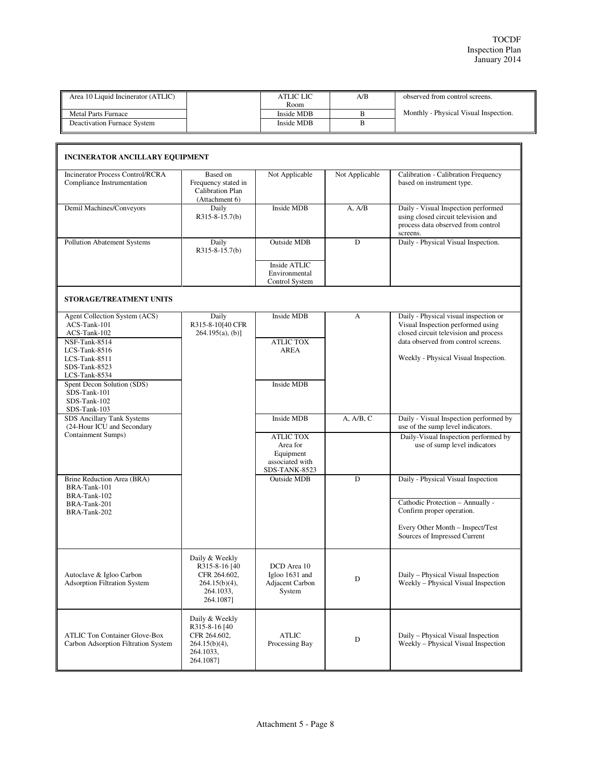| Area 10 Liquid Incinerator (ATLIC) | ATLIC LIC  | A/B | observed from control screens.        |
|------------------------------------|------------|-----|---------------------------------------|
|                                    | Room       |     |                                       |
| <b>Metal Parts Furnace</b>         | Inside MDB |     | Monthly - Physical Visual Inspection. |
| Deactivation Furnace System        | Inside MDB |     |                                       |
|                                    |            |     |                                       |

| <b>Incinerator Process Control/RCRA</b><br>Compliance Instrumentation          | Based on<br>Frequency stated in<br>Calibration Plan<br>(Attachment 6)                         | Not Applicable                                                                | Not Applicable | Calibration - Calibration Frequency<br>based on instrument type.                                                                                           |
|--------------------------------------------------------------------------------|-----------------------------------------------------------------------------------------------|-------------------------------------------------------------------------------|----------------|------------------------------------------------------------------------------------------------------------------------------------------------------------|
| Demil Machines/Conveyors                                                       | Daily<br>$R315-8-15.7(b)$                                                                     | Inside MDB                                                                    | A, A/B         | Daily - Visual Inspection performed<br>using closed circuit television and<br>process data observed from control<br>screens.                               |
| Pollution Abatement Systems                                                    | Daily<br>$R315-8-15.7(b)$                                                                     | <b>Outside MDB</b><br>Inside ATLIC                                            | D              | Daily - Physical Visual Inspection.                                                                                                                        |
|                                                                                |                                                                                               | Environmental<br>Control System                                               |                |                                                                                                                                                            |
| STORAGE/TREATMENT UNITS                                                        |                                                                                               |                                                                               |                |                                                                                                                                                            |
| Agent Collection System (ACS)<br>ACS-Tank-101<br>ACS-Tank-102<br>NSF-Tank-8514 | Daily<br>R315-8-10[40 CFR<br>$264.195(a)$ , (b)]                                              | Inside MDB<br><b>ATLIC TOX</b>                                                | A              | Daily - Physical visual inspection or<br>Visual Inspection performed using<br>closed circuit television and process<br>data observed from control screens. |
| LCS-Tank-8516<br>LCS-Tank-8511<br>SDS-Tank-8523<br>LCS-Tank-8534               |                                                                                               | <b>AREA</b>                                                                   |                | Weekly - Physical Visual Inspection.                                                                                                                       |
| Spent Decon Solution (SDS)<br>SDS-Tank-101<br>SDS-Tank-102<br>SDS-Tank-103     |                                                                                               | Inside MDB                                                                    |                |                                                                                                                                                            |
| SDS Ancillary Tank Systems<br>(24-Hour ICU and Secondary                       |                                                                                               | Inside MDB                                                                    | A, A/B, C      | Daily - Visual Inspection performed by<br>use of the sump level indicators.                                                                                |
| Containment Sumps)                                                             |                                                                                               | <b>ATLIC TOX</b><br>Area for<br>Equipment<br>associated with<br>SDS-TANK-8523 |                | Daily-Visual Inspection performed by<br>use of sump level indicators                                                                                       |
| Brine Reduction Area (BRA)<br>BRA-Tank-101<br>BRA-Tank-102                     |                                                                                               | <b>Outside MDB</b>                                                            | D              | Daily - Physical Visual Inspection                                                                                                                         |
| BRA-Tank-201<br>BRA-Tank-202                                                   |                                                                                               |                                                                               |                | Cathodic Protection - Annually -<br>Confirm proper operation.                                                                                              |
|                                                                                |                                                                                               |                                                                               |                | Every Other Month - Inspect/Test<br>Sources of Impressed Current                                                                                           |
| Autoclave & Igloo Carbon<br><b>Adsorption Filtration System</b>                | Daily & Weekly<br>R315-8-16 [40<br>CFR 264.602,<br>$264.15(b)(4)$ ,<br>264.1033,<br>264.1087] | DCD Area 10<br>Igloo 1631 and<br>Adjacent Carbon<br>System                    | D              | Daily – Physical Visual Inspection<br>Weekly – Physical Visual Inspection                                                                                  |
| <b>ATLIC Ton Container Glove-Box</b><br>Carbon Adsorption Filtration System    | Daily & Weekly<br>R315-8-16 [40<br>CFR 264.602,<br>$264.15(b)(4)$ ,<br>264.1033,<br>264.1087] | <b>ATLIC</b><br>Processing Bay                                                | D              | Daily – Physical Visual Inspection<br>Weekly - Physical Visual Inspection                                                                                  |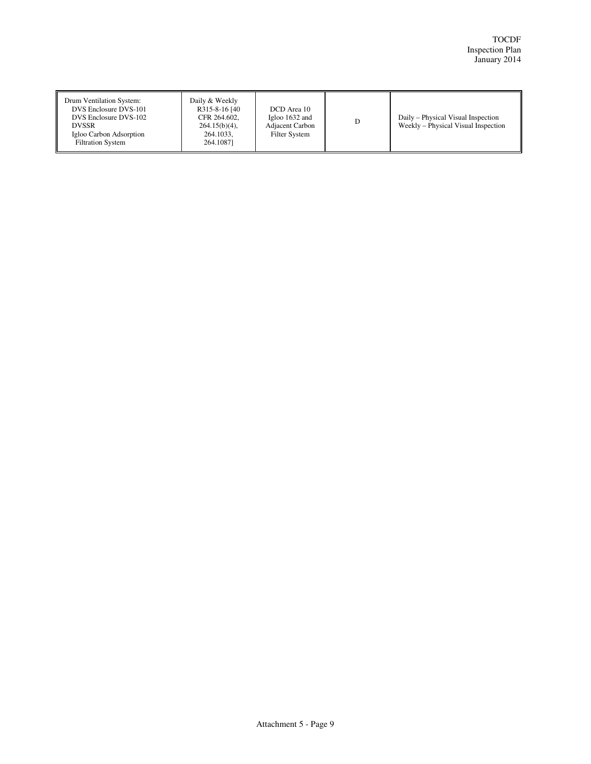| Drum Ventilation System:<br>DVS Enclosure DVS-101<br>DVS Enclosure DVS-102<br><b>DVSSR</b><br>Igloo Carbon Adsorption<br><b>Filtration System</b> | Daily & Weekly<br>R315-8-16 [40]<br>CFR 264.602.<br>$264.15(b)(4)$ ,<br>264.1033,<br>264.10871 | DCD Area 10<br>Igloo $1632$ and<br>Adjacent Carbon<br>Filter System | D | Daily – Physical Visual Inspection<br>Weekly – Physical Visual Inspection |
|---------------------------------------------------------------------------------------------------------------------------------------------------|------------------------------------------------------------------------------------------------|---------------------------------------------------------------------|---|---------------------------------------------------------------------------|
|---------------------------------------------------------------------------------------------------------------------------------------------------|------------------------------------------------------------------------------------------------|---------------------------------------------------------------------|---|---------------------------------------------------------------------------|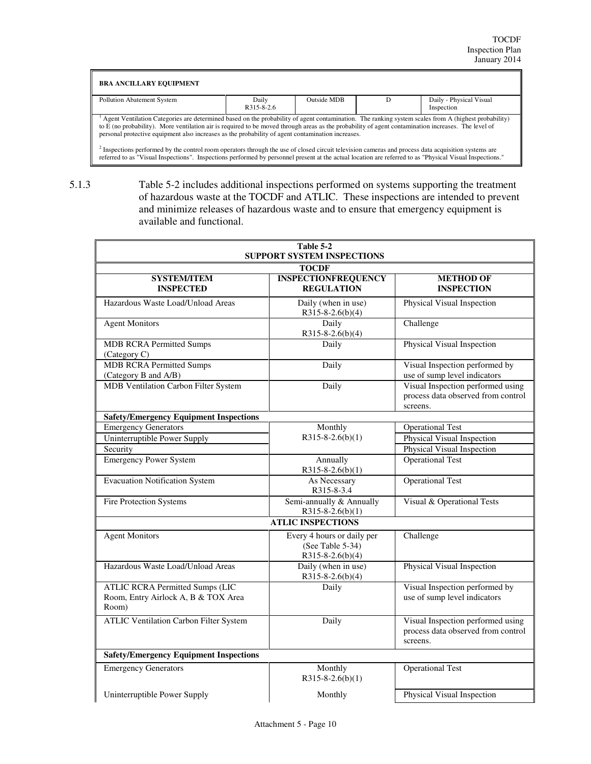| <b>BRA ANCILLARY EQUIPMENT</b>                                                                                                                                                                                                                                                                                                                                                                                  |                           |             |                                       |
|-----------------------------------------------------------------------------------------------------------------------------------------------------------------------------------------------------------------------------------------------------------------------------------------------------------------------------------------------------------------------------------------------------------------|---------------------------|-------------|---------------------------------------|
| Pollution Abatement System                                                                                                                                                                                                                                                                                                                                                                                      | Daily<br>$R315 - 8 - 2.6$ | Outside MDB | Daily - Physical Visual<br>Inspection |
| Agent Ventilation Categories are determined based on the probability of agent contamination. The ranking system scales from A (highest probability)<br>to E (no probability). More ventilation air is required to be moved through areas as the probability of agent contamination increases. The level of<br>personal protective equipment also increases as the probability of agent contamination increases. |                           |             |                                       |
| <sup>2</sup> Inspections performed by the control room operators through the use of closed circuit television cameras and process data acquisition systems are<br>referred to as "Visual Inspections". Inspections performed by personnel present at the actual location are referred to as "Physical Visual Inspections."                                                                                      |                           |             |                                       |

5.1.3 Table 5-2 includes additional inspections performed on systems supporting the treatment of hazardous waste at the TOCDF and ATLIC. These inspections are intended to prevent and minimize releases of hazardous waste and to ensure that emergency equipment is

available and functional.

| Table 5-2<br><b>SUPPORT SYSTEM INSPECTIONS</b>                                         |                                                                          |                                                                                     |  |
|----------------------------------------------------------------------------------------|--------------------------------------------------------------------------|-------------------------------------------------------------------------------------|--|
|                                                                                        | <b>TOCDF</b>                                                             |                                                                                     |  |
| <b>SYSTEM/ITEM</b><br><b>INSPECTED</b>                                                 | <b>INSPECTIONFREQUENCY</b><br><b>REGULATION</b>                          | <b>METHOD OF</b><br><b>INSPECTION</b>                                               |  |
| Hazardous Waste Load/Unload Areas                                                      | Daily (when in use)<br>$R315-8-2.6(b)(4)$                                | Physical Visual Inspection                                                          |  |
| <b>Agent Monitors</b>                                                                  | Daily<br>$R315 - 8 - 2.6(b)(4)$                                          | Challenge                                                                           |  |
| <b>MDB RCRA Permitted Sumps</b><br>(Category C)                                        | Daily                                                                    | Physical Visual Inspection                                                          |  |
| <b>MDB RCRA Permitted Sumps</b><br>(Category B and A/B)                                | Daily                                                                    | Visual Inspection performed by<br>use of sump level indicators                      |  |
| MDB Ventilation Carbon Filter System                                                   | Daily                                                                    | Visual Inspection performed using<br>process data observed from control<br>screens. |  |
| <b>Safety/Emergency Equipment Inspections</b>                                          |                                                                          |                                                                                     |  |
| <b>Emergency Generators</b>                                                            | Monthly                                                                  | <b>Operational Test</b>                                                             |  |
| Uninterruptible Power Supply                                                           | $R315 - 8 - 2.6(b)(1)$                                                   | Physical Visual Inspection                                                          |  |
| Security                                                                               |                                                                          | Physical Visual Inspection                                                          |  |
| <b>Emergency Power System</b>                                                          | Annually<br>$R315 - 8 - 2.6(b)(1)$                                       | <b>Operational Test</b>                                                             |  |
| <b>Evacuation Notification System</b>                                                  | As Necessary<br>R315-8-3.4                                               | <b>Operational Test</b>                                                             |  |
| <b>Fire Protection Systems</b>                                                         | Semi-annually & Annually<br>$R315 - 8 - 2.6(b)(1)$                       | Visual & Operational Tests                                                          |  |
|                                                                                        | <b>ATLIC INSPECTIONS</b>                                                 |                                                                                     |  |
| <b>Agent Monitors</b>                                                                  | Every 4 hours or daily per<br>(See Table 5-34)<br>$R315 - 8 - 2.6(b)(4)$ | Challenge                                                                           |  |
| Hazardous Waste Load/Unload Areas                                                      | Daily (when in use)<br>$R315 - 8 - 2.6(b)(4)$                            | Physical Visual Inspection                                                          |  |
| <b>ATLIC RCRA Permitted Sumps (LIC</b><br>Room, Entry Airlock A, B & TOX Area<br>Room) | Daily                                                                    | Visual Inspection performed by<br>use of sump level indicators                      |  |
| <b>ATLIC Ventilation Carbon Filter System</b>                                          | Daily                                                                    | Visual Inspection performed using<br>process data observed from control<br>screens. |  |
| <b>Safety/Emergency Equipment Inspections</b>                                          |                                                                          |                                                                                     |  |
| <b>Emergency Generators</b>                                                            | Monthly<br>$R315 - 8 - 2.6(b)(1)$                                        | <b>Operational Test</b>                                                             |  |
| Uninterruptible Power Supply                                                           | Monthly                                                                  | Physical Visual Inspection                                                          |  |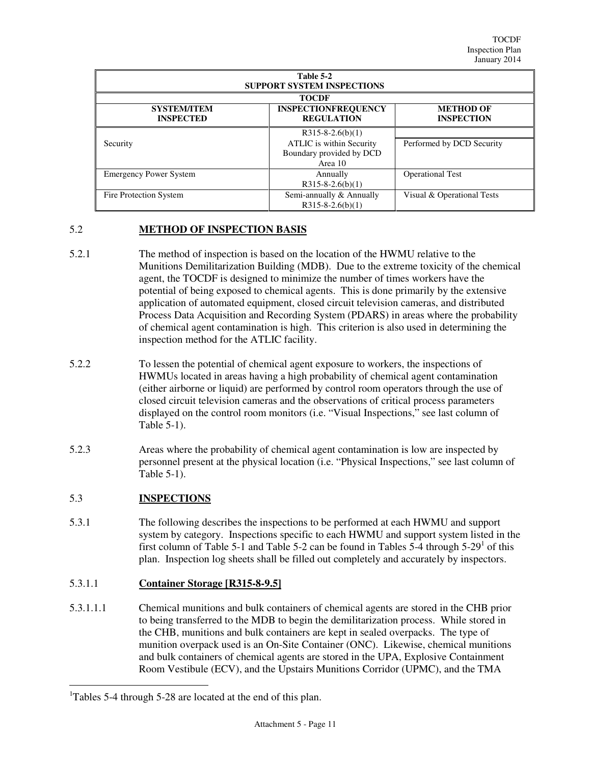| Table 5-2<br><b>SUPPORT SYSTEM INSPECTIONS</b> |                                                                                       |                                       |  |  |
|------------------------------------------------|---------------------------------------------------------------------------------------|---------------------------------------|--|--|
| <b>SYSTEM/ITEM</b><br><b>INSPECTED</b>         | <b>TOCDF</b><br><b>INSPECTIONFREQUENCY</b><br><b>REGULATION</b>                       | <b>METHOD OF</b><br><b>INSPECTION</b> |  |  |
| Security                                       | $R315-8-2.6(b)(1)$<br>ATLIC is within Security<br>Boundary provided by DCD<br>Area 10 | Performed by DCD Security             |  |  |
| <b>Emergency Power System</b>                  | Annually<br>$R315-8-2.6(b)(1)$                                                        | <b>Operational Test</b>               |  |  |
| Fire Protection System                         | Semi-annually & Annually<br>$R315-8-2.6(b)(1)$                                        | Visual & Operational Tests            |  |  |

## 5.2 **METHOD OF INSPECTION BASIS**

- 5.2.1 The method of inspection is based on the location of the HWMU relative to the Munitions Demilitarization Building (MDB). Due to the extreme toxicity of the chemical agent, the TOCDF is designed to minimize the number of times workers have the potential of being exposed to chemical agents. This is done primarily by the extensive application of automated equipment, closed circuit television cameras, and distributed Process Data Acquisition and Recording System (PDARS) in areas where the probability of chemical agent contamination is high. This criterion is also used in determining the inspection method for the ATLIC facility.
- 5.2.2 To lessen the potential of chemical agent exposure to workers, the inspections of HWMUs located in areas having a high probability of chemical agent contamination (either airborne or liquid) are performed by control room operators through the use of closed circuit television cameras and the observations of critical process parameters displayed on the control room monitors (i.e. "Visual Inspections," see last column of Table 5-1).
- 5.2.3 Areas where the probability of chemical agent contamination is low are inspected by personnel present at the physical location (i.e. "Physical Inspections," see last column of Table  $5-1$ ).

## 5.3 **INSPECTIONS**

 $\overline{a}$ 

5.3.1 The following describes the inspections to be performed at each HWMU and support system by category. Inspections specific to each HWMU and support system listed in the first column of Table 5-1 and Table 5-2 can be found in Tables 5-4 through  $5-29^1$  of this plan. Inspection log sheets shall be filled out completely and accurately by inspectors.

## 5.3.1.1 **Container Storage [R315-8-9.5]**

5.3.1.1.1 Chemical munitions and bulk containers of chemical agents are stored in the CHB prior to being transferred to the MDB to begin the demilitarization process. While stored in the CHB, munitions and bulk containers are kept in sealed overpacks. The type of munition overpack used is an On-Site Container (ONC). Likewise, chemical munitions and bulk containers of chemical agents are stored in the UPA, Explosive Containment Room Vestibule (ECV), and the Upstairs Munitions Corridor (UPMC), and the TMA

<sup>&</sup>lt;sup>1</sup>Tables 5-4 through 5-28 are located at the end of this plan.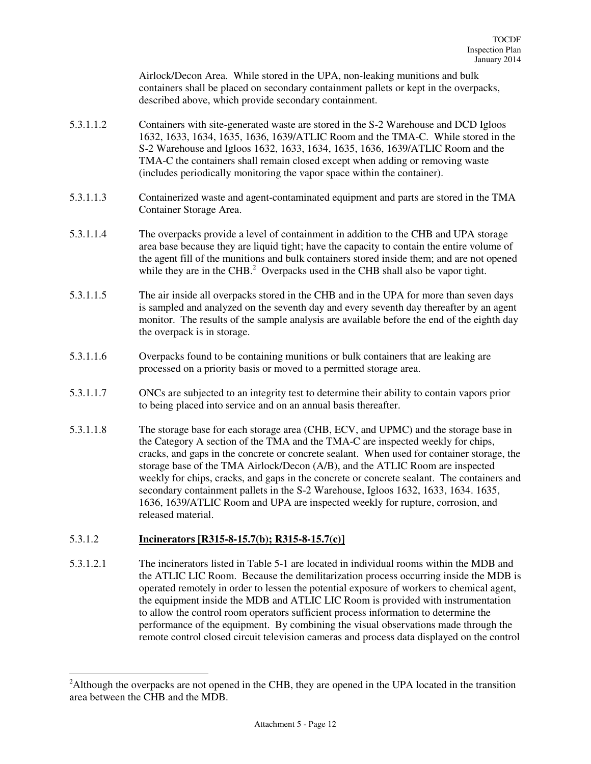Airlock/Decon Area. While stored in the UPA, non-leaking munitions and bulk containers shall be placed on secondary containment pallets or kept in the overpacks, described above, which provide secondary containment.

- 5.3.1.1.2 Containers with site-generated waste are stored in the S-2 Warehouse and DCD Igloos 1632, 1633, 1634, 1635, 1636, 1639/ATLIC Room and the TMA-C. While stored in the S-2 Warehouse and Igloos 1632, 1633, 1634, 1635, 1636, 1639/ATLIC Room and the TMA-C the containers shall remain closed except when adding or removing waste (includes periodically monitoring the vapor space within the container).
- 5.3.1.1.3 Containerized waste and agent-contaminated equipment and parts are stored in the TMA Container Storage Area.
- 5.3.1.1.4 The overpacks provide a level of containment in addition to the CHB and UPA storage area base because they are liquid tight; have the capacity to contain the entire volume of the agent fill of the munitions and bulk containers stored inside them; and are not opened while they are in the CHB. $<sup>2</sup>$  Overpacks used in the CHB shall also be vapor tight.</sup>
- 5.3.1.1.5 The air inside all overpacks stored in the CHB and in the UPA for more than seven days is sampled and analyzed on the seventh day and every seventh day thereafter by an agent monitor. The results of the sample analysis are available before the end of the eighth day the overpack is in storage.
- 5.3.1.1.6 Overpacks found to be containing munitions or bulk containers that are leaking are processed on a priority basis or moved to a permitted storage area.
- 5.3.1.1.7 ONCs are subjected to an integrity test to determine their ability to contain vapors prior to being placed into service and on an annual basis thereafter.
- 5.3.1.1.8 The storage base for each storage area (CHB, ECV, and UPMC) and the storage base in the Category A section of the TMA and the TMA-C are inspected weekly for chips, cracks, and gaps in the concrete or concrete sealant. When used for container storage, the storage base of the TMA Airlock/Decon (A/B), and the ATLIC Room are inspected weekly for chips, cracks, and gaps in the concrete or concrete sealant. The containers and secondary containment pallets in the S-2 Warehouse, Igloos 1632, 1633, 1634. 1635, 1636, 1639/ATLIC Room and UPA are inspected weekly for rupture, corrosion, and released material.

## 5.3.1.2 **Incinerators [R315-8-15.7(b); R315-8-15.7(c)]**

 $\overline{a}$ 

5.3.1.2.1 The incinerators listed in Table 5-1 are located in individual rooms within the MDB and the ATLIC LIC Room. Because the demilitarization process occurring inside the MDB is operated remotely in order to lessen the potential exposure of workers to chemical agent, the equipment inside the MDB and ATLIC LIC Room is provided with instrumentation to allow the control room operators sufficient process information to determine the performance of the equipment. By combining the visual observations made through the remote control closed circuit television cameras and process data displayed on the control

<sup>&</sup>lt;sup>2</sup>Although the overpacks are not opened in the CHB, they are opened in the UPA located in the transition area between the CHB and the MDB.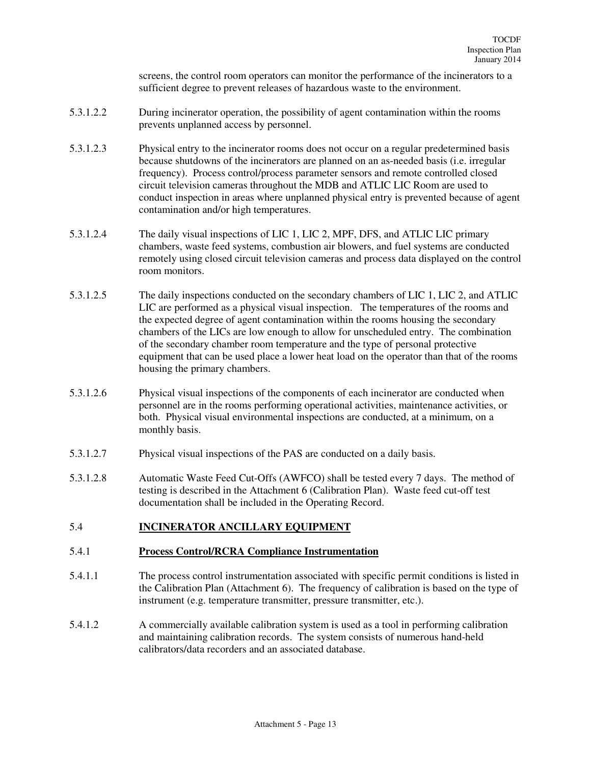screens, the control room operators can monitor the performance of the incinerators to a sufficient degree to prevent releases of hazardous waste to the environment.

- 5.3.1.2.2 During incinerator operation, the possibility of agent contamination within the rooms prevents unplanned access by personnel.
- 5.3.1.2.3 Physical entry to the incinerator rooms does not occur on a regular predetermined basis because shutdowns of the incinerators are planned on an as-needed basis (i.e. irregular frequency). Process control/process parameter sensors and remote controlled closed circuit television cameras throughout the MDB and ATLIC LIC Room are used to conduct inspection in areas where unplanned physical entry is prevented because of agent contamination and/or high temperatures.
- 5.3.1.2.4 The daily visual inspections of LIC 1, LIC 2, MPF, DFS, and ATLIC LIC primary chambers, waste feed systems, combustion air blowers, and fuel systems are conducted remotely using closed circuit television cameras and process data displayed on the control room monitors.
- 5.3.1.2.5 The daily inspections conducted on the secondary chambers of LIC 1, LIC 2, and ATLIC LIC are performed as a physical visual inspection. The temperatures of the rooms and the expected degree of agent contamination within the rooms housing the secondary chambers of the LICs are low enough to allow for unscheduled entry. The combination of the secondary chamber room temperature and the type of personal protective equipment that can be used place a lower heat load on the operator than that of the rooms housing the primary chambers.
- 5.3.1.2.6 Physical visual inspections of the components of each incinerator are conducted when personnel are in the rooms performing operational activities, maintenance activities, or both. Physical visual environmental inspections are conducted, at a minimum, on a monthly basis.
- 5.3.1.2.7 Physical visual inspections of the PAS are conducted on a daily basis.
- 5.3.1.2.8 Automatic Waste Feed Cut-Offs (AWFCO) shall be tested every 7 days. The method of testing is described in the Attachment 6 (Calibration Plan). Waste feed cut-off test documentation shall be included in the Operating Record.

## 5.4 **INCINERATOR ANCILLARY EQUIPMENT**

## 5.4.1 **Process Control/RCRA Compliance Instrumentation**

- 5.4.1.1 The process control instrumentation associated with specific permit conditions is listed in the Calibration Plan (Attachment 6). The frequency of calibration is based on the type of instrument (e.g. temperature transmitter, pressure transmitter, etc.).
- 5.4.1.2 A commercially available calibration system is used as a tool in performing calibration and maintaining calibration records. The system consists of numerous hand-held calibrators/data recorders and an associated database.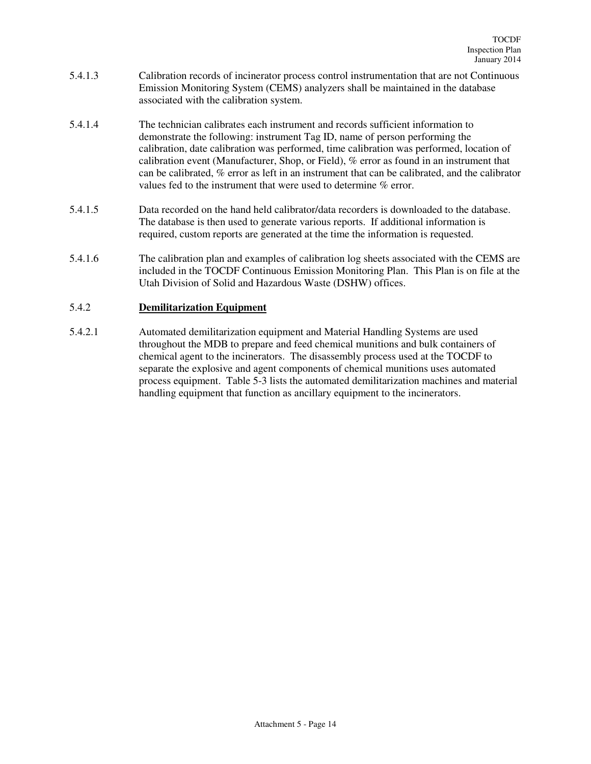- 5.4.1.3 Calibration records of incinerator process control instrumentation that are not Continuous Emission Monitoring System (CEMS) analyzers shall be maintained in the database associated with the calibration system.
- 5.4.1.4 The technician calibrates each instrument and records sufficient information to demonstrate the following: instrument Tag ID, name of person performing the calibration, date calibration was performed, time calibration was performed, location of calibration event (Manufacturer, Shop, or Field), % error as found in an instrument that can be calibrated, % error as left in an instrument that can be calibrated, and the calibrator values fed to the instrument that were used to determine % error.
- 5.4.1.5 Data recorded on the hand held calibrator/data recorders is downloaded to the database. The database is then used to generate various reports. If additional information is required, custom reports are generated at the time the information is requested.
- 5.4.1.6 The calibration plan and examples of calibration log sheets associated with the CEMS are included in the TOCDF Continuous Emission Monitoring Plan. This Plan is on file at the Utah Division of Solid and Hazardous Waste (DSHW) offices.

## 5.4.2 **Demilitarization Equipment**

5.4.2.1 Automated demilitarization equipment and Material Handling Systems are used throughout the MDB to prepare and feed chemical munitions and bulk containers of chemical agent to the incinerators. The disassembly process used at the TOCDF to separate the explosive and agent components of chemical munitions uses automated process equipment. Table 5-3 lists the automated demilitarization machines and material handling equipment that function as ancillary equipment to the incinerators.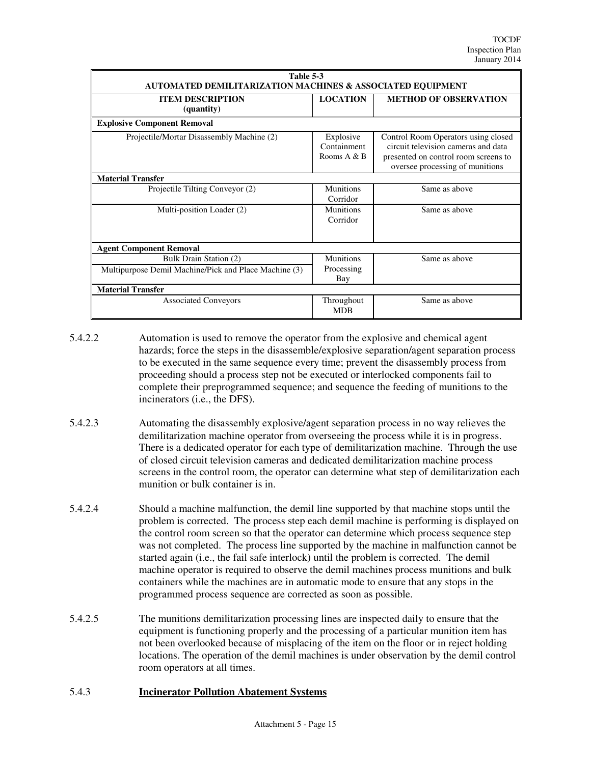| Table 5-3<br><b>AUTOMATED DEMILITARIZATION MACHINES &amp; ASSOCIATED EQUIPMENT</b> |                                         |                                                                                                                                                       |  |  |  |
|------------------------------------------------------------------------------------|-----------------------------------------|-------------------------------------------------------------------------------------------------------------------------------------------------------|--|--|--|
| <b>ITEM DESCRIPTION</b><br>(quantity)                                              | <b>LOCATION</b>                         | <b>METHOD OF OBSERVATION</b>                                                                                                                          |  |  |  |
| <b>Explosive Component Removal</b>                                                 |                                         |                                                                                                                                                       |  |  |  |
| Projectile/Mortar Disassembly Machine (2)                                          | Explosive<br>Containment<br>Rooms A & B | Control Room Operators using closed<br>circuit television cameras and data<br>presented on control room screens to<br>oversee processing of munitions |  |  |  |
| <b>Material Transfer</b>                                                           |                                         |                                                                                                                                                       |  |  |  |
| Projectile Tilting Conveyor (2)                                                    | <b>Munitions</b><br>Corridor            | Same as above                                                                                                                                         |  |  |  |
| Multi-position Loader (2)                                                          | <b>Munitions</b><br>Corridor            | Same as above                                                                                                                                         |  |  |  |
| <b>Agent Component Removal</b>                                                     |                                         |                                                                                                                                                       |  |  |  |
| Bulk Drain Station (2)<br>Multipurpose Demil Machine/Pick and Place Machine (3)    | <b>Munitions</b><br>Processing<br>Bay   | Same as above                                                                                                                                         |  |  |  |
| <b>Material Transfer</b>                                                           |                                         |                                                                                                                                                       |  |  |  |
| <b>Associated Conveyors</b>                                                        | Throughout<br><b>MDB</b>                | Same as above                                                                                                                                         |  |  |  |

5.4.2.2 Automation is used to remove the operator from the explosive and chemical agent hazards; force the steps in the disassemble/explosive separation/agent separation process to be executed in the same sequence every time; prevent the disassembly process from proceeding should a process step not be executed or interlocked components fail to complete their preprogrammed sequence; and sequence the feeding of munitions to the incinerators (i.e., the DFS).

- 5.4.2.3 Automating the disassembly explosive/agent separation process in no way relieves the demilitarization machine operator from overseeing the process while it is in progress. There is a dedicated operator for each type of demilitarization machine. Through the use of closed circuit television cameras and dedicated demilitarization machine process screens in the control room, the operator can determine what step of demilitarization each munition or bulk container is in.
- 5.4.2.4 Should a machine malfunction, the demil line supported by that machine stops until the problem is corrected. The process step each demil machine is performing is displayed on the control room screen so that the operator can determine which process sequence step was not completed. The process line supported by the machine in malfunction cannot be started again (i.e., the fail safe interlock) until the problem is corrected. The demil machine operator is required to observe the demil machines process munitions and bulk containers while the machines are in automatic mode to ensure that any stops in the programmed process sequence are corrected as soon as possible.
- 5.4.2.5 The munitions demilitarization processing lines are inspected daily to ensure that the equipment is functioning properly and the processing of a particular munition item has not been overlooked because of misplacing of the item on the floor or in reject holding locations. The operation of the demil machines is under observation by the demil control room operators at all times.

## 5.4.3 **Incinerator Pollution Abatement Systems**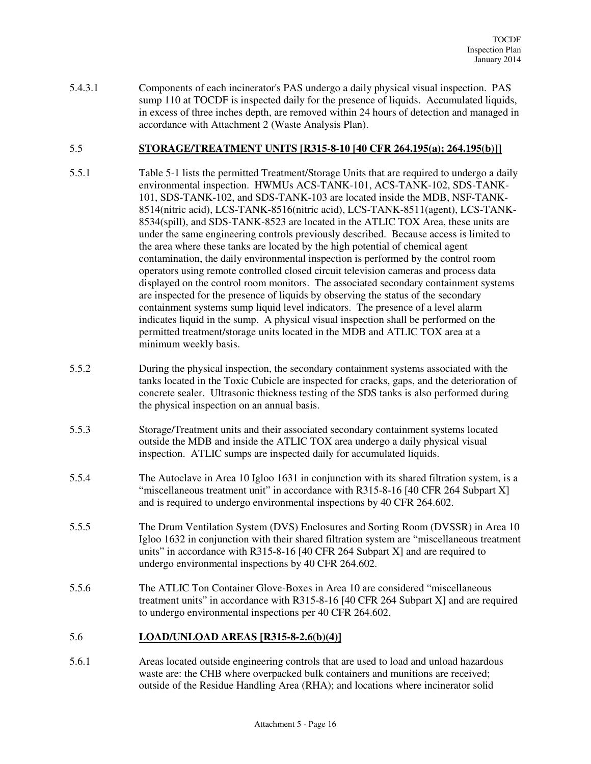5.4.3.1 Components of each incinerator's PAS undergo a daily physical visual inspection. PAS sump 110 at TOCDF is inspected daily for the presence of liquids. Accumulated liquids, in excess of three inches depth, are removed within 24 hours of detection and managed in accordance with Attachment 2 (Waste Analysis Plan).

## 5.5 **STORAGE/TREATMENT UNITS [R315-8-10 [40 CFR 264.195(a); 264.195(b)]]**

- 5.5.1 Table 5-1 lists the permitted Treatment/Storage Units that are required to undergo a daily environmental inspection. HWMUs ACS-TANK-101, ACS-TANK-102, SDS-TANK-101, SDS-TANK-102, and SDS-TANK-103 are located inside the MDB, NSF-TANK-8514(nitric acid), LCS-TANK-8516(nitric acid), LCS-TANK-8511(agent), LCS-TANK-8534(spill), and SDS-TANK-8523 are located in the ATLIC TOX Area, these units are under the same engineering controls previously described. Because access is limited to the area where these tanks are located by the high potential of chemical agent contamination, the daily environmental inspection is performed by the control room operators using remote controlled closed circuit television cameras and process data displayed on the control room monitors. The associated secondary containment systems are inspected for the presence of liquids by observing the status of the secondary containment systems sump liquid level indicators. The presence of a level alarm indicates liquid in the sump. A physical visual inspection shall be performed on the permitted treatment/storage units located in the MDB and ATLIC TOX area at a minimum weekly basis.
- 5.5.2 During the physical inspection, the secondary containment systems associated with the tanks located in the Toxic Cubicle are inspected for cracks, gaps, and the deterioration of concrete sealer. Ultrasonic thickness testing of the SDS tanks is also performed during the physical inspection on an annual basis.
- 5.5.3 Storage/Treatment units and their associated secondary containment systems located outside the MDB and inside the ATLIC TOX area undergo a daily physical visual inspection. ATLIC sumps are inspected daily for accumulated liquids.
- 5.5.4 The Autoclave in Area 10 Igloo 1631 in conjunction with its shared filtration system, is a "miscellaneous treatment unit" in accordance with R315-8-16 [40 CFR 264 Subpart X] and is required to undergo environmental inspections by 40 CFR 264.602.
- 5.5.5 The Drum Ventilation System (DVS) Enclosures and Sorting Room (DVSSR) in Area 10 Igloo 1632 in conjunction with their shared filtration system are "miscellaneous treatment units" in accordance with R315-8-16 [40 CFR 264 Subpart X] and are required to undergo environmental inspections by 40 CFR 264.602.
- 5.5.6 The ATLIC Ton Container Glove-Boxes in Area 10 are considered "miscellaneous treatment units" in accordance with R315-8-16 [40 CFR 264 Subpart X] and are required to undergo environmental inspections per 40 CFR 264.602.

## 5.6 **LOAD/UNLOAD AREAS [R315-8-2.6(b)(4)]**

5.6.1 Areas located outside engineering controls that are used to load and unload hazardous waste are: the CHB where overpacked bulk containers and munitions are received; outside of the Residue Handling Area (RHA); and locations where incinerator solid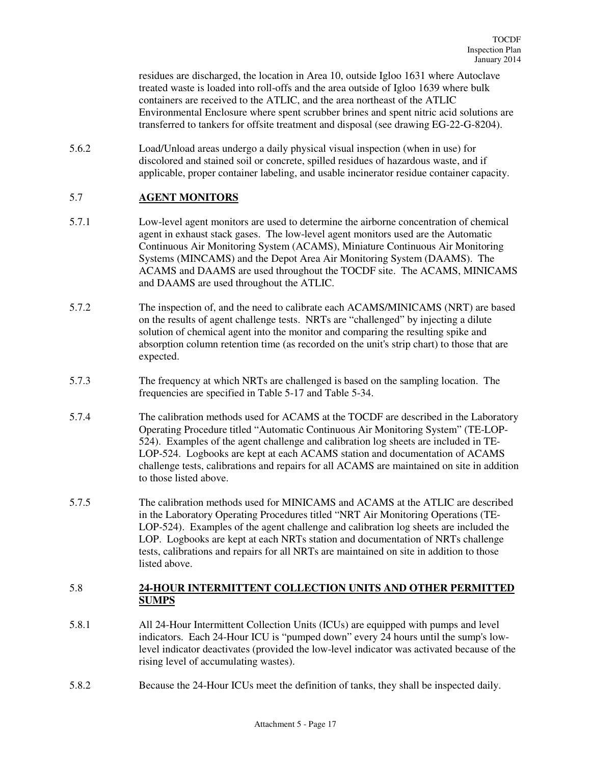residues are discharged, the location in Area 10, outside Igloo 1631 where Autoclave treated waste is loaded into roll-offs and the area outside of Igloo 1639 where bulk containers are received to the ATLIC, and the area northeast of the ATLIC Environmental Enclosure where spent scrubber brines and spent nitric acid solutions are transferred to tankers for offsite treatment and disposal (see drawing EG-22-G-8204).

5.6.2 Load/Unload areas undergo a daily physical visual inspection (when in use) for discolored and stained soil or concrete, spilled residues of hazardous waste, and if applicable, proper container labeling, and usable incinerator residue container capacity.

## 5.7 **AGENT MONITORS**

- 5.7.1 Low-level agent monitors are used to determine the airborne concentration of chemical agent in exhaust stack gases. The low-level agent monitors used are the Automatic Continuous Air Monitoring System (ACAMS), Miniature Continuous Air Monitoring Systems (MINCAMS) and the Depot Area Air Monitoring System (DAAMS). The ACAMS and DAAMS are used throughout the TOCDF site. The ACAMS, MINICAMS and DAAMS are used throughout the ATLIC.
- 5.7.2 The inspection of, and the need to calibrate each ACAMS/MINICAMS (NRT) are based on the results of agent challenge tests. NRTs are "challenged" by injecting a dilute solution of chemical agent into the monitor and comparing the resulting spike and absorption column retention time (as recorded on the unit's strip chart) to those that are expected.
- 5.7.3 The frequency at which NRTs are challenged is based on the sampling location. The frequencies are specified in Table 5-17 and Table 5-34.
- 5.7.4 The calibration methods used for ACAMS at the TOCDF are described in the Laboratory Operating Procedure titled "Automatic Continuous Air Monitoring System" (TE-LOP-524). Examples of the agent challenge and calibration log sheets are included in TE-LOP-524. Logbooks are kept at each ACAMS station and documentation of ACAMS challenge tests, calibrations and repairs for all ACAMS are maintained on site in addition to those listed above.
- 5.7.5 The calibration methods used for MINICAMS and ACAMS at the ATLIC are described in the Laboratory Operating Procedures titled "NRT Air Monitoring Operations (TE-LOP-524). Examples of the agent challenge and calibration log sheets are included the LOP. Logbooks are kept at each NRTs station and documentation of NRTs challenge tests, calibrations and repairs for all NRTs are maintained on site in addition to those listed above.

## 5.8 **24-HOUR INTERMITTENT COLLECTION UNITS AND OTHER PERMITTED SUMPS**

- 5.8.1 All 24-Hour Intermittent Collection Units (ICUs) are equipped with pumps and level indicators. Each 24-Hour ICU is "pumped down" every 24 hours until the sump's lowlevel indicator deactivates (provided the low-level indicator was activated because of the rising level of accumulating wastes).
- 5.8.2 Because the 24-Hour ICUs meet the definition of tanks, they shall be inspected daily.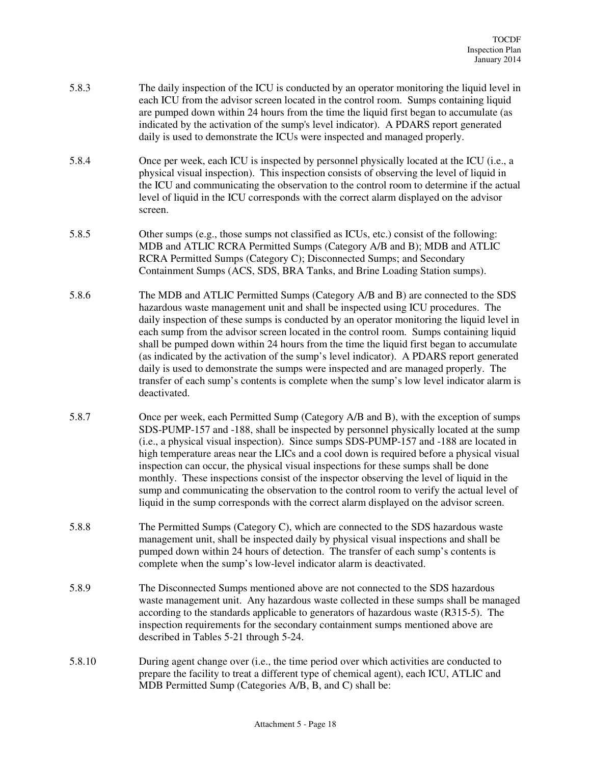- 5.8.3 The daily inspection of the ICU is conducted by an operator monitoring the liquid level in each ICU from the advisor screen located in the control room. Sumps containing liquid are pumped down within 24 hours from the time the liquid first began to accumulate (as indicated by the activation of the sump's level indicator). A PDARS report generated daily is used to demonstrate the ICUs were inspected and managed properly.
- 5.8.4 Once per week, each ICU is inspected by personnel physically located at the ICU (i.e., a physical visual inspection). This inspection consists of observing the level of liquid in the ICU and communicating the observation to the control room to determine if the actual level of liquid in the ICU corresponds with the correct alarm displayed on the advisor screen.
- 5.8.5 Other sumps (e.g., those sumps not classified as ICUs, etc.) consist of the following: MDB and ATLIC RCRA Permitted Sumps (Category A/B and B); MDB and ATLIC RCRA Permitted Sumps (Category C); Disconnected Sumps; and Secondary Containment Sumps (ACS, SDS, BRA Tanks, and Brine Loading Station sumps).
- 5.8.6 The MDB and ATLIC Permitted Sumps (Category A/B and B) are connected to the SDS hazardous waste management unit and shall be inspected using ICU procedures. The daily inspection of these sumps is conducted by an operator monitoring the liquid level in each sump from the advisor screen located in the control room. Sumps containing liquid shall be pumped down within 24 hours from the time the liquid first began to accumulate (as indicated by the activation of the sump's level indicator). A PDARS report generated daily is used to demonstrate the sumps were inspected and are managed properly. The transfer of each sump's contents is complete when the sump's low level indicator alarm is deactivated.
- 5.8.7 Once per week, each Permitted Sump (Category A/B and B), with the exception of sumps SDS-PUMP-157 and -188, shall be inspected by personnel physically located at the sump (i.e., a physical visual inspection). Since sumps SDS-PUMP-157 and -188 are located in high temperature areas near the LICs and a cool down is required before a physical visual inspection can occur, the physical visual inspections for these sumps shall be done monthly. These inspections consist of the inspector observing the level of liquid in the sump and communicating the observation to the control room to verify the actual level of liquid in the sump corresponds with the correct alarm displayed on the advisor screen.
- 5.8.8 The Permitted Sumps (Category C), which are connected to the SDS hazardous waste management unit, shall be inspected daily by physical visual inspections and shall be pumped down within 24 hours of detection. The transfer of each sump's contents is complete when the sump's low-level indicator alarm is deactivated.
- 5.8.9 The Disconnected Sumps mentioned above are not connected to the SDS hazardous waste management unit. Any hazardous waste collected in these sumps shall be managed according to the standards applicable to generators of hazardous waste (R315-5). The inspection requirements for the secondary containment sumps mentioned above are described in Tables 5-21 through 5-24.
- 5.8.10 During agent change over (i.e., the time period over which activities are conducted to prepare the facility to treat a different type of chemical agent), each ICU, ATLIC and MDB Permitted Sump (Categories A/B, B, and C) shall be: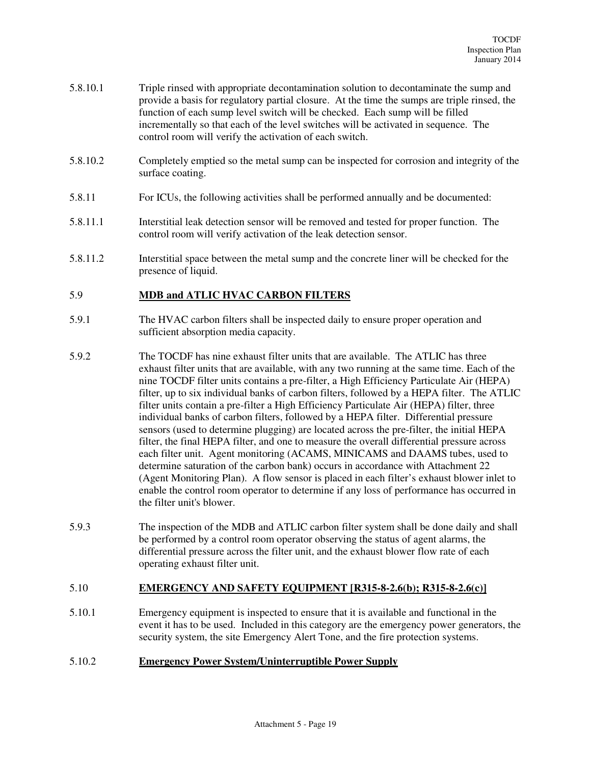- 5.8.10.1 Triple rinsed with appropriate decontamination solution to decontaminate the sump and provide a basis for regulatory partial closure. At the time the sumps are triple rinsed, the function of each sump level switch will be checked. Each sump will be filled incrementally so that each of the level switches will be activated in sequence. The control room will verify the activation of each switch.
- 5.8.10.2 Completely emptied so the metal sump can be inspected for corrosion and integrity of the surface coating.
- 5.8.11 For ICUs, the following activities shall be performed annually and be documented:
- 5.8.11.1 Interstitial leak detection sensor will be removed and tested for proper function. The control room will verify activation of the leak detection sensor.
- 5.8.11.2 Interstitial space between the metal sump and the concrete liner will be checked for the presence of liquid.

## 5.9 **MDB and ATLIC HVAC CARBON FILTERS**

- 5.9.1 The HVAC carbon filters shall be inspected daily to ensure proper operation and sufficient absorption media capacity.
- 5.9.2 The TOCDF has nine exhaust filter units that are available. The ATLIC has three exhaust filter units that are available, with any two running at the same time. Each of the nine TOCDF filter units contains a pre-filter, a High Efficiency Particulate Air (HEPA) filter, up to six individual banks of carbon filters, followed by a HEPA filter. The ATLIC filter units contain a pre-filter a High Efficiency Particulate Air (HEPA) filter, three individual banks of carbon filters, followed by a HEPA filter. Differential pressure sensors (used to determine plugging) are located across the pre-filter, the initial HEPA filter, the final HEPA filter, and one to measure the overall differential pressure across each filter unit. Agent monitoring (ACAMS, MINICAMS and DAAMS tubes, used to determine saturation of the carbon bank) occurs in accordance with Attachment 22 (Agent Monitoring Plan). A flow sensor is placed in each filter's exhaust blower inlet to enable the control room operator to determine if any loss of performance has occurred in the filter unit's blower.
- 5.9.3 The inspection of the MDB and ATLIC carbon filter system shall be done daily and shall be performed by a control room operator observing the status of agent alarms, the differential pressure across the filter unit, and the exhaust blower flow rate of each operating exhaust filter unit.

#### 5.10 **EMERGENCY AND SAFETY EQUIPMENT [R315-8-2.6(b); R315-8-2.6(c)]**

5.10.1 Emergency equipment is inspected to ensure that it is available and functional in the event it has to be used. Included in this category are the emergency power generators, the security system, the site Emergency Alert Tone, and the fire protection systems.

#### 5.10.2 **Emergency Power System/Uninterruptible Power Supply**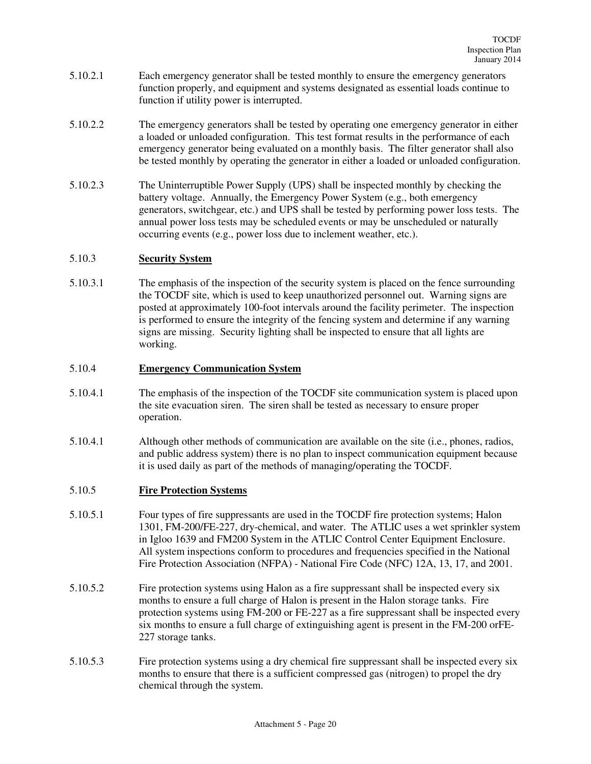- 5.10.2.1 Each emergency generator shall be tested monthly to ensure the emergency generators function properly, and equipment and systems designated as essential loads continue to function if utility power is interrupted.
- 5.10.2.2 The emergency generators shall be tested by operating one emergency generator in either a loaded or unloaded configuration. This test format results in the performance of each emergency generator being evaluated on a monthly basis. The filter generator shall also be tested monthly by operating the generator in either a loaded or unloaded configuration.
- 5.10.2.3 The Uninterruptible Power Supply (UPS) shall be inspected monthly by checking the battery voltage. Annually, the Emergency Power System (e.g., both emergency generators, switchgear, etc.) and UPS shall be tested by performing power loss tests. The annual power loss tests may be scheduled events or may be unscheduled or naturally occurring events (e.g., power loss due to inclement weather, etc.).

## 5.10.3 **Security System**

5.10.3.1 The emphasis of the inspection of the security system is placed on the fence surrounding the TOCDF site, which is used to keep unauthorized personnel out. Warning signs are posted at approximately 100-foot intervals around the facility perimeter. The inspection is performed to ensure the integrity of the fencing system and determine if any warning signs are missing. Security lighting shall be inspected to ensure that all lights are working.

### 5.10.4 **Emergency Communication System**

- 5.10.4.1 The emphasis of the inspection of the TOCDF site communication system is placed upon the site evacuation siren. The siren shall be tested as necessary to ensure proper operation.
- 5.10.4.1 Although other methods of communication are available on the site (i.e., phones, radios, and public address system) there is no plan to inspect communication equipment because it is used daily as part of the methods of managing/operating the TOCDF.

## 5.10.5 **Fire Protection Systems**

- 5.10.5.1 Four types of fire suppressants are used in the TOCDF fire protection systems; Halon 1301, FM-200/FE-227, dry-chemical, and water. The ATLIC uses a wet sprinkler system in Igloo 1639 and FM200 System in the ATLIC Control Center Equipment Enclosure. All system inspections conform to procedures and frequencies specified in the National Fire Protection Association (NFPA) - National Fire Code (NFC) 12A, 13, 17, and 2001.
- 5.10.5.2 Fire protection systems using Halon as a fire suppressant shall be inspected every six months to ensure a full charge of Halon is present in the Halon storage tanks. Fire protection systems using FM-200 or FE-227 as a fire suppressant shall be inspected every six months to ensure a full charge of extinguishing agent is present in the FM-200 orFE-227 storage tanks.
- 5.10.5.3 Fire protection systems using a dry chemical fire suppressant shall be inspected every six months to ensure that there is a sufficient compressed gas (nitrogen) to propel the dry chemical through the system.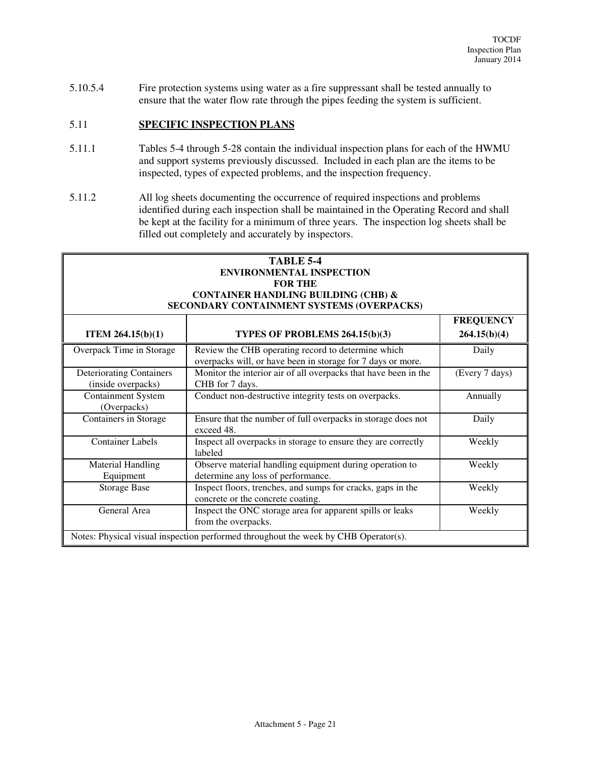Weekly

Weekly

5.10.5.4 Fire protection systems using water as a fire suppressant shall be tested annually to ensure that the water flow rate through the pipes feeding the system is sufficient.

## 5.11 **SPECIFIC INSPECTION PLANS**

Equipment

- 5.11.1 Tables 5-4 through 5-28 contain the individual inspection plans for each of the HWMU and support systems previously discussed. Included in each plan are the items to be inspected, types of expected problems, and the inspection frequency.
- 5.11.2 All log sheets documenting the occurrence of required inspections and problems identified during each inspection shall be maintained in the Operating Record and shall be kept at the facility for a minimum of three years. The inspection log sheets shall be filled out completely and accurately by inspectors.

|                                                       | <b>TABLE 5-4</b><br><b>ENVIRONMENTAL INSPECTION</b><br><b>FOR THE</b><br><b>CONTAINER HANDLING BUILDING (CHB) &amp;</b><br>SECONDARY CONTAINMENT SYSTEMS (OVERPACKS) |                                  |
|-------------------------------------------------------|----------------------------------------------------------------------------------------------------------------------------------------------------------------------|----------------------------------|
| ITEM $264.15(b)(1)$                                   | TYPES OF PROBLEMS 264.15(b)(3)                                                                                                                                       | <b>FREQUENCY</b><br>264.15(b)(4) |
| Overpack Time in Storage                              | Review the CHB operating record to determine which<br>overpacks will, or have been in storage for 7 days or more.                                                    | Daily                            |
| <b>Deteriorating Containers</b><br>(inside overpacks) | Monitor the interior air of all overpacks that have been in the<br>CHB for 7 days.                                                                                   | (Every 7 days)                   |
| <b>Containment System</b><br>(Overpacks)              | Conduct non-destructive integrity tests on overpacks.                                                                                                                | Annually                         |
| Containers in Storage                                 | Ensure that the number of full overpacks in storage does not<br>exceed 48.                                                                                           | Daily                            |
| <b>Container Labels</b>                               | Inspect all overpacks in storage to ensure they are correctly<br>labeled                                                                                             | Weekly                           |
| <b>Material Handling</b>                              | Observe material handling equipment during operation to                                                                                                              | Weekly                           |

determine any loss of performance.

Storage Base Inspect floors, trenches, and sumps for cracks, gaps in the concrete or the concrete coating.

General Area **Inspect the ONC** storage area for apparent spills or leaks

from the overpacks.

Notes: Physical visual inspection performed throughout the week by CHB Operator(s).

#### Attachment 5 - Page 21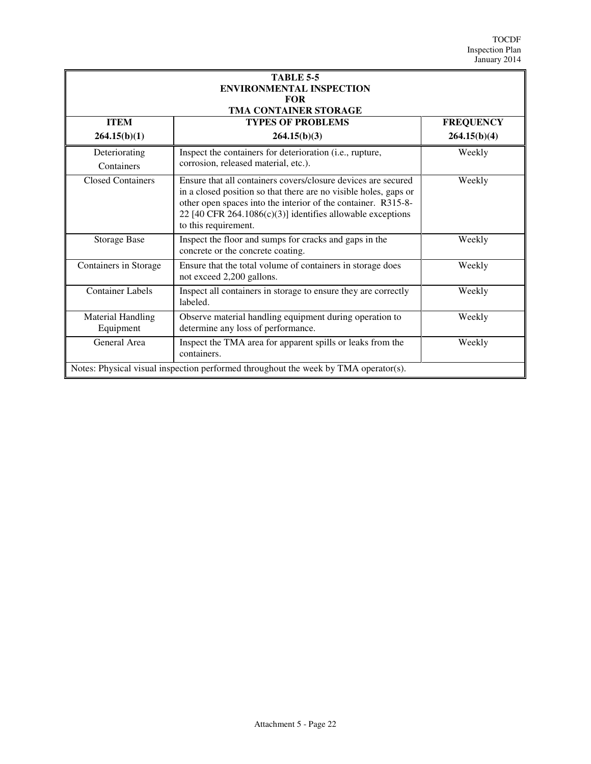| <b>TABLE 5-5</b><br><b>ENVIRONMENTAL INSPECTION</b><br><b>FOR</b><br><b>TMA CONTAINER STORAGE</b> |                                                                                                                                                                                                                                                                                          |                  |  |
|---------------------------------------------------------------------------------------------------|------------------------------------------------------------------------------------------------------------------------------------------------------------------------------------------------------------------------------------------------------------------------------------------|------------------|--|
| <b>ITEM</b>                                                                                       | <b>TYPES OF PROBLEMS</b>                                                                                                                                                                                                                                                                 | <b>FREQUENCY</b> |  |
| 264.15(b)(1)                                                                                      | 264.15(b)(3)                                                                                                                                                                                                                                                                             | 264.15(b)(4)     |  |
| Deteriorating                                                                                     | Inspect the containers for deterioration (i.e., rupture,                                                                                                                                                                                                                                 | Weekly           |  |
| Containers                                                                                        | corrosion, released material, etc.).                                                                                                                                                                                                                                                     |                  |  |
| <b>Closed Containers</b>                                                                          | Ensure that all containers covers/closure devices are secured<br>in a closed position so that there are no visible holes, gaps or<br>other open spaces into the interior of the container. R315-8-<br>22 [40 CFR 264.1086(c)(3)] identifies allowable exceptions<br>to this requirement. | Weekly           |  |
| <b>Storage Base</b>                                                                               | Inspect the floor and sumps for cracks and gaps in the<br>concrete or the concrete coating.                                                                                                                                                                                              | Weekly           |  |
| Containers in Storage                                                                             | Ensure that the total volume of containers in storage does<br>not exceed 2,200 gallons.                                                                                                                                                                                                  | Weekly           |  |
| <b>Container Labels</b>                                                                           | Inspect all containers in storage to ensure they are correctly<br>labeled.                                                                                                                                                                                                               | Weekly           |  |
| <b>Material Handling</b><br>Equipment                                                             | Observe material handling equipment during operation to<br>determine any loss of performance.                                                                                                                                                                                            | Weekly           |  |
| General Area                                                                                      | Inspect the TMA area for apparent spills or leaks from the<br>containers.                                                                                                                                                                                                                | Weekly           |  |
| Notes: Physical visual inspection performed throughout the week by TMA operator(s).               |                                                                                                                                                                                                                                                                                          |                  |  |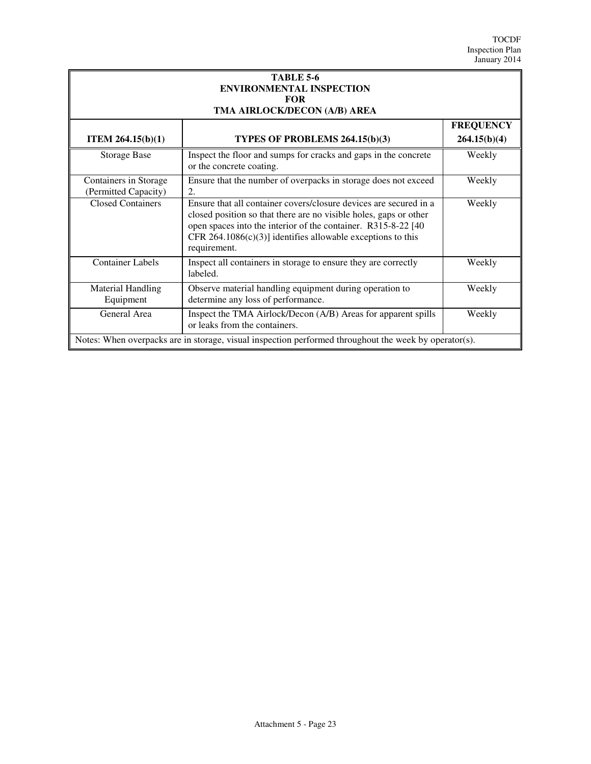| <b>TABLE 5-6</b><br><b>ENVIRONMENTAL INSPECTION</b><br><b>FOR</b>                                     |                                                                                                                                                                                                                                                                                         |                                  |  |  |
|-------------------------------------------------------------------------------------------------------|-----------------------------------------------------------------------------------------------------------------------------------------------------------------------------------------------------------------------------------------------------------------------------------------|----------------------------------|--|--|
|                                                                                                       | TMA AIRLOCK/DECON (A/B) AREA                                                                                                                                                                                                                                                            |                                  |  |  |
| <b>ITEM 264.15<math>(b)(1)</math></b>                                                                 | TYPES OF PROBLEMS 264.15(b)(3)                                                                                                                                                                                                                                                          | <b>FREQUENCY</b><br>264.15(b)(4) |  |  |
| <b>Storage Base</b>                                                                                   | Inspect the floor and sumps for cracks and gaps in the concrete<br>or the concrete coating.                                                                                                                                                                                             | Weekly                           |  |  |
| Containers in Storage<br>(Permitted Capacity)                                                         | Ensure that the number of overpacks in storage does not exceed<br>2.                                                                                                                                                                                                                    | Weekly                           |  |  |
| <b>Closed Containers</b>                                                                              | Ensure that all container covers/closure devices are secured in a<br>closed position so that there are no visible holes, gaps or other<br>open spaces into the interior of the container. R315-8-22 [40]<br>CFR 264.1086(c)(3)] identifies allowable exceptions to this<br>requirement. | Weekly                           |  |  |
| <b>Container Labels</b>                                                                               | Inspect all containers in storage to ensure they are correctly<br>labeled.                                                                                                                                                                                                              | Weekly                           |  |  |
| <b>Material Handling</b><br>Equipment                                                                 | Observe material handling equipment during operation to<br>determine any loss of performance.                                                                                                                                                                                           | Weekly                           |  |  |
| General Area                                                                                          | Inspect the TMA Airlock/Decon (A/B) Areas for apparent spills<br>or leaks from the containers.                                                                                                                                                                                          | Weekly                           |  |  |
| Notes: When overpacks are in storage, visual inspection performed throughout the week by operator(s). |                                                                                                                                                                                                                                                                                         |                                  |  |  |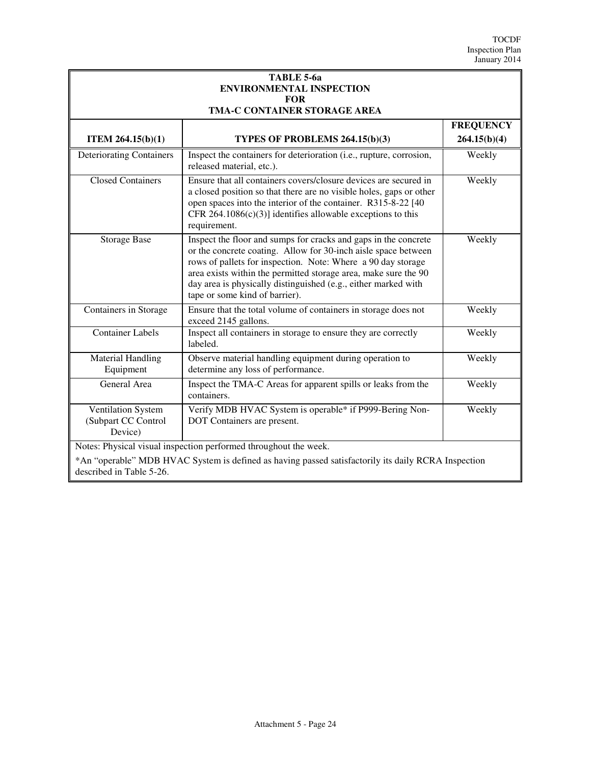| TABLE 5-6a<br><b>ENVIRONMENTAL INSPECTION</b>                                                                                                                                                       |                                                                                                                                                                                                                                                                                                                                                                          |                  |
|-----------------------------------------------------------------------------------------------------------------------------------------------------------------------------------------------------|--------------------------------------------------------------------------------------------------------------------------------------------------------------------------------------------------------------------------------------------------------------------------------------------------------------------------------------------------------------------------|------------------|
| <b>FOR</b><br>TMA-C CONTAINER STORAGE AREA                                                                                                                                                          |                                                                                                                                                                                                                                                                                                                                                                          |                  |
|                                                                                                                                                                                                     |                                                                                                                                                                                                                                                                                                                                                                          | <b>FREQUENCY</b> |
| <b>ITEM 264.15(b)(1)</b>                                                                                                                                                                            | TYPES OF PROBLEMS 264.15(b)(3)                                                                                                                                                                                                                                                                                                                                           | 264.15(b)(4)     |
| <b>Deteriorating Containers</b>                                                                                                                                                                     | Inspect the containers for deterioration (i.e., rupture, corrosion,<br>released material, etc.).                                                                                                                                                                                                                                                                         | Weekly           |
| <b>Closed Containers</b>                                                                                                                                                                            | Ensure that all containers covers/closure devices are secured in<br>a closed position so that there are no visible holes, gaps or other<br>open spaces into the interior of the container. R315-8-22 [40]<br>CFR 264.1086 $(c)(3)$ ] identifies allowable exceptions to this<br>requirement.                                                                             | Weekly           |
| <b>Storage Base</b>                                                                                                                                                                                 | Inspect the floor and sumps for cracks and gaps in the concrete<br>or the concrete coating. Allow for 30-inch aisle space between<br>rows of pallets for inspection. Note: Where a 90 day storage<br>area exists within the permitted storage area, make sure the 90<br>day area is physically distinguished (e.g., either marked with<br>tape or some kind of barrier). | Weekly           |
| Containers in Storage                                                                                                                                                                               | Ensure that the total volume of containers in storage does not<br>exceed 2145 gallons.                                                                                                                                                                                                                                                                                   | Weekly           |
| <b>Container Labels</b>                                                                                                                                                                             | Inspect all containers in storage to ensure they are correctly<br>labeled.                                                                                                                                                                                                                                                                                               | Weekly           |
| <b>Material Handling</b><br>Equipment                                                                                                                                                               | Observe material handling equipment during operation to<br>determine any loss of performance.                                                                                                                                                                                                                                                                            | Weekly           |
| General Area                                                                                                                                                                                        | Inspect the TMA-C Areas for apparent spills or leaks from the<br>containers.                                                                                                                                                                                                                                                                                             | Weekly           |
| Ventilation System<br>(Subpart CC Control<br>Device)                                                                                                                                                | Verify MDB HVAC System is operable* if P999-Bering Non-<br>DOT Containers are present.                                                                                                                                                                                                                                                                                   | Weekly           |
| Notes: Physical visual inspection performed throughout the week.<br>*An "operable" MDB HVAC System is defined as having passed satisfactorily its daily RCRA Inspection<br>described in Table 5-26. |                                                                                                                                                                                                                                                                                                                                                                          |                  |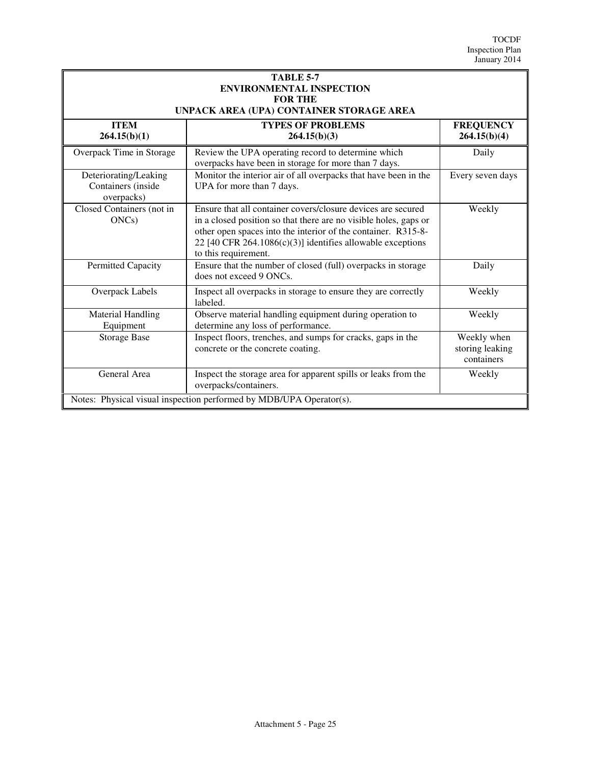| <b>TABLE 5-7</b><br><b>ENVIRONMENTAL INSPECTION</b><br><b>FOR THE</b><br>UNPACK AREA (UPA) CONTAINER STORAGE AREA |                                                                                                                                                                                                                                                                                         |                                              |
|-------------------------------------------------------------------------------------------------------------------|-----------------------------------------------------------------------------------------------------------------------------------------------------------------------------------------------------------------------------------------------------------------------------------------|----------------------------------------------|
| <b>ITEM</b><br>264.15(b)(1)                                                                                       | <b>TYPES OF PROBLEMS</b><br>264.15(b)(3)                                                                                                                                                                                                                                                | <b>FREQUENCY</b><br>264.15(b)(4)             |
| Overpack Time in Storage                                                                                          | Review the UPA operating record to determine which<br>overpacks have been in storage for more than 7 days.                                                                                                                                                                              | Daily                                        |
| Deteriorating/Leaking<br>Containers (inside<br>overpacks)                                                         | Monitor the interior air of all overpacks that have been in the<br>UPA for more than 7 days.                                                                                                                                                                                            | Every seven days                             |
| Closed Containers (not in<br>$ONCs$ )                                                                             | Ensure that all container covers/closure devices are secured<br>in a closed position so that there are no visible holes, gaps or<br>other open spaces into the interior of the container. R315-8-<br>22 [40 CFR 264.1086(c)(3)] identifies allowable exceptions<br>to this requirement. | Weekly                                       |
| Permitted Capacity                                                                                                | Ensure that the number of closed (full) overpacks in storage<br>does not exceed 9 ONCs.                                                                                                                                                                                                 | Daily                                        |
| Overpack Labels                                                                                                   | Inspect all overpacks in storage to ensure they are correctly<br>labeled.                                                                                                                                                                                                               | Weekly                                       |
| <b>Material Handling</b><br>Equipment                                                                             | Observe material handling equipment during operation to<br>determine any loss of performance.                                                                                                                                                                                           | Weekly                                       |
| <b>Storage Base</b>                                                                                               | Inspect floors, trenches, and sumps for cracks, gaps in the<br>concrete or the concrete coating.                                                                                                                                                                                        | Weekly when<br>storing leaking<br>containers |
| General Area                                                                                                      | Inspect the storage area for apparent spills or leaks from the<br>overpacks/containers.                                                                                                                                                                                                 | Weekly                                       |
| Notes: Physical visual inspection performed by MDB/UPA Operator(s).                                               |                                                                                                                                                                                                                                                                                         |                                              |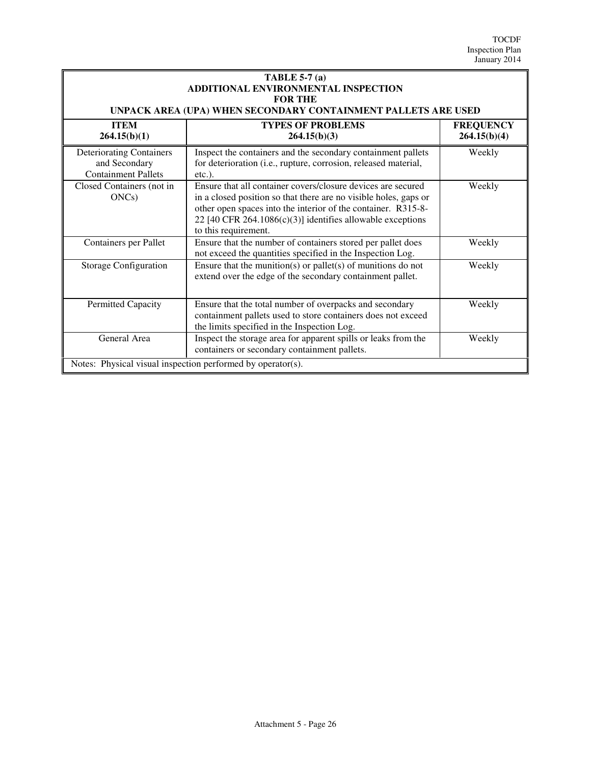| TABLE 5-7 $(a)$<br>ADDITIONAL ENVIRONMENTAL INSPECTION<br><b>FOR THE</b><br>UNPACK AREA (UPA) WHEN SECONDARY CONTAINMENT PALLETS ARE USED |                                                                                                                                                                                                                                                                                         |                                  |
|-------------------------------------------------------------------------------------------------------------------------------------------|-----------------------------------------------------------------------------------------------------------------------------------------------------------------------------------------------------------------------------------------------------------------------------------------|----------------------------------|
| <b>ITEM</b><br>264.15(b)(1)                                                                                                               | <b>TYPES OF PROBLEMS</b><br>264.15(b)(3)                                                                                                                                                                                                                                                | <b>FREQUENCY</b><br>264.15(b)(4) |
| <b>Deteriorating Containers</b><br>and Secondary<br><b>Containment Pallets</b>                                                            | Inspect the containers and the secondary containment pallets<br>for deterioration (i.e., rupture, corrosion, released material,<br>$etc.$ ).                                                                                                                                            | Weekly                           |
| Closed Containers (not in<br>ONCs)                                                                                                        | Ensure that all container covers/closure devices are secured<br>in a closed position so that there are no visible holes, gaps or<br>other open spaces into the interior of the container. R315-8-<br>22 [40 CFR 264.1086(c)(3)] identifies allowable exceptions<br>to this requirement. | Weekly                           |
| Containers per Pallet                                                                                                                     | Ensure that the number of containers stored per pallet does<br>not exceed the quantities specified in the Inspection Log.                                                                                                                                                               | Weekly                           |
| Storage Configuration                                                                                                                     | Ensure that the munition(s) or pallet(s) of munitions do not<br>extend over the edge of the secondary containment pallet.                                                                                                                                                               | Weekly                           |
| Permitted Capacity                                                                                                                        | Ensure that the total number of overpacks and secondary<br>containment pallets used to store containers does not exceed<br>the limits specified in the Inspection Log.                                                                                                                  | Weekly                           |
| General Area                                                                                                                              | Inspect the storage area for apparent spills or leaks from the<br>containers or secondary containment pallets.                                                                                                                                                                          | Weekly                           |
| Notes: Physical visual inspection performed by operator(s).                                                                               |                                                                                                                                                                                                                                                                                         |                                  |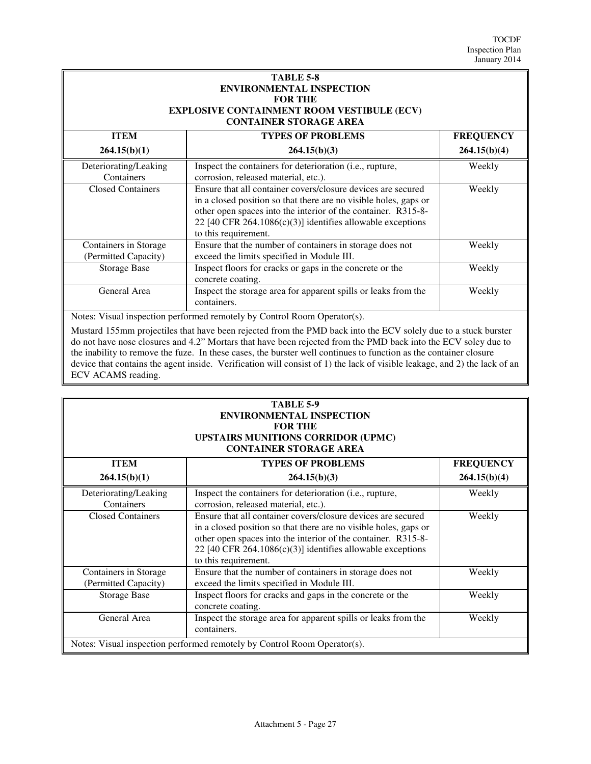| <b>TABLE 5-8</b>                                  |
|---------------------------------------------------|
| <b>ENVIRONMENTAL INSPECTION</b>                   |
| <b>FOR THE</b>                                    |
| <b>EXPLOSIVE CONTAINMENT ROOM VESTIBULE (ECV)</b> |
| <b>CONTAINER STORAGE AREA</b>                     |

| <b>ITEM</b>                                   | <b>TYPES OF PROBLEMS</b>                                                                                                                                                                                                                                                                | <b>FREQUENCY</b> |
|-----------------------------------------------|-----------------------------------------------------------------------------------------------------------------------------------------------------------------------------------------------------------------------------------------------------------------------------------------|------------------|
| 264.15(b)(1)                                  | 264.15(b)(3)                                                                                                                                                                                                                                                                            | 264.15(b)(4)     |
| Deteriorating/Leaking<br>Containers           | Inspect the containers for deterioration (i.e., rupture,<br>corrosion, released material, etc.).                                                                                                                                                                                        | Weekly           |
| <b>Closed Containers</b>                      | Ensure that all container covers/closure devices are secured<br>in a closed position so that there are no visible holes, gaps or<br>other open spaces into the interior of the container. R315-8-<br>22 [40 CFR 264.1086(c)(3)] identifies allowable exceptions<br>to this requirement. | Weekly           |
| Containers in Storage<br>(Permitted Capacity) | Ensure that the number of containers in storage does not<br>exceed the limits specified in Module III.                                                                                                                                                                                  | Weekly           |
| <b>Storage Base</b>                           | Inspect floors for cracks or gaps in the concrete or the<br>concrete coating.                                                                                                                                                                                                           | Weekly           |
| General Area                                  | Inspect the storage area for apparent spills or leaks from the<br>containers.                                                                                                                                                                                                           | Weekly           |

Notes: Visual inspection performed remotely by Control Room Operator(s).

Mustard 155mm projectiles that have been rejected from the PMD back into the ECV solely due to a stuck burster do not have nose closures and 4.2" Mortars that have been rejected from the PMD back into the ECV soley due to the inability to remove the fuze. In these cases, the burster well continues to function as the container closure device that contains the agent inside. Verification will consist of 1) the lack of visible leakage, and 2) the lack of an ECV ACAMS reading.

| TABLE 5-9                                                                |                                                                  |                  |
|--------------------------------------------------------------------------|------------------------------------------------------------------|------------------|
| <b>ENVIRONMENTAL INSPECTION</b>                                          |                                                                  |                  |
| <b>FOR THE</b>                                                           |                                                                  |                  |
|                                                                          | <b>UPSTAIRS MUNITIONS CORRIDOR (UPMC)</b>                        |                  |
|                                                                          | <b>CONTAINER STORAGE AREA</b>                                    |                  |
| <b>TYPES OF PROBLEMS</b><br><b>ITEM</b>                                  |                                                                  | <b>FREQUENCY</b> |
| 264.15(b)(1)                                                             | 264.15(b)(3)                                                     | 264.15(b)(4)     |
| Deteriorating/Leaking                                                    | Inspect the containers for deterioration (i.e., rupture,         | Weekly           |
| Containers                                                               | corrosion, released material, etc.).                             |                  |
| <b>Closed Containers</b>                                                 | Ensure that all container covers/closure devices are secured     | Weekly           |
|                                                                          | in a closed position so that there are no visible holes, gaps or |                  |
|                                                                          | other open spaces into the interior of the container. R315-8-    |                  |
|                                                                          | 22 [40 CFR 264.1086(c)(3)] identifies allowable exceptions       |                  |
|                                                                          | to this requirement.                                             |                  |
| Containers in Storage                                                    | Ensure that the number of containers in storage does not         | Weekly           |
| (Permitted Capacity)                                                     | exceed the limits specified in Module III.                       |                  |
| <b>Storage Base</b>                                                      | Inspect floors for cracks and gaps in the concrete or the        | Weekly           |
|                                                                          | concrete coating.                                                |                  |
| General Area                                                             | Inspect the storage area for apparent spills or leaks from the   | Weekly           |
|                                                                          | containers.                                                      |                  |
| Notes: Visual inspection performed remotely by Control Room Operator(s). |                                                                  |                  |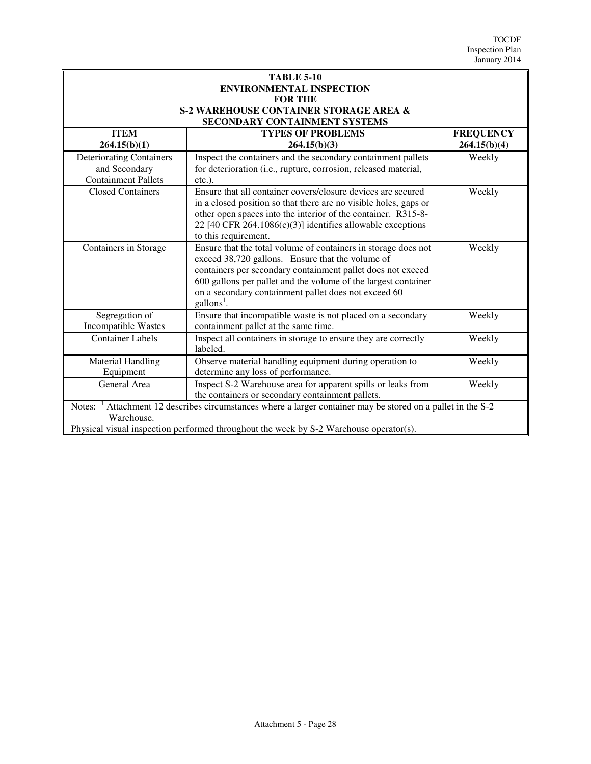| <b>TABLE 5-10</b><br><b>ENVIRONMENTAL INSPECTION</b>                                                          |                                                                                                     |                  |  |
|---------------------------------------------------------------------------------------------------------------|-----------------------------------------------------------------------------------------------------|------------------|--|
| <b>FOR THE</b>                                                                                                |                                                                                                     |                  |  |
|                                                                                                               | <b>S-2 WAREHOUSE CONTAINER STORAGE AREA &amp;</b>                                                   |                  |  |
|                                                                                                               | SECONDARY CONTAINMENT SYSTEMS                                                                       |                  |  |
| <b>ITEM</b>                                                                                                   | <b>TYPES OF PROBLEMS</b>                                                                            | <b>FREQUENCY</b> |  |
| 264.15(b)(1)                                                                                                  | 264.15(b)(3)                                                                                        | 264.15(b)(4)     |  |
| <b>Deteriorating Containers</b>                                                                               | Inspect the containers and the secondary containment pallets                                        | Weekly           |  |
| and Secondary                                                                                                 | for deterioration (i.e., rupture, corrosion, released material,                                     |                  |  |
| <b>Containment Pallets</b>                                                                                    | etc.).                                                                                              |                  |  |
| <b>Closed Containers</b>                                                                                      | Ensure that all container covers/closure devices are secured                                        | Weekly           |  |
|                                                                                                               | in a closed position so that there are no visible holes, gaps or                                    |                  |  |
|                                                                                                               | other open spaces into the interior of the container. R315-8-                                       |                  |  |
|                                                                                                               | 22 [40 CFR 264.1086(c)(3)] identifies allowable exceptions                                          |                  |  |
|                                                                                                               | to this requirement.                                                                                |                  |  |
| Containers in Storage                                                                                         | Ensure that the total volume of containers in storage does not                                      | Weekly           |  |
|                                                                                                               | exceed 38,720 gallons. Ensure that the volume of                                                    |                  |  |
|                                                                                                               | containers per secondary containment pallet does not exceed                                         |                  |  |
|                                                                                                               | 600 gallons per pallet and the volume of the largest container                                      |                  |  |
|                                                                                                               | on a secondary containment pallet does not exceed 60                                                |                  |  |
|                                                                                                               | gallons <sup>1</sup> .                                                                              |                  |  |
| Segregation of<br>Incompatible Wastes                                                                         | Ensure that incompatible waste is not placed on a secondary<br>containment pallet at the same time. | Weekly           |  |
| <b>Container Labels</b>                                                                                       | Inspect all containers in storage to ensure they are correctly                                      | Weekly           |  |
|                                                                                                               | labeled.                                                                                            |                  |  |
| <b>Material Handling</b>                                                                                      | Observe material handling equipment during operation to                                             | Weekly           |  |
| Equipment                                                                                                     | determine any loss of performance.                                                                  |                  |  |
| General Area                                                                                                  | Inspect S-2 Warehouse area for apparent spills or leaks from                                        | Weekly           |  |
|                                                                                                               | the containers or secondary containment pallets.                                                    |                  |  |
| Attachment 12 describes circumstances where a larger container may be stored on a pallet in the S-2<br>Notes: |                                                                                                     |                  |  |
| Warehouse.                                                                                                    |                                                                                                     |                  |  |
|                                                                                                               | Physical visual inspection performed throughout the week by S-2 Warehouse operator(s).              |                  |  |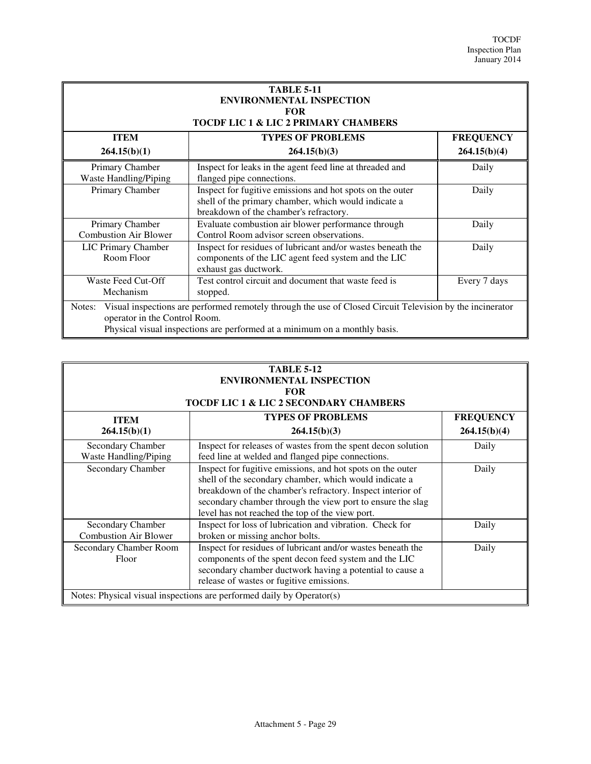| <b>TABLE 5-11</b><br><b>ENVIRONMENTAL INSPECTION</b><br><b>FOR</b><br><b>TOCDF LIC 1 &amp; LIC 2 PRIMARY CHAMBERS</b>                                                                                                              |                                                                                                                                                             |                  |
|------------------------------------------------------------------------------------------------------------------------------------------------------------------------------------------------------------------------------------|-------------------------------------------------------------------------------------------------------------------------------------------------------------|------------------|
| <b>ITEM</b>                                                                                                                                                                                                                        | <b>TYPES OF PROBLEMS</b>                                                                                                                                    | <b>FREQUENCY</b> |
| 264.15(b)(1)                                                                                                                                                                                                                       | 264.15(b)(3)                                                                                                                                                | 264.15(b)(4)     |
| Primary Chamber<br>Waste Handling/Piping                                                                                                                                                                                           | Inspect for leaks in the agent feed line at threaded and<br>flanged pipe connections.                                                                       | Daily            |
| Primary Chamber                                                                                                                                                                                                                    | Inspect for fugitive emissions and hot spots on the outer<br>shell of the primary chamber, which would indicate a<br>breakdown of the chamber's refractory. | Daily            |
| Primary Chamber<br><b>Combustion Air Blower</b>                                                                                                                                                                                    | Evaluate combustion air blower performance through<br>Control Room advisor screen observations.                                                             | Daily            |
| <b>LIC Primary Chamber</b><br>Room Floor                                                                                                                                                                                           | Inspect for residues of lubricant and/or wastes beneath the<br>components of the LIC agent feed system and the LIC<br>exhaust gas ductwork.                 | Daily            |
| Waste Feed Cut-Off<br>Mechanism                                                                                                                                                                                                    | Test control circuit and document that waste feed is<br>stopped.                                                                                            | Every 7 days     |
| Visual inspections are performed remotely through the use of Closed Circuit Television by the incinerator<br>Notes:<br>operator in the Control Room.<br>Physical visual inspections are performed at a minimum on a monthly basis. |                                                                                                                                                             |                  |

| <b>TABLE 5-12</b><br><b>ENVIRONMENTAL INSPECTION</b><br><b>FOR</b><br><b>TOCDF LIC 1 &amp; LIC 2 SECONDARY CHAMBERS</b> |                                                                                                                                                                                                                                                                                                     |                                  |
|-------------------------------------------------------------------------------------------------------------------------|-----------------------------------------------------------------------------------------------------------------------------------------------------------------------------------------------------------------------------------------------------------------------------------------------------|----------------------------------|
| <b>ITEM</b><br>264.15(b)(1)                                                                                             | <b>TYPES OF PROBLEMS</b><br>264.15(b)(3)                                                                                                                                                                                                                                                            | <b>FREQUENCY</b><br>264.15(b)(4) |
| Secondary Chamber<br><b>Waste Handling/Piping</b>                                                                       | Inspect for releases of wastes from the spent decon solution<br>feed line at welded and flanged pipe connections.                                                                                                                                                                                   | Daily                            |
| Secondary Chamber                                                                                                       | Inspect for fugitive emissions, and hot spots on the outer<br>shell of the secondary chamber, which would indicate a<br>breakdown of the chamber's refractory. Inspect interior of<br>secondary chamber through the view port to ensure the slag<br>level has not reached the top of the view port. | Daily                            |
| Secondary Chamber<br><b>Combustion Air Blower</b>                                                                       | Inspect for loss of lubrication and vibration. Check for<br>broken or missing anchor bolts.                                                                                                                                                                                                         | Daily                            |
| Secondary Chamber Room<br>Floor                                                                                         | Inspect for residues of lubricant and/or wastes beneath the<br>components of the spent decon feed system and the LIC<br>secondary chamber ductwork having a potential to cause a<br>release of wastes or fugitive emissions.                                                                        | Daily                            |
| Notes: Physical visual inspections are performed daily by Operator(s)                                                   |                                                                                                                                                                                                                                                                                                     |                                  |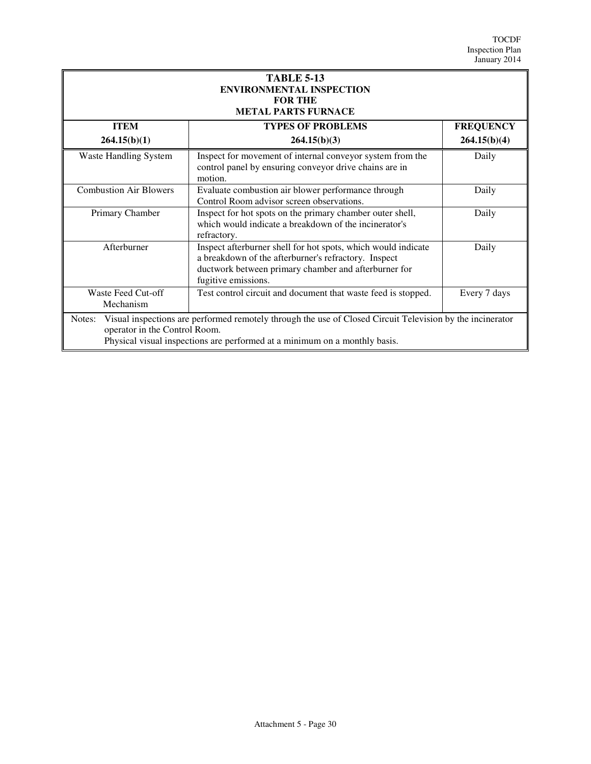| <b>TABLE 5-13</b><br><b>ENVIRONMENTAL INSPECTION</b><br><b>FOR THE</b><br><b>METAL PARTS FURNACE</b>                                                                                                                               |                                                                                                                                                                                                      |                  |
|------------------------------------------------------------------------------------------------------------------------------------------------------------------------------------------------------------------------------------|------------------------------------------------------------------------------------------------------------------------------------------------------------------------------------------------------|------------------|
| <b>ITEM</b>                                                                                                                                                                                                                        | <b>TYPES OF PROBLEMS</b>                                                                                                                                                                             | <b>FREQUENCY</b> |
| 264.15(b)(1)                                                                                                                                                                                                                       | 264.15(b)(3)                                                                                                                                                                                         | 264.15(b)(4)     |
| <b>Waste Handling System</b>                                                                                                                                                                                                       | Inspect for movement of internal conveyor system from the<br>control panel by ensuring conveyor drive chains are in<br>motion.                                                                       | Daily            |
| <b>Combustion Air Blowers</b>                                                                                                                                                                                                      | Evaluate combustion air blower performance through<br>Control Room advisor screen observations.                                                                                                      | Daily            |
| Primary Chamber                                                                                                                                                                                                                    | Inspect for hot spots on the primary chamber outer shell,<br>which would indicate a breakdown of the incinerator's<br>refractory.                                                                    | Daily            |
| Afterburner                                                                                                                                                                                                                        | Inspect afterburner shell for hot spots, which would indicate<br>a breakdown of the afterburner's refractory. Inspect<br>ductwork between primary chamber and afterburner for<br>fugitive emissions. | Daily            |
| Waste Feed Cut-off<br>Mechanism                                                                                                                                                                                                    | Test control circuit and document that waste feed is stopped.                                                                                                                                        | Every 7 days     |
| Visual inspections are performed remotely through the use of Closed Circuit Television by the incinerator<br>Notes:<br>operator in the Control Room.<br>Physical visual inspections are performed at a minimum on a monthly basis. |                                                                                                                                                                                                      |                  |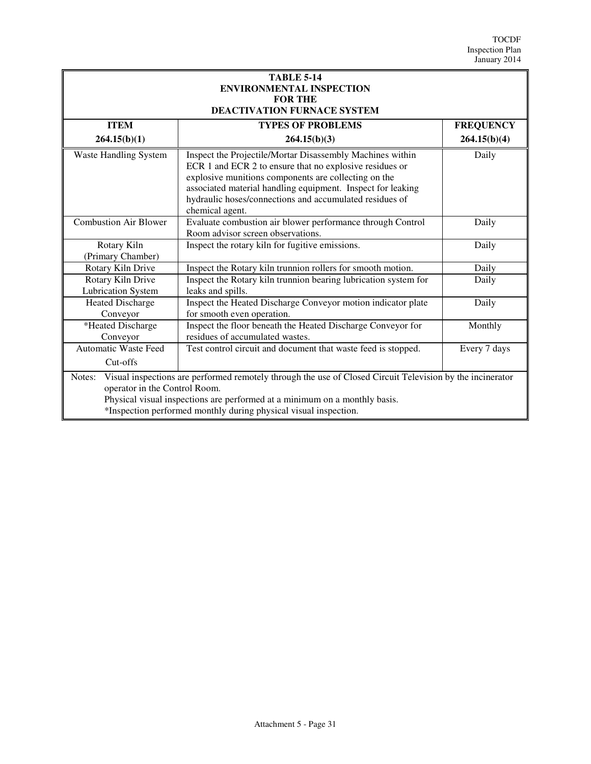| <b>TABLE 5-14</b><br><b>ENVIRONMENTAL INSPECTION</b>                                                                                                                                                                                                                                                   |                                                                                                                                                                                                                                                                                                                           |                  |
|--------------------------------------------------------------------------------------------------------------------------------------------------------------------------------------------------------------------------------------------------------------------------------------------------------|---------------------------------------------------------------------------------------------------------------------------------------------------------------------------------------------------------------------------------------------------------------------------------------------------------------------------|------------------|
| <b>FOR THE</b><br>DEACTIVATION FURNACE SYSTEM                                                                                                                                                                                                                                                          |                                                                                                                                                                                                                                                                                                                           |                  |
| <b>ITEM</b>                                                                                                                                                                                                                                                                                            | <b>TYPES OF PROBLEMS</b>                                                                                                                                                                                                                                                                                                  | <b>FREQUENCY</b> |
| 264.15(b)(1)                                                                                                                                                                                                                                                                                           | 264.15(b)(3)                                                                                                                                                                                                                                                                                                              | 264.15(b)(4)     |
| Waste Handling System                                                                                                                                                                                                                                                                                  | Inspect the Projectile/Mortar Disassembly Machines within<br>ECR 1 and ECR 2 to ensure that no explosive residues or<br>explosive munitions components are collecting on the<br>associated material handling equipment. Inspect for leaking<br>hydraulic hoses/connections and accumulated residues of<br>chemical agent. | Daily            |
| <b>Combustion Air Blower</b>                                                                                                                                                                                                                                                                           | Evaluate combustion air blower performance through Control<br>Room advisor screen observations.                                                                                                                                                                                                                           | Daily            |
| Rotary Kiln<br>(Primary Chamber)                                                                                                                                                                                                                                                                       | Inspect the rotary kiln for fugitive emissions.                                                                                                                                                                                                                                                                           | Daily            |
| Rotary Kiln Drive                                                                                                                                                                                                                                                                                      | Inspect the Rotary kiln trunnion rollers for smooth motion.                                                                                                                                                                                                                                                               | Daily            |
| Rotary Kiln Drive<br><b>Lubrication System</b>                                                                                                                                                                                                                                                         | Inspect the Rotary kiln trunnion bearing lubrication system for<br>leaks and spills.                                                                                                                                                                                                                                      | Daily            |
| <b>Heated Discharge</b><br>Conveyor                                                                                                                                                                                                                                                                    | Inspect the Heated Discharge Conveyor motion indicator plate<br>for smooth even operation.                                                                                                                                                                                                                                | Daily            |
| *Heated Discharge<br>Conveyor                                                                                                                                                                                                                                                                          | Inspect the floor beneath the Heated Discharge Conveyor for<br>residues of accumulated wastes.                                                                                                                                                                                                                            | Monthly          |
| <b>Automatic Waste Feed</b><br>Cut-offs                                                                                                                                                                                                                                                                | Test control circuit and document that waste feed is stopped.                                                                                                                                                                                                                                                             | Every 7 days     |
| Visual inspections are performed remotely through the use of Closed Circuit Television by the incinerator<br>Notes:<br>operator in the Control Room.<br>Physical visual inspections are performed at a minimum on a monthly basis.<br>*Inspection performed monthly during physical visual inspection. |                                                                                                                                                                                                                                                                                                                           |                  |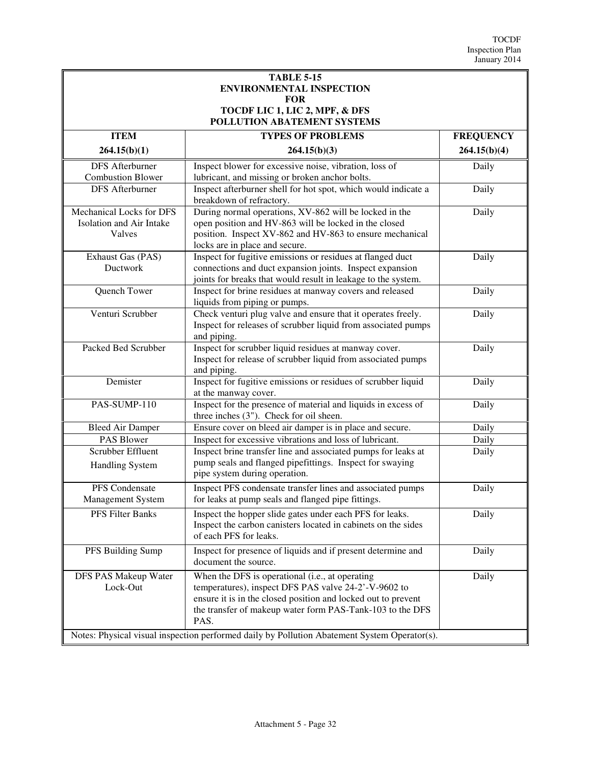| <b>TABLE 5-15</b><br><b>ENVIRONMENTAL INSPECTION</b><br><b>FOR</b><br>TOCDF LIC 1, LIC 2, MPF, & DFS<br>POLLUTION ABATEMENT SYSTEMS |                                                                                                                                                                                                                                               |                  |
|-------------------------------------------------------------------------------------------------------------------------------------|-----------------------------------------------------------------------------------------------------------------------------------------------------------------------------------------------------------------------------------------------|------------------|
| <b>ITEM</b>                                                                                                                         | <b>TYPES OF PROBLEMS</b>                                                                                                                                                                                                                      | <b>FREQUENCY</b> |
| 264.15(b)(1)                                                                                                                        | 264.15(b)(3)                                                                                                                                                                                                                                  | 264.15(b)(4)     |
| <b>DFS</b> Afterburner<br><b>Combustion Blower</b>                                                                                  | Inspect blower for excessive noise, vibration, loss of<br>lubricant, and missing or broken anchor bolts.                                                                                                                                      | Daily            |
| <b>DFS</b> Afterburner                                                                                                              | Inspect afterburner shell for hot spot, which would indicate a<br>breakdown of refractory.                                                                                                                                                    | Daily            |
| Mechanical Locks for DFS<br>Isolation and Air Intake<br>Valves                                                                      | During normal operations, XV-862 will be locked in the<br>open position and HV-863 will be locked in the closed<br>position. Inspect XV-862 and HV-863 to ensure mechanical<br>locks are in place and secure.                                 | Daily            |
| Exhaust Gas (PAS)<br>Ductwork                                                                                                       | Inspect for fugitive emissions or residues at flanged duct<br>connections and duct expansion joints. Inspect expansion<br>joints for breaks that would result in leakage to the system.                                                       | Daily            |
| Quench Tower                                                                                                                        | Inspect for brine residues at manway covers and released<br>liquids from piping or pumps.                                                                                                                                                     | Daily            |
| Venturi Scrubber                                                                                                                    | Check venturi plug valve and ensure that it operates freely.<br>Inspect for releases of scrubber liquid from associated pumps<br>and piping.                                                                                                  | Daily            |
| Packed Bed Scrubber                                                                                                                 | Inspect for scrubber liquid residues at manway cover.<br>Inspect for release of scrubber liquid from associated pumps<br>and piping.                                                                                                          | Daily            |
| Demister                                                                                                                            | Inspect for fugitive emissions or residues of scrubber liquid<br>at the manway cover.                                                                                                                                                         | Daily            |
| PAS-SUMP-110                                                                                                                        | Inspect for the presence of material and liquids in excess of<br>three inches (3"). Check for oil sheen.                                                                                                                                      | Daily            |
| <b>Bleed Air Damper</b>                                                                                                             | Ensure cover on bleed air damper is in place and secure.                                                                                                                                                                                      | Daily            |
| PAS Blower                                                                                                                          | Inspect for excessive vibrations and loss of lubricant.                                                                                                                                                                                       | Daily            |
| Scrubber Effluent<br><b>Handling System</b>                                                                                         | Inspect brine transfer line and associated pumps for leaks at<br>pump seals and flanged pipefittings. Inspect for swaying<br>pipe system during operation.                                                                                    | Daily            |
| PFS Condensate<br>Management System                                                                                                 | Inspect PFS condensate transfer lines and associated pumps<br>for leaks at pump seals and flanged pipe fittings.                                                                                                                              | Daily            |
| PFS Filter Banks                                                                                                                    | Inspect the hopper slide gates under each PFS for leaks.<br>Inspect the carbon canisters located in cabinets on the sides<br>of each PFS for leaks.                                                                                           | Daily            |
| PFS Building Sump                                                                                                                   | Inspect for presence of liquids and if present determine and<br>document the source.                                                                                                                                                          | Daily            |
| DFS PAS Makeup Water<br>Lock-Out                                                                                                    | When the DFS is operational (i.e., at operating<br>temperatures), inspect DFS PAS valve 24-2'-V-9602 to<br>ensure it is in the closed position and locked out to prevent<br>the transfer of makeup water form PAS-Tank-103 to the DFS<br>PAS. | Daily            |

Notes: Physical visual inspection performed daily by Pollution Abatement System Operator(s).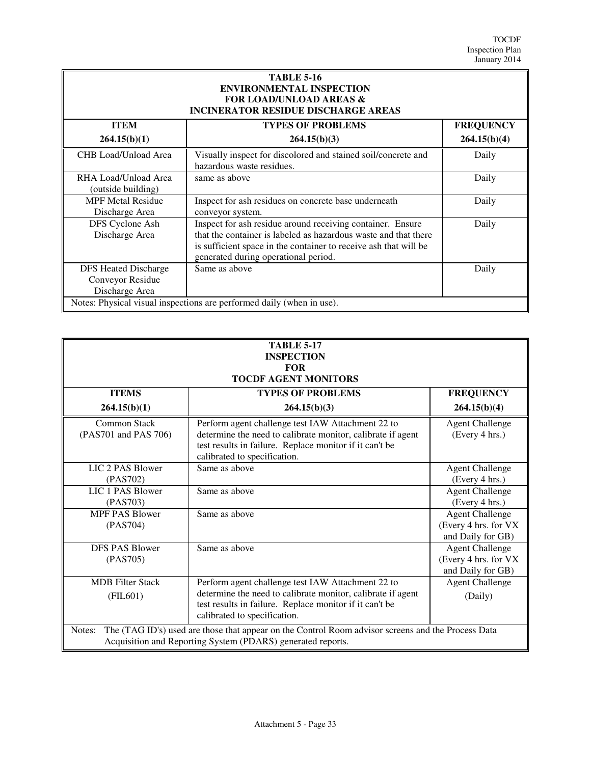| <b>TABLE 5-16</b><br><b>ENVIRONMENTAL INSPECTION</b><br><b>FOR LOAD/UNLOAD AREAS &amp;</b><br><b>INCINERATOR RESIDUE DISCHARGE AREAS</b> |                                                                                                                                                                                                                                           |                  |
|------------------------------------------------------------------------------------------------------------------------------------------|-------------------------------------------------------------------------------------------------------------------------------------------------------------------------------------------------------------------------------------------|------------------|
| <b>ITEM</b>                                                                                                                              | <b>TYPES OF PROBLEMS</b>                                                                                                                                                                                                                  | <b>FREQUENCY</b> |
| 264.15(b)(1)                                                                                                                             | 264.15(b)(3)                                                                                                                                                                                                                              | 264.15(b)(4)     |
| CHB Load/Unload Area                                                                                                                     | Visually inspect for discolored and stained soil/concrete and<br>hazardous waste residues.                                                                                                                                                | Daily            |
| RHA Load/Unload Area<br>(outside building)                                                                                               | same as above                                                                                                                                                                                                                             | Daily            |
| <b>MPF Metal Residue</b><br>Discharge Area                                                                                               | Inspect for ash residues on concrete base underneath<br>conveyor system.                                                                                                                                                                  | Daily            |
| DFS Cyclone Ash<br>Discharge Area                                                                                                        | Inspect for ash residue around receiving container. Ensure<br>that the container is labeled as hazardous waste and that there<br>is sufficient space in the container to receive ash that will be<br>generated during operational period. | Daily            |
| <b>DFS Heated Discharge</b><br>Conveyor Residue<br>Discharge Area                                                                        | Same as above                                                                                                                                                                                                                             | Daily            |
| Notes: Physical visual inspections are performed daily (when in use).                                                                    |                                                                                                                                                                                                                                           |                  |

| <b>TABLE 5-17</b>           |
|-----------------------------|
| <b>INSPECTION</b>           |
| FOR                         |
| <b>TOCDF AGENT MONITORS</b> |

| <b>ITEMS</b>                                                                                                                                                                | <b>TYPES OF PROBLEMS</b>                                                                                                                                                                                    | <b>FREQUENCY</b>                                                     |
|-----------------------------------------------------------------------------------------------------------------------------------------------------------------------------|-------------------------------------------------------------------------------------------------------------------------------------------------------------------------------------------------------------|----------------------------------------------------------------------|
| 264.15(b)(1)                                                                                                                                                                | 264.15(b)(3)                                                                                                                                                                                                | 264.15(b)(4)                                                         |
| Common Stack<br>(PAS701 and PAS 706)                                                                                                                                        | Perform agent challenge test IAW Attachment 22 to<br>determine the need to calibrate monitor, calibrate if agent<br>test results in failure. Replace monitor if it can't be<br>calibrated to specification. | <b>Agent Challenge</b><br>(Every 4 hrs.)                             |
| LIC 2 PAS Blower<br>(PAS702)                                                                                                                                                | Same as above                                                                                                                                                                                               | <b>Agent Challenge</b><br>(Every 4 hrs.)                             |
| LIC 1 PAS Blower<br>(PAS703)                                                                                                                                                | Same as above                                                                                                                                                                                               | <b>Agent Challenge</b><br>(Every 4 hrs.)                             |
| <b>MPF PAS Blower</b><br>(PAS704)                                                                                                                                           | Same as above                                                                                                                                                                                               | <b>Agent Challenge</b><br>(Every 4 hrs. for VX)<br>and Daily for GB) |
| <b>DFS PAS Blower</b><br>(PAS705)                                                                                                                                           | Same as above                                                                                                                                                                                               | <b>Agent Challenge</b><br>(Every 4 hrs. for VX)<br>and Daily for GB) |
| <b>MDB</b> Filter Stack<br>$($ FIL $601)$                                                                                                                                   | Perform agent challenge test IAW Attachment 22 to<br>determine the need to calibrate monitor, calibrate if agent<br>test results in failure. Replace monitor if it can't be<br>calibrated to specification. | <b>Agent Challenge</b><br>(Daily)                                    |
| The (TAG ID's) used are those that appear on the Control Room advisor screens and the Process Data<br>Notes:<br>Acquisition and Reporting System (PDARS) generated reports. |                                                                                                                                                                                                             |                                                                      |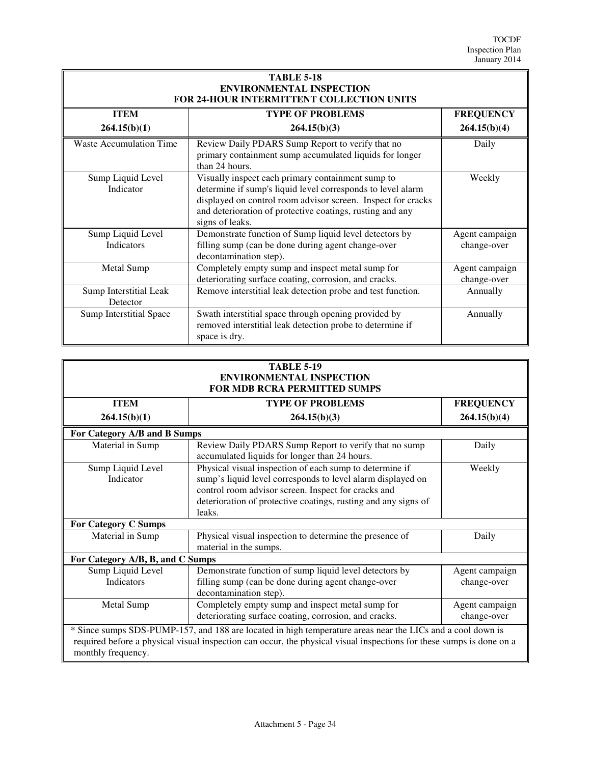| <b>TABLE 5-18</b><br><b>ENVIRONMENTAL INSPECTION</b><br>FOR 24-HOUR INTERMITTENT COLLECTION UNITS |                                                                                                                                                                                                                                                                  |                               |
|---------------------------------------------------------------------------------------------------|------------------------------------------------------------------------------------------------------------------------------------------------------------------------------------------------------------------------------------------------------------------|-------------------------------|
| <b>ITEM</b>                                                                                       | <b>TYPE OF PROBLEMS</b>                                                                                                                                                                                                                                          | <b>FREQUENCY</b>              |
| 264.15(b)(1)                                                                                      | 264.15(b)(3)                                                                                                                                                                                                                                                     | 264.15(b)(4)                  |
| Waste Accumulation Time                                                                           | Review Daily PDARS Sump Report to verify that no<br>primary containment sump accumulated liquids for longer<br>than 24 hours.                                                                                                                                    | Daily                         |
| Sump Liquid Level<br>Indicator                                                                    | Visually inspect each primary containment sump to<br>determine if sump's liquid level corresponds to level alarm<br>displayed on control room advisor screen. Inspect for cracks<br>and deterioration of protective coatings, rusting and any<br>signs of leaks. | Weekly                        |
| Sump Liquid Level<br><b>Indicators</b>                                                            | Demonstrate function of Sump liquid level detectors by<br>filling sump (can be done during agent change-over<br>decontamination step).                                                                                                                           | Agent campaign<br>change-over |
| Metal Sump                                                                                        | Completely empty sump and inspect metal sump for<br>deteriorating surface coating, corrosion, and cracks.                                                                                                                                                        | Agent campaign<br>change-over |
| Sump Interstitial Leak<br>Detector                                                                | Remove interstitial leak detection probe and test function.                                                                                                                                                                                                      | Annually                      |
| <b>Sump Interstitial Space</b>                                                                    | Swath interstitial space through opening provided by<br>removed interstitial leak detection probe to determine if<br>space is dry.                                                                                                                               | Annually                      |

| <b>TABLE 5-19</b>                   |
|-------------------------------------|
| <b>ENVIRONMENTAL INSPECTION</b>     |
| <b>FOR MDB RCRA PERMITTED SUMPS</b> |

| <b>ITEM</b>                                                                                                                                                                                                                                              | <b>TYPE OF PROBLEMS</b>                                                                                                                                                                                                                                   | <b>FREQUENCY</b>              |
|----------------------------------------------------------------------------------------------------------------------------------------------------------------------------------------------------------------------------------------------------------|-----------------------------------------------------------------------------------------------------------------------------------------------------------------------------------------------------------------------------------------------------------|-------------------------------|
| 264.15(b)(1)                                                                                                                                                                                                                                             | 264.15(b)(3)                                                                                                                                                                                                                                              | 264.15(b)(4)                  |
| For Category A/B and B Sumps                                                                                                                                                                                                                             |                                                                                                                                                                                                                                                           |                               |
| Material in Sump                                                                                                                                                                                                                                         | Review Daily PDARS Sump Report to verify that no sump<br>accumulated liquids for longer than 24 hours.                                                                                                                                                    | Daily                         |
| Sump Liquid Level<br>Indicator                                                                                                                                                                                                                           | Physical visual inspection of each sump to determine if<br>sump's liquid level corresponds to level alarm displayed on<br>control room advisor screen. Inspect for cracks and<br>deterioration of protective coatings, rusting and any signs of<br>leaks. | Weekly                        |
| <b>For Category C Sumps</b>                                                                                                                                                                                                                              |                                                                                                                                                                                                                                                           |                               |
| Material in Sump                                                                                                                                                                                                                                         | Physical visual inspection to determine the presence of<br>material in the sumps.                                                                                                                                                                         | Daily                         |
| For Category A/B, B, and C Sumps                                                                                                                                                                                                                         |                                                                                                                                                                                                                                                           |                               |
| Sump Liquid Level<br>Indicators                                                                                                                                                                                                                          | Demonstrate function of sump liquid level detectors by<br>filling sump (can be done during agent change-over<br>decontamination step).                                                                                                                    | Agent campaign<br>change-over |
| Metal Sump                                                                                                                                                                                                                                               | Completely empty sump and inspect metal sump for<br>deteriorating surface coating, corrosion, and cracks.                                                                                                                                                 | Agent campaign<br>change-over |
| * Since sumps SDS-PUMP-157, and 188 are located in high temperature areas near the LICs and a cool down is<br>required before a physical visual inspection can occur, the physical visual inspections for these sumps is done on a<br>monthly frequency. |                                                                                                                                                                                                                                                           |                               |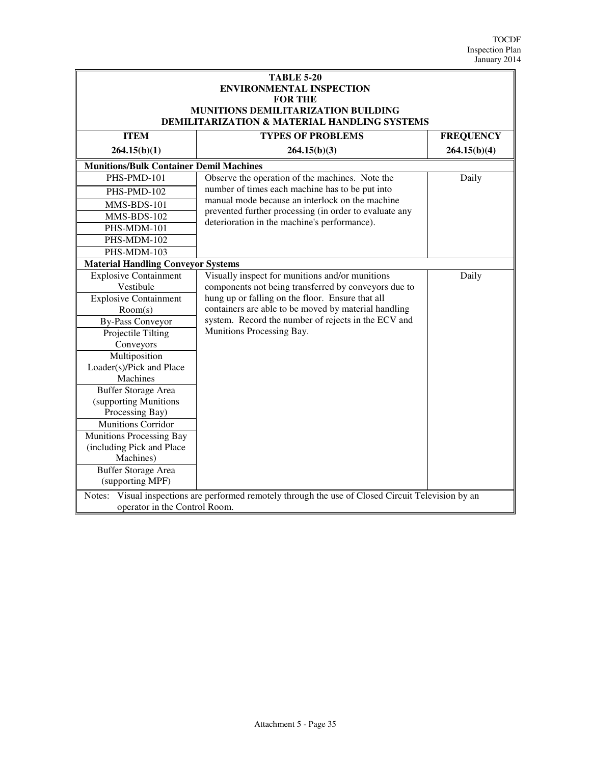| <b>TABLE 5-20</b><br><b>ENVIRONMENTAL INSPECTION</b><br><b>FOR THE</b><br>MUNITIONS DEMILITARIZATION BUILDING<br>DEMILITARIZATION & MATERIAL HANDLING SYSTEMS |                                                                                  |                  |
|---------------------------------------------------------------------------------------------------------------------------------------------------------------|----------------------------------------------------------------------------------|------------------|
| <b>ITEM</b>                                                                                                                                                   | <b>TYPES OF PROBLEMS</b>                                                         | <b>FREQUENCY</b> |
| 264.15(b)(1)                                                                                                                                                  | 264.15(b)(3)                                                                     | 264.15(b)(4)     |
| <b>Munitions/Bulk Container Demil Machines</b>                                                                                                                |                                                                                  |                  |
| PHS-PMD-101                                                                                                                                                   | Observe the operation of the machines. Note the                                  | Daily            |
| PHS-PMD-102                                                                                                                                                   | number of times each machine has to be put into                                  |                  |
| MMS-BDS-101                                                                                                                                                   | manual mode because an interlock on the machine                                  |                  |
| MMS-BDS-102                                                                                                                                                   | prevented further processing (in order to evaluate any                           |                  |
| PHS-MDM-101                                                                                                                                                   | deterioration in the machine's performance).                                     |                  |
| PHS-MDM-102                                                                                                                                                   |                                                                                  |                  |
| PHS-MDM-103                                                                                                                                                   |                                                                                  |                  |
| <b>Material Handling Conveyor Systems</b>                                                                                                                     |                                                                                  |                  |
| <b>Explosive Containment</b>                                                                                                                                  | Visually inspect for munitions and/or munitions                                  | Daily            |
| Vestibule                                                                                                                                                     | components not being transferred by conveyors due to                             |                  |
| <b>Explosive Containment</b>                                                                                                                                  | hung up or falling on the floor. Ensure that all                                 |                  |
| Room(s)                                                                                                                                                       | containers are able to be moved by material handling                             |                  |
| <b>By-Pass Conveyor</b>                                                                                                                                       | system. Record the number of rejects in the ECV and<br>Munitions Processing Bay. |                  |
| Projectile Tilting                                                                                                                                            |                                                                                  |                  |
| Conveyors                                                                                                                                                     |                                                                                  |                  |
| Multiposition<br>Loader(s)/Pick and Place                                                                                                                     |                                                                                  |                  |
| Machines                                                                                                                                                      |                                                                                  |                  |
| <b>Buffer Storage Area</b>                                                                                                                                    |                                                                                  |                  |
| (supporting Munitions                                                                                                                                         |                                                                                  |                  |
| Processing Bay)                                                                                                                                               |                                                                                  |                  |
| <b>Munitions Corridor</b>                                                                                                                                     |                                                                                  |                  |
| Munitions Processing Bay                                                                                                                                      |                                                                                  |                  |
| (including Pick and Place                                                                                                                                     |                                                                                  |                  |
| Machines)                                                                                                                                                     |                                                                                  |                  |
| <b>Buffer Storage Area</b>                                                                                                                                    |                                                                                  |                  |
| (supporting MPF)                                                                                                                                              |                                                                                  |                  |
| Notes: Visual inspections are performed remotely through the use of Closed Circuit Television by an<br>operator in the Control Room.                          |                                                                                  |                  |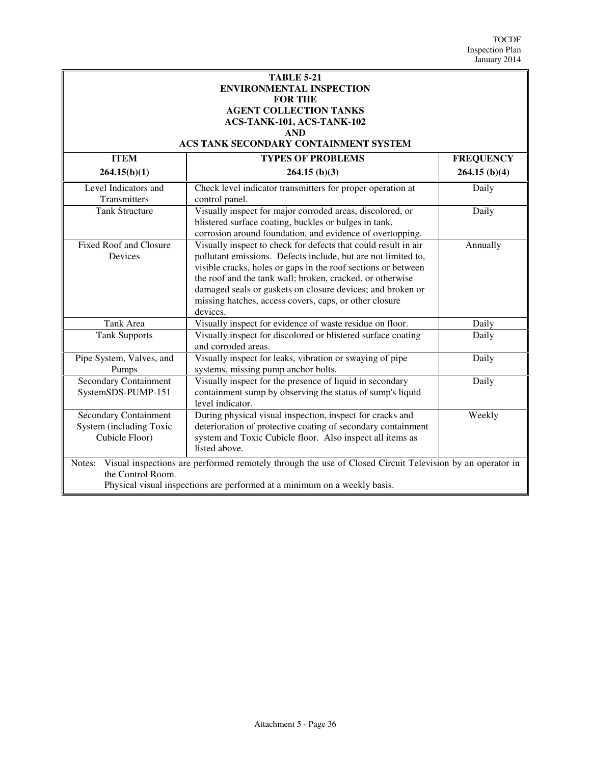#### **TABLE 5-21 ENVIRONMENTAL INSPECTION FOR THE AGENT COLLECTION TANKS ACS-TANK-101, ACS-TANK-102 AND**

## **ACS TANK SECONDARY CONTAINMENT SYSTEM**

| <b>ITEM</b>                                                                                                        | <b>TYPES OF PROBLEMS</b>                                       | <b>FREQUENCY</b> |
|--------------------------------------------------------------------------------------------------------------------|----------------------------------------------------------------|------------------|
| 264.15(b)(1)                                                                                                       | $264.15$ (b)(3)                                                | $264.15$ (b)(4)  |
| Level Indicators and                                                                                               | Check level indicator transmitters for proper operation at     | Daily            |
| Transmitters                                                                                                       | control panel.                                                 |                  |
| <b>Tank Structure</b>                                                                                              | Visually inspect for major corroded areas, discolored, or      | Daily            |
|                                                                                                                    | blistered surface coating, buckles or bulges in tank,          |                  |
|                                                                                                                    | corrosion around foundation, and evidence of overtopping.      |                  |
| <b>Fixed Roof and Closure</b>                                                                                      | Visually inspect to check for defects that could result in air | Annually         |
| Devices                                                                                                            | pollutant emissions. Defects include, but are not limited to,  |                  |
|                                                                                                                    | visible cracks, holes or gaps in the roof sections or between  |                  |
|                                                                                                                    | the roof and the tank wall; broken, cracked, or otherwise      |                  |
|                                                                                                                    | damaged seals or gaskets on closure devices; and broken or     |                  |
|                                                                                                                    | missing hatches, access covers, caps, or other closure         |                  |
|                                                                                                                    | devices.                                                       |                  |
| Tank Area                                                                                                          | Visually inspect for evidence of waste residue on floor.       | Daily            |
| <b>Tank Supports</b>                                                                                               | Visually inspect for discolored or blistered surface coating   | Daily            |
|                                                                                                                    | and corroded areas.                                            |                  |
| Pipe System, Valves, and                                                                                           | Visually inspect for leaks, vibration or swaying of pipe       | Daily            |
| Pumps                                                                                                              | systems, missing pump anchor bolts.                            |                  |
| <b>Secondary Containment</b>                                                                                       | Visually inspect for the presence of liquid in secondary       | Daily            |
| SystemSDS-PUMP-151                                                                                                 | containment sump by observing the status of sump's liquid      |                  |
|                                                                                                                    | level indicator.                                               |                  |
| <b>Secondary Containment</b>                                                                                       | During physical visual inspection, inspect for cracks and      | Weekly           |
| System (including Toxic                                                                                            | deterioration of protective coating of secondary containment   |                  |
| Cubicle Floor)                                                                                                     | system and Toxic Cubicle floor. Also inspect all items as      |                  |
|                                                                                                                    | listed above.                                                  |                  |
| Visual inspections are performed remotely through the use of Closed Circuit Television by an operator in<br>Notes: |                                                                |                  |
| the Control Room.                                                                                                  |                                                                |                  |
| Physical visual inspections are performed at a minimum on a weekly basis.                                          |                                                                |                  |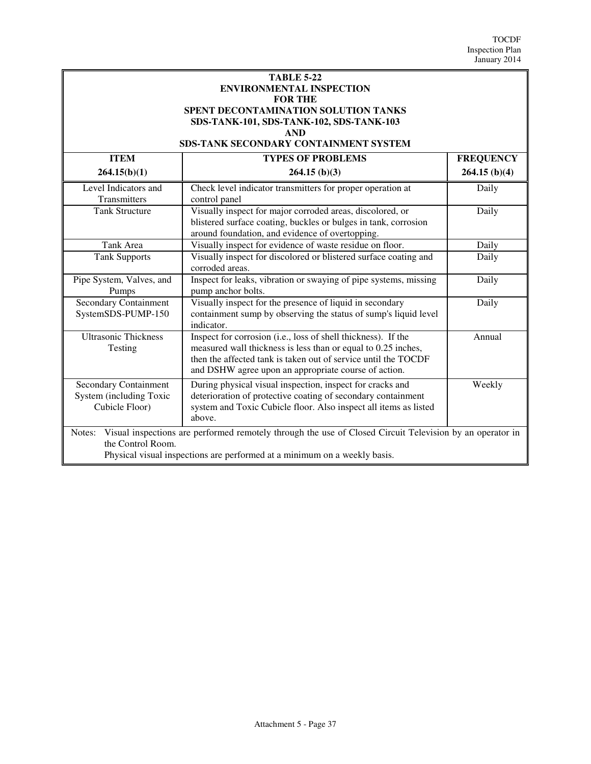| <b>TABLE 5-22</b>                           |
|---------------------------------------------|
| <b>ENVIRONMENTAL INSPECTION</b>             |
| <b>FOR THE</b>                              |
| <b>SPENT DECONTAMINATION SOLUTION TANKS</b> |
| SDS-TANK-101, SDS-TANK-102, SDS-TANK-103    |
| <b>AND</b>                                  |

#### **SDS-TANK SECONDARY CONTAINMENT SYSTEM**

| <b>ITEM</b>                                                                                                                                                                                                          | <b>TYPES OF PROBLEMS</b>                                                                                                                                                                                                                                 | <b>FREQUENCY</b> |
|----------------------------------------------------------------------------------------------------------------------------------------------------------------------------------------------------------------------|----------------------------------------------------------------------------------------------------------------------------------------------------------------------------------------------------------------------------------------------------------|------------------|
| 264.15(b)(1)                                                                                                                                                                                                         | $264.15$ (b)(3)                                                                                                                                                                                                                                          | $264.15$ (b)(4)  |
| Level Indicators and<br>Transmitters                                                                                                                                                                                 | Check level indicator transmitters for proper operation at<br>control panel                                                                                                                                                                              | Daily            |
| <b>Tank Structure</b>                                                                                                                                                                                                | Visually inspect for major corroded areas, discolored, or<br>blistered surface coating, buckles or bulges in tank, corrosion<br>around foundation, and evidence of overtopping.                                                                          | Daily            |
| Tank Area                                                                                                                                                                                                            | Visually inspect for evidence of waste residue on floor.                                                                                                                                                                                                 | Daily            |
| <b>Tank Supports</b>                                                                                                                                                                                                 | Visually inspect for discolored or blistered surface coating and<br>corroded areas.                                                                                                                                                                      | Daily            |
| Pipe System, Valves, and<br>Pumps                                                                                                                                                                                    | Inspect for leaks, vibration or swaying of pipe systems, missing<br>pump anchor bolts.                                                                                                                                                                   | Daily            |
| <b>Secondary Containment</b><br>SystemSDS-PUMP-150                                                                                                                                                                   | Visually inspect for the presence of liquid in secondary<br>containment sump by observing the status of sump's liquid level<br>indicator.                                                                                                                | Daily            |
| <b>Ultrasonic Thickness</b><br>Testing                                                                                                                                                                               | Inspect for corrosion (i.e., loss of shell thickness). If the<br>measured wall thickness is less than or equal to 0.25 inches,<br>then the affected tank is taken out of service until the TOCDF<br>and DSHW agree upon an appropriate course of action. | Annual           |
| Secondary Containment<br>System (including Toxic<br>Cubicle Floor)                                                                                                                                                   | During physical visual inspection, inspect for cracks and<br>deterioration of protective coating of secondary containment<br>system and Toxic Cubicle floor. Also inspect all items as listed<br>above.                                                  | Weekly           |
| Visual inspections are performed remotely through the use of Closed Circuit Television by an operator in<br>Notes:<br>the Control Room.<br>Physical visual inspections are performed at a minimum on a weekly basis. |                                                                                                                                                                                                                                                          |                  |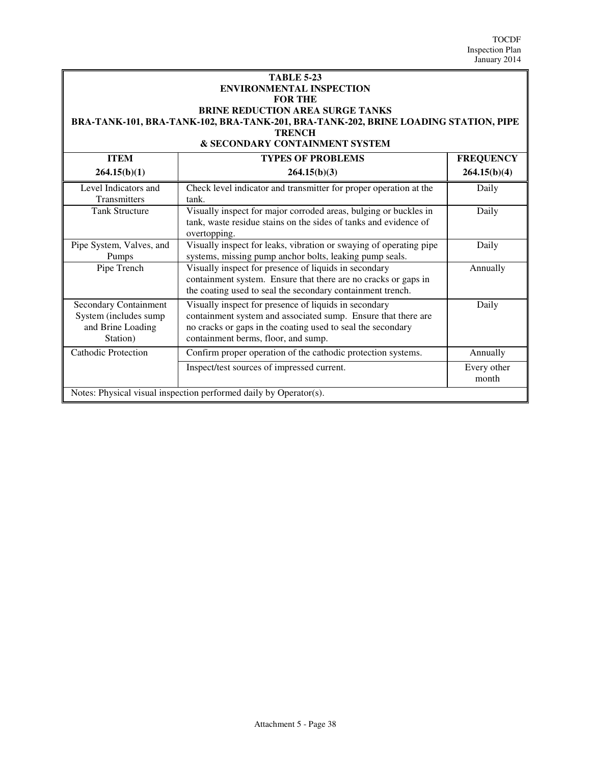#### **TABLE 5-23 ENVIRONMENTAL INSPECTION FOR THE BRINE REDUCTION AREA SURGE TANKS BRA-TANK-101, BRA-TANK-102, BRA-TANK-201, BRA-TANK-202, BRINE LOADING STATION, PIPE TRENCH & SECONDARY CONTAINMENT SYSTEM**

| <b>ITEM</b>                                                                            | <b>TYPES OF PROBLEMS</b>                                                                                                                                                                                                     | <b>FREQUENCY</b>     |
|----------------------------------------------------------------------------------------|------------------------------------------------------------------------------------------------------------------------------------------------------------------------------------------------------------------------------|----------------------|
| 264.15(b)(1)                                                                           | 264.15(b)(3)                                                                                                                                                                                                                 | 264.15(b)(4)         |
| Level Indicators and<br>Transmitters                                                   | Check level indicator and transmitter for proper operation at the<br>tank.                                                                                                                                                   | Daily                |
| <b>Tank Structure</b>                                                                  | Visually inspect for major corroded areas, bulging or buckles in<br>tank, waste residue stains on the sides of tanks and evidence of<br>overtopping.                                                                         | Daily                |
| Pipe System, Valves, and<br>Pumps                                                      | Visually inspect for leaks, vibration or swaying of operating pipe<br>systems, missing pump anchor bolts, leaking pump seals.                                                                                                | Daily                |
| Pipe Trench                                                                            | Visually inspect for presence of liquids in secondary<br>containment system. Ensure that there are no cracks or gaps in<br>the coating used to seal the secondary containment trench.                                        | Annually             |
| <b>Secondary Containment</b><br>System (includes sump<br>and Brine Loading<br>Station) | Visually inspect for presence of liquids in secondary<br>containment system and associated sump. Ensure that there are<br>no cracks or gaps in the coating used to seal the secondary<br>containment berms, floor, and sump. | Daily                |
| Cathodic Protection                                                                    | Confirm proper operation of the cathodic protection systems.                                                                                                                                                                 | Annually             |
|                                                                                        | Inspect/test sources of impressed current.                                                                                                                                                                                   | Every other<br>month |
| Notes: Physical visual inspection performed daily by Operator(s).                      |                                                                                                                                                                                                                              |                      |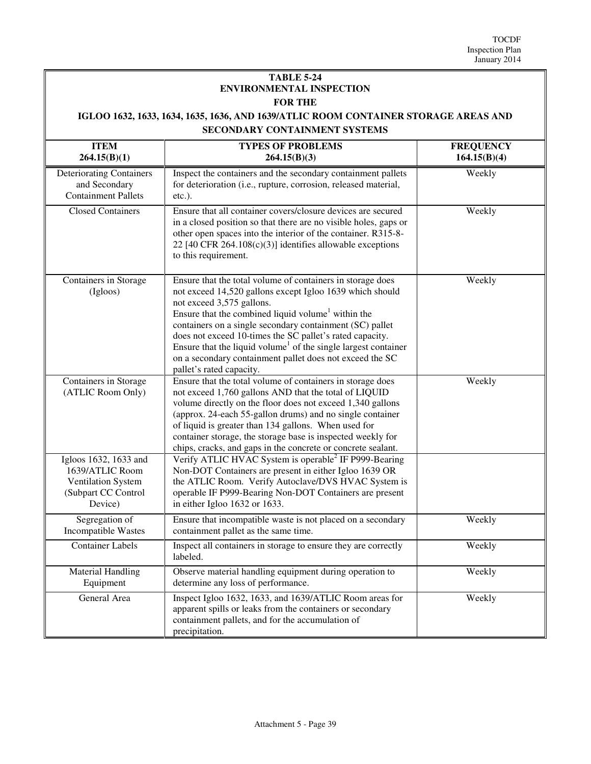### **TABLE 5-24 ENVIRONMENTAL INSPECTION FOR THE**

## **IGLOO 1632, 1633, 1634, 1635, 1636, AND 1639/ATLIC ROOM CONTAINER STORAGE AREAS AND SECONDARY CONTAINMENT SYSTEMS**

| <b>ITEM</b><br>264.15(B)(1)                                                                      | <b>TYPES OF PROBLEMS</b><br>264.15(B)(3)                                                                                                                                                                                                                                                                                                                                                                                                                                                                            | <b>FREQUENCY</b><br>164.15(B)(4) |
|--------------------------------------------------------------------------------------------------|---------------------------------------------------------------------------------------------------------------------------------------------------------------------------------------------------------------------------------------------------------------------------------------------------------------------------------------------------------------------------------------------------------------------------------------------------------------------------------------------------------------------|----------------------------------|
| <b>Deteriorating Containers</b><br>and Secondary<br><b>Containment Pallets</b>                   | Inspect the containers and the secondary containment pallets<br>for deterioration (i.e., rupture, corrosion, released material,<br>$etc.$ ).                                                                                                                                                                                                                                                                                                                                                                        | Weekly                           |
| <b>Closed Containers</b>                                                                         | Ensure that all container covers/closure devices are secured<br>in a closed position so that there are no visible holes, gaps or<br>other open spaces into the interior of the container. R315-8-<br>22 [40 CFR $264.108(c)(3)$ ] identifies allowable exceptions<br>to this requirement.                                                                                                                                                                                                                           | Weekly                           |
| Containers in Storage<br>(Igloos)                                                                | Ensure that the total volume of containers in storage does<br>not exceed 14,520 gallons except Igloo 1639 which should<br>not exceed 3,575 gallons.<br>Ensure that the combined liquid volume <sup>1</sup> within the<br>containers on a single secondary containment (SC) pallet<br>does not exceed 10-times the SC pallet's rated capacity.<br>Ensure that the liquid volume <sup>1</sup> of the single largest container<br>on a secondary containment pallet does not exceed the SC<br>pallet's rated capacity. | Weekly                           |
| Containers in Storage<br>(ATLIC Room Only)                                                       | Ensure that the total volume of containers in storage does<br>not exceed 1,760 gallons AND that the total of LIQUID<br>volume directly on the floor does not exceed 1,340 gallons<br>(approx. 24-each 55-gallon drums) and no single container<br>of liquid is greater than 134 gallons. When used for<br>container storage, the storage base is inspected weekly for<br>chips, cracks, and gaps in the concrete or concrete sealant.                                                                               | Weekly                           |
| Igloos 1632, 1633 and<br>1639/ATLIC Room<br>Ventilation System<br>(Subpart CC Control<br>Device) | Verify ATLIC HVAC System is operable <sup>2</sup> IF P999-Bearing<br>Non-DOT Containers are present in either Igloo 1639 OR<br>the ATLIC Room. Verify Autoclave/DVS HVAC System is<br>operable IF P999-Bearing Non-DOT Containers are present<br>in either Igloo 1632 or 1633.                                                                                                                                                                                                                                      |                                  |
| Segregation of<br>Incompatible Wastes                                                            | Ensure that incompatible waste is not placed on a secondary<br>containment pallet as the same time.                                                                                                                                                                                                                                                                                                                                                                                                                 | Weekly                           |
| <b>Container Labels</b>                                                                          | Inspect all containers in storage to ensure they are correctly<br>labeled.                                                                                                                                                                                                                                                                                                                                                                                                                                          | Weekly                           |
| <b>Material Handling</b><br>Equipment                                                            | Observe material handling equipment during operation to<br>determine any loss of performance.                                                                                                                                                                                                                                                                                                                                                                                                                       | Weekly                           |
| General Area                                                                                     | Inspect Igloo 1632, 1633, and 1639/ATLIC Room areas for<br>apparent spills or leaks from the containers or secondary<br>containment pallets, and for the accumulation of<br>precipitation.                                                                                                                                                                                                                                                                                                                          | Weekly                           |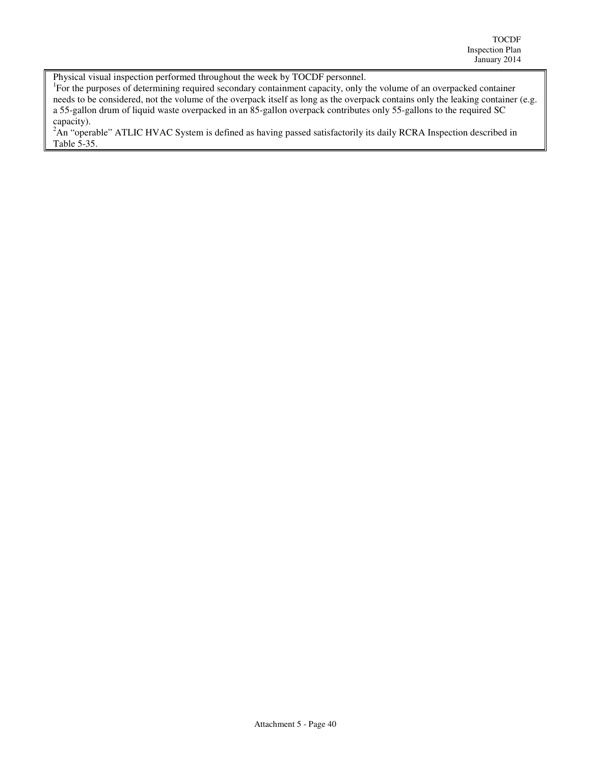Physical visual inspection performed throughout the week by TOCDF personnel.

<sup>1</sup>For the purposes of determining required secondary containment capacity, only the volume of an overpacked container needs to be considered, not the volume of the overpack itself as long as the overpack contains only the leaking container (e.g. a 55-gallon drum of liquid waste overpacked in an 85-gallon overpack contributes only 55-gallons to the required SC capacity).

<sup>2</sup>An "operable" ATLIC HVAC System is defined as having passed satisfactorily its daily RCRA Inspection described in Table 5-35.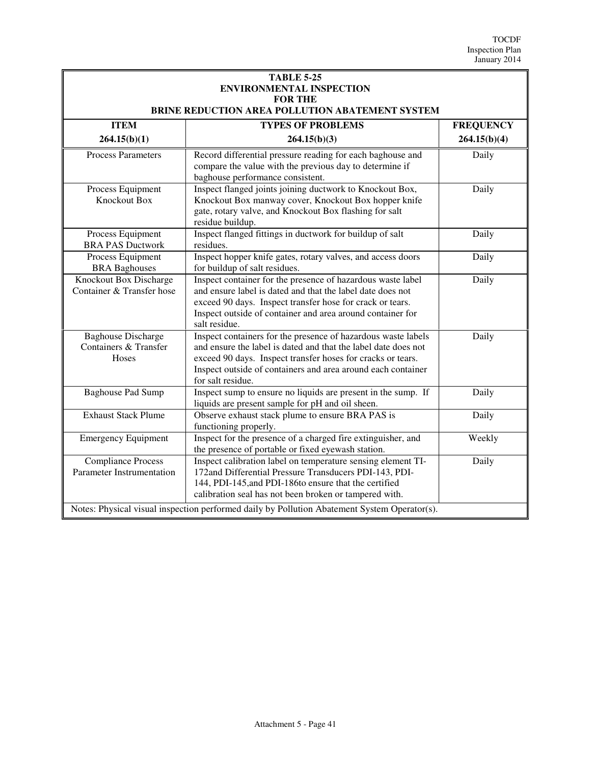| <b>TABLE 5-25</b><br><b>ENVIRONMENTAL INSPECTION</b><br><b>FOR THE</b><br>BRINE REDUCTION AREA POLLUTION ABATEMENT SYSTEM |                                                                                                                                                                                                                                                                                                                                           |                  |
|---------------------------------------------------------------------------------------------------------------------------|-------------------------------------------------------------------------------------------------------------------------------------------------------------------------------------------------------------------------------------------------------------------------------------------------------------------------------------------|------------------|
| <b>ITEM</b>                                                                                                               | <b>TYPES OF PROBLEMS</b>                                                                                                                                                                                                                                                                                                                  | <b>FREQUENCY</b> |
| 264.15(b)(1)                                                                                                              | 264.15(b)(3)                                                                                                                                                                                                                                                                                                                              | 264.15(b)(4)     |
| <b>Process Parameters</b>                                                                                                 | Record differential pressure reading for each baghouse and<br>compare the value with the previous day to determine if<br>baghouse performance consistent.                                                                                                                                                                                 | Daily            |
| Process Equipment<br>Knockout Box                                                                                         | Inspect flanged joints joining ductwork to Knockout Box,<br>Knockout Box manway cover, Knockout Box hopper knife<br>gate, rotary valve, and Knockout Box flashing for salt<br>residue buildup.                                                                                                                                            | Daily            |
| Process Equipment<br><b>BRA PAS Ductwork</b>                                                                              | Inspect flanged fittings in ductwork for buildup of salt<br>residues.                                                                                                                                                                                                                                                                     | Daily            |
| Process Equipment<br><b>BRA</b> Baghouses                                                                                 | Inspect hopper knife gates, rotary valves, and access doors<br>for buildup of salt residues.                                                                                                                                                                                                                                              | Daily            |
| Knockout Box Discharge<br>Container & Transfer hose                                                                       | Inspect container for the presence of hazardous waste label<br>and ensure label is dated and that the label date does not<br>exceed 90 days. Inspect transfer hose for crack or tears.<br>Inspect outside of container and area around container for<br>salt residue.                                                                     | Daily            |
| <b>Baghouse Discharge</b><br>Containers & Transfer<br><b>Hoses</b>                                                        | Inspect containers for the presence of hazardous waste labels<br>and ensure the label is dated and that the label date does not<br>exceed 90 days. Inspect transfer hoses for cracks or tears.<br>Inspect outside of containers and area around each container<br>for salt residue.                                                       | Daily            |
| <b>Baghouse Pad Sump</b>                                                                                                  | Inspect sump to ensure no liquids are present in the sump. If<br>liquids are present sample for pH and oil sheen.                                                                                                                                                                                                                         | Daily            |
| <b>Exhaust Stack Plume</b>                                                                                                | Observe exhaust stack plume to ensure BRA PAS is<br>functioning properly.                                                                                                                                                                                                                                                                 | Daily            |
| <b>Emergency Equipment</b>                                                                                                | Inspect for the presence of a charged fire extinguisher, and<br>the presence of portable or fixed eyewash station.                                                                                                                                                                                                                        | Weekly           |
| <b>Compliance Process</b><br>Parameter Instrumentation                                                                    | Inspect calibration label on temperature sensing element TI-<br>172and Differential Pressure Transducers PDI-143, PDI-<br>144, PDI-145, and PDI-186to ensure that the certified<br>calibration seal has not been broken or tampered with.<br>Notes: Physical visual inspection performed daily by Pollution Abatement System Operator(s). | Daily            |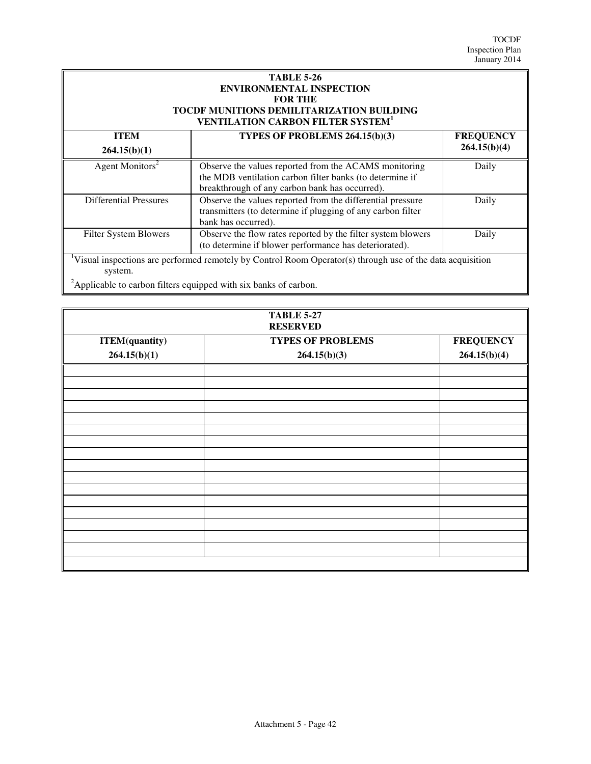| <b>TABLE 5-26</b>                                   |
|-----------------------------------------------------|
| <b>ENVIRONMENTAL INSPECTION</b>                     |
| <b>FOR THE</b>                                      |
| <b>TOCDF MUNITIONS DEMILITARIZATION BUILDING</b>    |
| <b>VENTILATION CARBON FILTER SYSTEM<sup>1</sup></b> |

| <b>ITEM</b>                   | TYPES OF PROBLEMS 264.15(b)(3)                                                                                                                                      | <b>FREQUENCY</b> |
|-------------------------------|---------------------------------------------------------------------------------------------------------------------------------------------------------------------|------------------|
| 264.15(b)(1)                  |                                                                                                                                                                     | 264.15(b)(4)     |
| Agent Monitors <sup>2</sup>   | Observe the values reported from the ACAMS monitoring<br>the MDB ventilation carbon filter banks (to determine if<br>breakthrough of any carbon bank has occurred). | Daily            |
| <b>Differential Pressures</b> | Observe the values reported from the differential pressure<br>transmitters (to determine if plugging of any carbon filter<br>bank has occurred).                    | Daily            |
| Filter System Blowers         | Observe the flow rates reported by the filter system blowers<br>(to determine if blower performance has deteriorated).                                              | Daily            |
| system.                       | <sup>1</sup> Visual inspections are performed remotely by Control Room Operator(s) through use of the data acquisition                                              |                  |

<sup>2</sup>Applicable to carbon filters equipped with six banks of carbon.

| <b>TABLE 5-27</b><br><b>RESERVED</b> |                          |                  |
|--------------------------------------|--------------------------|------------------|
| <b>ITEM</b> (quantity)               | <b>TYPES OF PROBLEMS</b> | <b>FREQUENCY</b> |
| 264.15(b)(1)                         | 264.15(b)(3)             | 264.15(b)(4)     |
|                                      |                          |                  |
|                                      |                          |                  |
|                                      |                          |                  |
|                                      |                          |                  |
|                                      |                          |                  |
|                                      |                          |                  |
|                                      |                          |                  |
|                                      |                          |                  |
|                                      |                          |                  |
|                                      |                          |                  |
|                                      |                          |                  |
|                                      |                          |                  |
|                                      |                          |                  |
|                                      |                          |                  |
|                                      |                          |                  |
|                                      |                          |                  |
|                                      |                          |                  |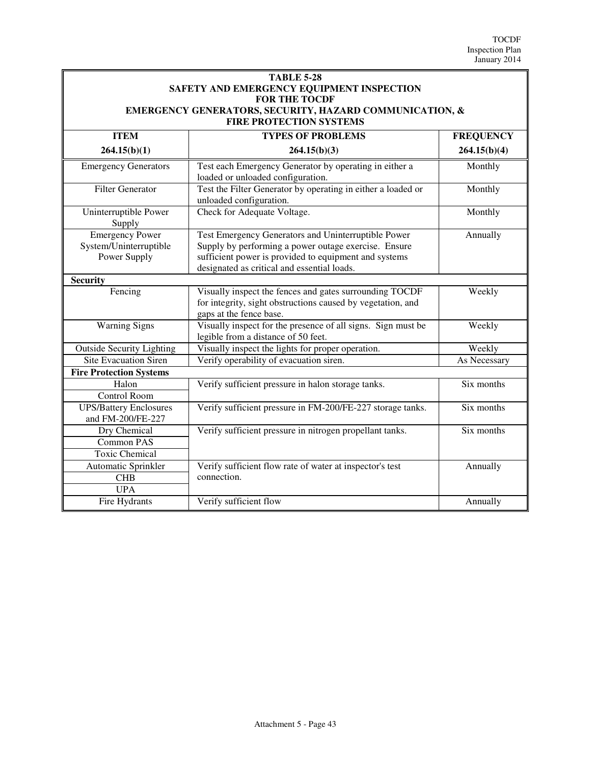#### **TABLE 5-28 SAFETY AND EMERGENCY EQUIPMENT INSPECTION FOR THE TOCDF EMERGENCY GENERATORS, SECURITY, HAZARD COMMUNICATION, & FIRE PROTECTION SYSTEMS**

| <b>ITEM</b>                                                      | <b>TYPES OF PROBLEMS</b>                                                                                                                                                                                            | <b>FREQUENCY</b> |
|------------------------------------------------------------------|---------------------------------------------------------------------------------------------------------------------------------------------------------------------------------------------------------------------|------------------|
| 264.15(b)(1)                                                     | 264.15(b)(3)                                                                                                                                                                                                        | 264.15(b)(4)     |
| <b>Emergency Generators</b>                                      | Test each Emergency Generator by operating in either a<br>loaded or unloaded configuration.                                                                                                                         | Monthly          |
| <b>Filter Generator</b>                                          | Test the Filter Generator by operating in either a loaded or<br>unloaded configuration.                                                                                                                             | Monthly          |
| Uninterruptible Power<br>Supply                                  | Check for Adequate Voltage.                                                                                                                                                                                         | Monthly          |
| <b>Emergency Power</b><br>System/Uninterruptible<br>Power Supply | Test Emergency Generators and Uninterruptible Power<br>Supply by performing a power outage exercise. Ensure<br>sufficient power is provided to equipment and systems<br>designated as critical and essential loads. | Annually         |
| <b>Security</b>                                                  |                                                                                                                                                                                                                     |                  |
| Fencing                                                          | Visually inspect the fences and gates surrounding TOCDF<br>for integrity, sight obstructions caused by vegetation, and<br>gaps at the fence base.                                                                   | Weekly           |
| <b>Warning Signs</b>                                             | Visually inspect for the presence of all signs. Sign must be<br>legible from a distance of 50 feet.                                                                                                                 | Weekly           |
| <b>Outside Security Lighting</b>                                 | Visually inspect the lights for proper operation.                                                                                                                                                                   | Weekly           |
| <b>Site Evacuation Siren</b>                                     | Verify operability of evacuation siren.                                                                                                                                                                             | As Necessary     |
| <b>Fire Protection Systems</b>                                   |                                                                                                                                                                                                                     |                  |
| Halon<br><b>Control Room</b>                                     | Verify sufficient pressure in halon storage tanks.                                                                                                                                                                  | Six months       |
| <b>UPS/Battery Enclosures</b><br>and FM-200/FE-227               | Verify sufficient pressure in FM-200/FE-227 storage tanks.                                                                                                                                                          | Six months       |
| Dry Chemical                                                     | Verify sufficient pressure in nitrogen propellant tanks.                                                                                                                                                            | Six months       |
| <b>Common PAS</b>                                                |                                                                                                                                                                                                                     |                  |
| <b>Toxic Chemical</b>                                            |                                                                                                                                                                                                                     |                  |
| Automatic Sprinkler                                              | Verify sufficient flow rate of water at inspector's test                                                                                                                                                            | Annually         |
| <b>CHB</b>                                                       | connection.                                                                                                                                                                                                         |                  |
| <b>UPA</b>                                                       |                                                                                                                                                                                                                     |                  |
| Fire Hydrants                                                    | Verify sufficient flow                                                                                                                                                                                              | Annually         |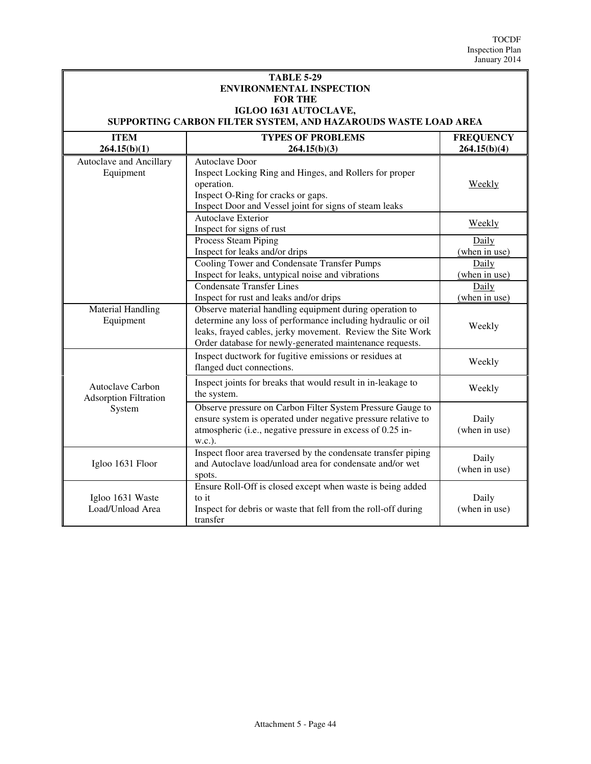| <b>TABLE 5-29</b><br><b>ENVIRONMENTAL INSPECTION</b><br><b>FOR THE</b><br>IGLOO 1631 AUTOCLAVE,<br>SUPPORTING CARBON FILTER SYSTEM, AND HAZAROUDS WASTE LOAD AREA |                                                                                                                                                                                                                                                   |                                  |
|-------------------------------------------------------------------------------------------------------------------------------------------------------------------|---------------------------------------------------------------------------------------------------------------------------------------------------------------------------------------------------------------------------------------------------|----------------------------------|
| <b>ITEM</b><br>264.15(b)(1)                                                                                                                                       | <b>TYPES OF PROBLEMS</b><br>264.15(b)(3)                                                                                                                                                                                                          | <b>FREQUENCY</b><br>264.15(b)(4) |
| Autoclave and Ancillary<br>Equipment                                                                                                                              | <b>Autoclave Door</b><br>Inspect Locking Ring and Hinges, and Rollers for proper<br>operation.<br>Inspect O-Ring for cracks or gaps.<br>Inspect Door and Vessel joint for signs of steam leaks                                                    | Weekly                           |
|                                                                                                                                                                   | <b>Autoclave Exterior</b><br>Inspect for signs of rust                                                                                                                                                                                            | Weekly                           |
|                                                                                                                                                                   | Process Steam Piping<br>Inspect for leaks and/or drips                                                                                                                                                                                            | Daily<br>(when in use)           |
|                                                                                                                                                                   | Cooling Tower and Condensate Transfer Pumps<br>Inspect for leaks, untypical noise and vibrations                                                                                                                                                  | Daily<br>(when in use)           |
|                                                                                                                                                                   | <b>Condensate Transfer Lines</b><br>Inspect for rust and leaks and/or drips                                                                                                                                                                       | Daily<br>(when in use)           |
| <b>Material Handling</b><br>Equipment                                                                                                                             | Observe material handling equipment during operation to<br>determine any loss of performance including hydraulic or oil<br>leaks, frayed cables, jerky movement. Review the Site Work<br>Order database for newly-generated maintenance requests. | Weekly                           |
|                                                                                                                                                                   | Inspect ductwork for fugitive emissions or residues at<br>flanged duct connections.                                                                                                                                                               | Weekly                           |
| Autoclave Carbon<br><b>Adsorption Filtration</b>                                                                                                                  | Inspect joints for breaks that would result in in-leakage to<br>the system.                                                                                                                                                                       | Weekly                           |
| System                                                                                                                                                            | Observe pressure on Carbon Filter System Pressure Gauge to<br>ensure system is operated under negative pressure relative to<br>atmospheric (i.e., negative pressure in excess of 0.25 in-<br>w.c.).                                               | Daily<br>(when in use)           |
| Igloo 1631 Floor                                                                                                                                                  | Inspect floor area traversed by the condensate transfer piping<br>and Autoclave load/unload area for condensate and/or wet<br>spots.                                                                                                              | Daily<br>(when in use)           |
| Igloo 1631 Waste<br>Load/Unload Area                                                                                                                              | Ensure Roll-Off is closed except when waste is being added<br>to it<br>Inspect for debris or waste that fell from the roll-off during<br>transfer                                                                                                 | Daily<br>(when in use)           |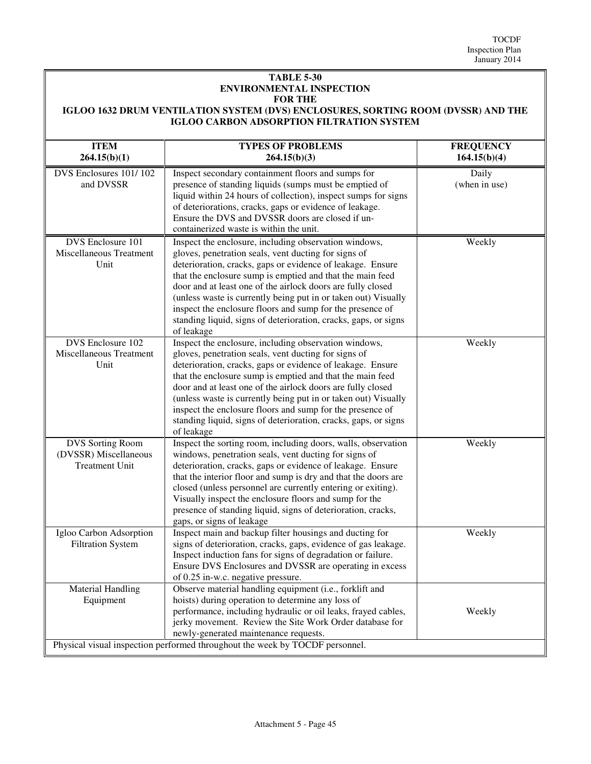#### **TABLE 5-30 ENVIRONMENTAL INSPECTION FOR THE IGLOO 1632 DRUM VENTILATION SYSTEM (DVS) ENCLOSURES, SORTING ROOM (DVSSR) AND THE**

## **IGLOO CARBON ADSORPTION FILTRATION SYSTEM**

| <b>ITEM</b><br>264.15(b)(1)                                               | <b>TYPES OF PROBLEMS</b><br>264.15(b)(3)                                                                                                                                                                                                                                                                                                                                                                                                                                                                                | <b>FREQUENCY</b><br>164.15(b)(4) |
|---------------------------------------------------------------------------|-------------------------------------------------------------------------------------------------------------------------------------------------------------------------------------------------------------------------------------------------------------------------------------------------------------------------------------------------------------------------------------------------------------------------------------------------------------------------------------------------------------------------|----------------------------------|
| DVS Enclosures 101/102<br>and DVSSR                                       | Inspect secondary containment floors and sumps for<br>presence of standing liquids (sumps must be emptied of<br>liquid within 24 hours of collection), inspect sumps for signs<br>of deteriorations, cracks, gaps or evidence of leakage.<br>Ensure the DVS and DVSSR doors are closed if un-<br>containerized waste is within the unit.                                                                                                                                                                                | Daily<br>(when in use)           |
| DVS Enclosure 101<br>Miscellaneous Treatment<br>Unit                      | Inspect the enclosure, including observation windows,<br>gloves, penetration seals, vent ducting for signs of<br>deterioration, cracks, gaps or evidence of leakage. Ensure<br>that the enclosure sump is emptied and that the main feed<br>door and at least one of the airlock doors are fully closed<br>(unless waste is currently being put in or taken out) Visually<br>inspect the enclosure floors and sump for the presence of<br>standing liquid, signs of deterioration, cracks, gaps, or signs<br>of leakage | Weekly                           |
| DVS Enclosure 102<br>Miscellaneous Treatment<br>Unit                      | Inspect the enclosure, including observation windows,<br>gloves, penetration seals, vent ducting for signs of<br>deterioration, cracks, gaps or evidence of leakage. Ensure<br>that the enclosure sump is emptied and that the main feed<br>door and at least one of the airlock doors are fully closed<br>(unless waste is currently being put in or taken out) Visually<br>inspect the enclosure floors and sump for the presence of<br>standing liquid, signs of deterioration, cracks, gaps, or signs<br>of leakage | Weekly                           |
| <b>DVS</b> Sorting Room<br>(DVSSR) Miscellaneous<br><b>Treatment Unit</b> | Inspect the sorting room, including doors, walls, observation<br>windows, penetration seals, vent ducting for signs of<br>deterioration, cracks, gaps or evidence of leakage. Ensure<br>that the interior floor and sump is dry and that the doors are<br>closed (unless personnel are currently entering or exiting).<br>Visually inspect the enclosure floors and sump for the<br>presence of standing liquid, signs of deterioration, cracks,<br>gaps, or signs of leakage                                           | Weekly                           |
| Igloo Carbon Adsorption<br><b>Filtration System</b>                       | Inspect main and backup filter housings and ducting for<br>signs of deterioration, cracks, gaps, evidence of gas leakage.<br>Inspect induction fans for signs of degradation or failure.<br>Ensure DVS Enclosures and DVSSR are operating in excess<br>of 0.25 in-w.c. negative pressure.                                                                                                                                                                                                                               | Weekly                           |
| <b>Material Handling</b><br>Equipment                                     | Observe material handling equipment (i.e., forklift and<br>hoists) during operation to determine any loss of<br>performance, including hydraulic or oil leaks, frayed cables,<br>jerky movement. Review the Site Work Order database for<br>newly-generated maintenance requests.<br>Physical visual inspection performed throughout the week by TOCDF personnel.                                                                                                                                                       | Weekly                           |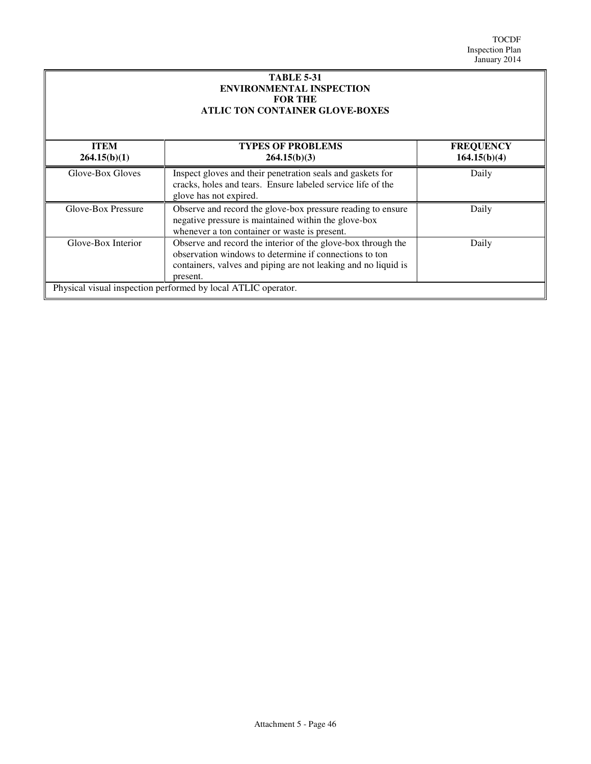| <b>TABLE 5-31</b><br><b>ENVIRONMENTAL INSPECTION</b><br><b>FOR THE</b><br><b>ATLIC TON CONTAINER GLOVE-BOXES</b> |                                                                                                                                                                                                      |                                  |
|------------------------------------------------------------------------------------------------------------------|------------------------------------------------------------------------------------------------------------------------------------------------------------------------------------------------------|----------------------------------|
| <b>ITEM</b><br>264.15(b)(1)                                                                                      | <b>TYPES OF PROBLEMS</b><br>264.15(b)(3)                                                                                                                                                             | <b>FREQUENCY</b><br>164.15(b)(4) |
| Glove-Box Gloves                                                                                                 | Inspect gloves and their penetration seals and gaskets for<br>cracks, holes and tears. Ensure labeled service life of the<br>glove has not expired.                                                  | Daily                            |
| Glove-Box Pressure                                                                                               | Observe and record the glove-box pressure reading to ensure<br>negative pressure is maintained within the glove-box<br>whenever a ton container or waste is present.                                 | Daily                            |
| Glove-Box Interior                                                                                               | Observe and record the interior of the glove-box through the<br>observation windows to determine if connections to ton<br>containers, valves and piping are not leaking and no liquid is<br>present. | Daily                            |
| Physical visual inspection performed by local ATLIC operator.                                                    |                                                                                                                                                                                                      |                                  |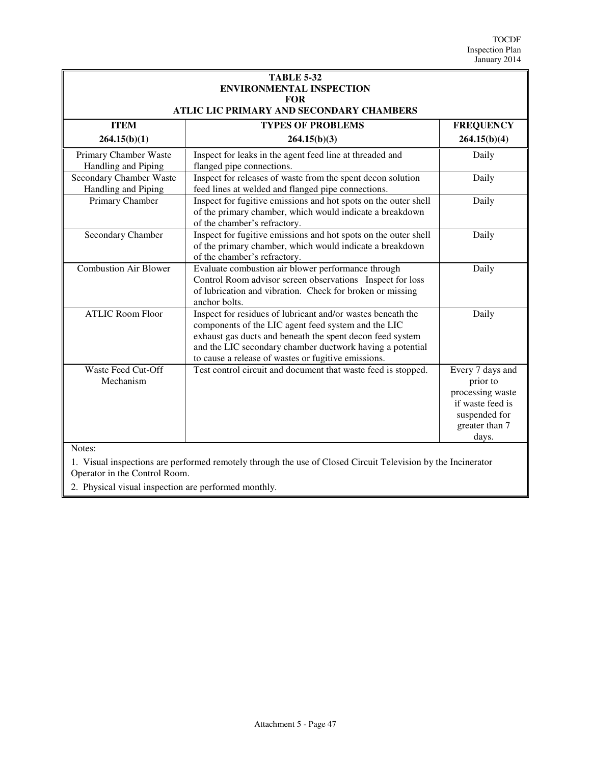| <b>TABLE 5-32</b><br><b>ENVIRONMENTAL INSPECTION</b><br><b>FOR</b> |                                                                                                                                                                                                                                                                                                     |                                                                                                                  |  |
|--------------------------------------------------------------------|-----------------------------------------------------------------------------------------------------------------------------------------------------------------------------------------------------------------------------------------------------------------------------------------------------|------------------------------------------------------------------------------------------------------------------|--|
|                                                                    | ATLIC LIC PRIMARY AND SECONDARY CHAMBERS                                                                                                                                                                                                                                                            |                                                                                                                  |  |
| <b>ITEM</b>                                                        | <b>TYPES OF PROBLEMS</b>                                                                                                                                                                                                                                                                            | <b>FREQUENCY</b>                                                                                                 |  |
| 264.15(b)(1)                                                       | 264.15(b)(3)                                                                                                                                                                                                                                                                                        | 264.15(b)(4)                                                                                                     |  |
| Primary Chamber Waste<br>Handling and Piping                       | Inspect for leaks in the agent feed line at threaded and<br>flanged pipe connections.                                                                                                                                                                                                               | Daily                                                                                                            |  |
| <b>Secondary Chamber Waste</b><br>Handling and Piping              | Inspect for releases of waste from the spent decon solution<br>feed lines at welded and flanged pipe connections.                                                                                                                                                                                   | Daily                                                                                                            |  |
| Primary Chamber                                                    | Inspect for fugitive emissions and hot spots on the outer shell<br>of the primary chamber, which would indicate a breakdown<br>of the chamber's refractory.                                                                                                                                         | Daily                                                                                                            |  |
| Secondary Chamber                                                  | Inspect for fugitive emissions and hot spots on the outer shell<br>of the primary chamber, which would indicate a breakdown<br>of the chamber's refractory.                                                                                                                                         | Daily                                                                                                            |  |
| <b>Combustion Air Blower</b>                                       | Evaluate combustion air blower performance through<br>Control Room advisor screen observations Inspect for loss<br>of lubrication and vibration. Check for broken or missing<br>anchor bolts.                                                                                                       | Daily                                                                                                            |  |
| <b>ATLIC Room Floor</b>                                            | Inspect for residues of lubricant and/or wastes beneath the<br>components of the LIC agent feed system and the LIC<br>exhaust gas ducts and beneath the spent decon feed system<br>and the LIC secondary chamber ductwork having a potential<br>to cause a release of wastes or fugitive emissions. | Daily                                                                                                            |  |
| Waste Feed Cut-Off<br>Mechanism                                    | Test control circuit and document that waste feed is stopped.                                                                                                                                                                                                                                       | Every 7 days and<br>prior to<br>processing waste<br>if waste feed is<br>suspended for<br>greater than 7<br>days. |  |

Notes:

1. Visual inspections are performed remotely through the use of Closed Circuit Television by the Incinerator Operator in the Control Room.

2. Physical visual inspection are performed monthly.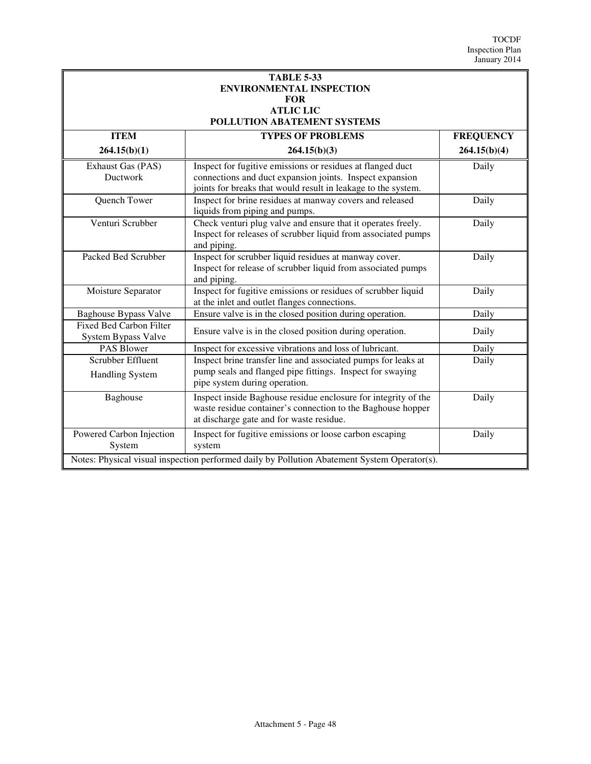| <b>TABLE 5-33</b><br><b>ENVIRONMENTAL INSPECTION</b><br><b>FOR</b>                           |                                                                                                                                                                                         |                  |  |
|----------------------------------------------------------------------------------------------|-----------------------------------------------------------------------------------------------------------------------------------------------------------------------------------------|------------------|--|
| <b>ATLIC LIC</b>                                                                             |                                                                                                                                                                                         |                  |  |
|                                                                                              | POLLUTION ABATEMENT SYSTEMS                                                                                                                                                             |                  |  |
| <b>ITEM</b>                                                                                  | <b>TYPES OF PROBLEMS</b>                                                                                                                                                                | <b>FREQUENCY</b> |  |
| 264.15(b)(1)                                                                                 | 264.15(b)(3)                                                                                                                                                                            | 264.15(b)(4)     |  |
| Exhaust Gas (PAS)<br><b>Ductwork</b>                                                         | Inspect for fugitive emissions or residues at flanged duct<br>connections and duct expansion joints. Inspect expansion<br>joints for breaks that would result in leakage to the system. | Daily            |  |
| Quench Tower                                                                                 | Inspect for brine residues at manway covers and released<br>liquids from piping and pumps.                                                                                              | Daily            |  |
| Venturi Scrubber                                                                             | Check venturi plug valve and ensure that it operates freely.<br>Inspect for releases of scrubber liquid from associated pumps<br>and piping.                                            | Daily            |  |
| Packed Bed Scrubber                                                                          | Inspect for scrubber liquid residues at manway cover.<br>Inspect for release of scrubber liquid from associated pumps<br>and piping.                                                    | Daily            |  |
| Moisture Separator                                                                           | Inspect for fugitive emissions or residues of scrubber liquid<br>at the inlet and outlet flanges connections.                                                                           | Daily            |  |
| <b>Baghouse Bypass Valve</b>                                                                 | Ensure valve is in the closed position during operation.                                                                                                                                | Daily            |  |
| Fixed Bed Carbon Filter<br>System Bypass Valve                                               | Ensure valve is in the closed position during operation.                                                                                                                                | Daily            |  |
| <b>PAS Blower</b>                                                                            | Inspect for excessive vibrations and loss of lubricant.                                                                                                                                 | Daily            |  |
| Scrubber Effluent<br><b>Handling System</b>                                                  | Inspect brine transfer line and associated pumps for leaks at<br>pump seals and flanged pipe fittings. Inspect for swaying<br>pipe system during operation.                             | Daily            |  |
| Baghouse                                                                                     | Inspect inside Baghouse residue enclosure for integrity of the<br>waste residue container's connection to the Baghouse hopper<br>at discharge gate and for waste residue.               | Daily            |  |
| Powered Carbon Injection<br>System                                                           | Inspect for fugitive emissions or loose carbon escaping<br>system                                                                                                                       | Daily            |  |
| Notes: Physical visual inspection performed daily by Pollution Abatement System Operator(s). |                                                                                                                                                                                         |                  |  |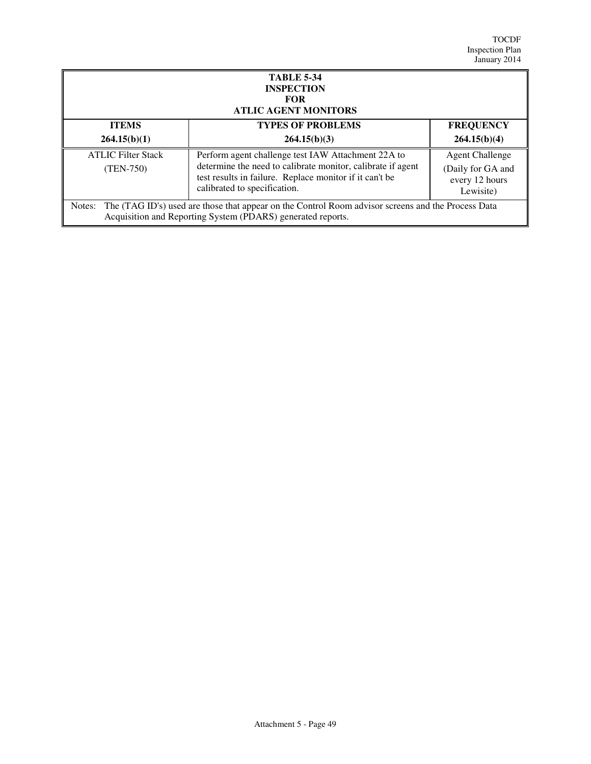| <b>TABLE 5-34</b><br><b>INSPECTION</b><br><b>FOR</b><br><b>ATLIC AGENT MONITORS</b>                                                                                         |                                                                                                                                                        |                                                  |
|-----------------------------------------------------------------------------------------------------------------------------------------------------------------------------|--------------------------------------------------------------------------------------------------------------------------------------------------------|--------------------------------------------------|
| <b>ITEMS</b>                                                                                                                                                                | <b>TYPES OF PROBLEMS</b>                                                                                                                               | <b>FREQUENCY</b>                                 |
| 264.15(b)(1)                                                                                                                                                                | 264.15(b)(3)                                                                                                                                           | 264.15(b)(4)                                     |
| <b>ATLIC Filter Stack</b>                                                                                                                                                   | Perform agent challenge test IAW Attachment 22A to                                                                                                     | <b>Agent Challenge</b>                           |
| $(TEM-750)$                                                                                                                                                                 | determine the need to calibrate monitor, calibrate if agent<br>test results in failure. Replace monitor if it can't be<br>calibrated to specification. | (Daily for GA and<br>every 12 hours<br>Lewisite) |
| The (TAG ID's) used are those that appear on the Control Room advisor screens and the Process Data<br>Notes:<br>Acquisition and Reporting System (PDARS) generated reports. |                                                                                                                                                        |                                                  |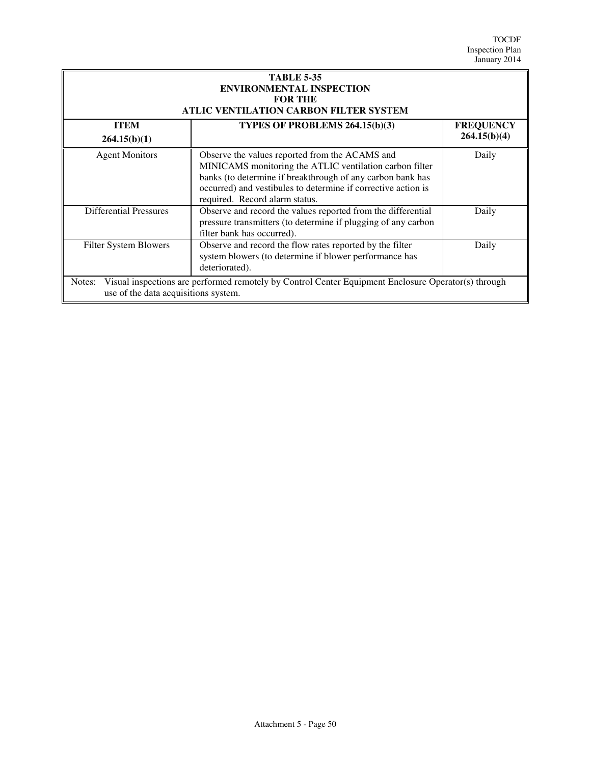| <b>TABLE 5-35</b><br><b>ENVIRONMENTAL INSPECTION</b><br><b>FOR THE</b><br>ATLIC VENTILATION CARBON FILTER SYSTEM                                      |                                                                                                                                                                                                                                                                            |                                  |
|-------------------------------------------------------------------------------------------------------------------------------------------------------|----------------------------------------------------------------------------------------------------------------------------------------------------------------------------------------------------------------------------------------------------------------------------|----------------------------------|
| <b>ITEM</b><br>264.15(b)(1)                                                                                                                           | TYPES OF PROBLEMS 264.15(b)(3)                                                                                                                                                                                                                                             | <b>FREQUENCY</b><br>264.15(b)(4) |
| <b>Agent Monitors</b>                                                                                                                                 | Observe the values reported from the ACAMS and<br>MINICAMS monitoring the ATLIC ventilation carbon filter<br>banks (to determine if breakthrough of any carbon bank has<br>occurred) and vestibules to determine if corrective action is<br>required. Record alarm status. | Daily                            |
| <b>Differential Pressures</b>                                                                                                                         | Observe and record the values reported from the differential<br>pressure transmitters (to determine if plugging of any carbon<br>filter bank has occurred).                                                                                                                | Daily                            |
| Filter System Blowers                                                                                                                                 | Observe and record the flow rates reported by the filter<br>system blowers (to determine if blower performance has<br>deteriorated).                                                                                                                                       | Daily                            |
| Visual inspections are performed remotely by Control Center Equipment Enclosure Operator(s) through<br>Notes:<br>use of the data acquisitions system. |                                                                                                                                                                                                                                                                            |                                  |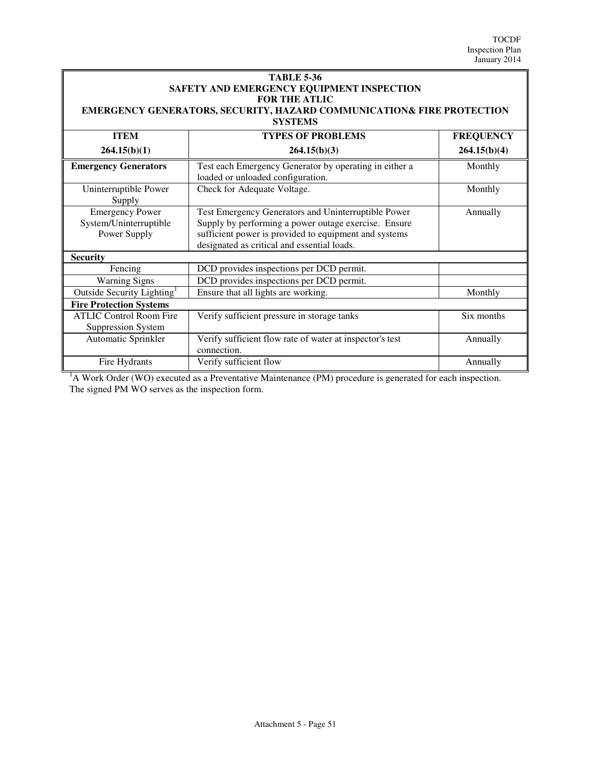| <b>TABLE 5-36</b>                                                                                                                                            |                                                                                                                                                                                                                     |            |  |  |              |                          |                  |
|--------------------------------------------------------------------------------------------------------------------------------------------------------------|---------------------------------------------------------------------------------------------------------------------------------------------------------------------------------------------------------------------|------------|--|--|--------------|--------------------------|------------------|
| SAFETY AND EMERGENCY EQUIPMENT INSPECTION<br><b>FOR THE ATLIC</b><br>EMERGENCY GENERATORS, SECURITY, HAZARD COMMUNICATION& FIRE PROTECTION<br><b>SYSTEMS</b> |                                                                                                                                                                                                                     |            |  |  |              |                          |                  |
|                                                                                                                                                              |                                                                                                                                                                                                                     |            |  |  | <b>ITEM</b>  | <b>TYPES OF PROBLEMS</b> | <b>FREQUENCY</b> |
|                                                                                                                                                              |                                                                                                                                                                                                                     |            |  |  | 264.15(b)(1) | 264.15(b)(3)             | 264.15(b)(4)     |
| <b>Emergency Generators</b>                                                                                                                                  | Test each Emergency Generator by operating in either a<br>loaded or unloaded configuration.                                                                                                                         | Monthly    |  |  |              |                          |                  |
| Uninterruptible Power<br>Supply                                                                                                                              | Check for Adequate Voltage.                                                                                                                                                                                         | Monthly    |  |  |              |                          |                  |
| <b>Emergency Power</b><br>System/Uninterruptible<br>Power Supply                                                                                             | Test Emergency Generators and Uninterruptible Power<br>Supply by performing a power outage exercise. Ensure<br>sufficient power is provided to equipment and systems<br>designated as critical and essential loads. | Annually   |  |  |              |                          |                  |
| <b>Security</b>                                                                                                                                              |                                                                                                                                                                                                                     |            |  |  |              |                          |                  |
| Fencing                                                                                                                                                      | DCD provides inspections per DCD permit.                                                                                                                                                                            |            |  |  |              |                          |                  |
| <b>Warning Signs</b>                                                                                                                                         | DCD provides inspections per DCD permit.                                                                                                                                                                            |            |  |  |              |                          |                  |
| Outside Security Lighting <sup>1</sup>                                                                                                                       | Ensure that all lights are working.                                                                                                                                                                                 | Monthly    |  |  |              |                          |                  |
| <b>Fire Protection Systems</b>                                                                                                                               |                                                                                                                                                                                                                     |            |  |  |              |                          |                  |
| <b>ATLIC Control Room Fire</b><br><b>Suppression System</b>                                                                                                  | Verify sufficient pressure in storage tanks                                                                                                                                                                         | Six months |  |  |              |                          |                  |
| Automatic Sprinkler                                                                                                                                          | Verify sufficient flow rate of water at inspector's test<br>connection.                                                                                                                                             | Annually   |  |  |              |                          |                  |
| Fire Hydrants                                                                                                                                                | Verify sufficient flow                                                                                                                                                                                              | Annually   |  |  |              |                          |                  |

 $<sup>1</sup>A$  Work Order (WO) executed as a Preventative Maintenance (PM) procedure is generated for each inspection.</sup> The signed PM WO serves as the inspection form.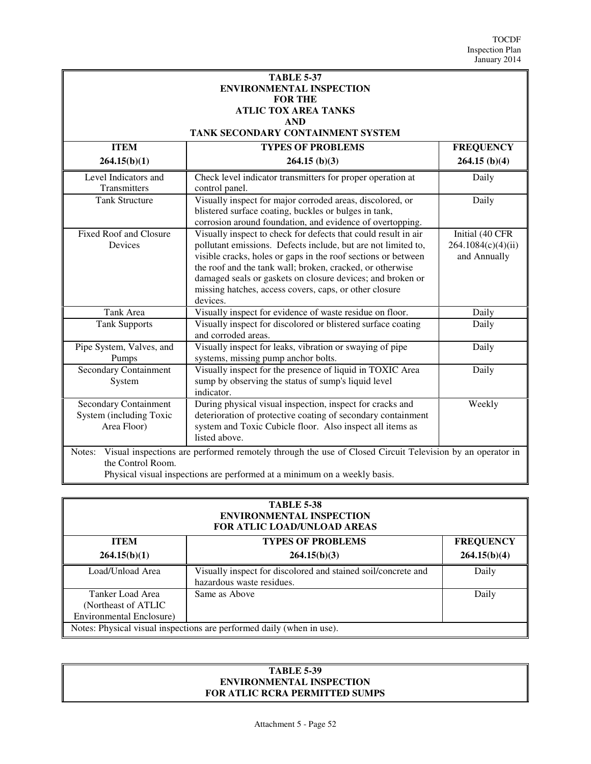| <b>TABLE 5-37</b>               |
|---------------------------------|
| <b>ENVIRONMENTAL INSPECTION</b> |
| <b>FOR THE</b>                  |
| ATLIC TOX AREA TANKS            |
| <b>AND</b>                      |

## **TANK SECONDARY CONTAINMENT SYSTEM**

| <b>ITEM</b>                                                                                                                             | <b>TYPES OF PROBLEMS</b>                                                                                                                                                                                                                                                                                                                                                                          | <b>FREQUENCY</b>                                      |
|-----------------------------------------------------------------------------------------------------------------------------------------|---------------------------------------------------------------------------------------------------------------------------------------------------------------------------------------------------------------------------------------------------------------------------------------------------------------------------------------------------------------------------------------------------|-------------------------------------------------------|
| 264.15(b)(1)                                                                                                                            | $264.15$ (b)(3)                                                                                                                                                                                                                                                                                                                                                                                   | $264.15$ (b)(4)                                       |
| Level Indicators and<br>Transmitters                                                                                                    | Check level indicator transmitters for proper operation at<br>control panel.                                                                                                                                                                                                                                                                                                                      | Daily                                                 |
| <b>Tank Structure</b>                                                                                                                   | Visually inspect for major corroded areas, discolored, or<br>blistered surface coating, buckles or bulges in tank,<br>corrosion around foundation, and evidence of overtopping.                                                                                                                                                                                                                   | Daily                                                 |
| <b>Fixed Roof and Closure</b><br>Devices                                                                                                | Visually inspect to check for defects that could result in air<br>pollutant emissions. Defects include, but are not limited to,<br>visible cracks, holes or gaps in the roof sections or between<br>the roof and the tank wall; broken, cracked, or otherwise<br>damaged seals or gaskets on closure devices; and broken or<br>missing hatches, access covers, caps, or other closure<br>devices. | Initial (40 CFR<br>264.1084(c)(4)(ii)<br>and Annually |
| Tank Area                                                                                                                               | Visually inspect for evidence of waste residue on floor.                                                                                                                                                                                                                                                                                                                                          | Daily                                                 |
| <b>Tank Supports</b>                                                                                                                    | Visually inspect for discolored or blistered surface coating<br>and corroded areas.                                                                                                                                                                                                                                                                                                               | Daily                                                 |
| Pipe System, Valves, and<br>Pumps                                                                                                       | Visually inspect for leaks, vibration or swaying of pipe<br>systems, missing pump anchor bolts.                                                                                                                                                                                                                                                                                                   | Daily                                                 |
| <b>Secondary Containment</b><br>System                                                                                                  | Visually inspect for the presence of liquid in TOXIC Area<br>sump by observing the status of sump's liquid level<br>indicator.                                                                                                                                                                                                                                                                    | Daily                                                 |
| <b>Secondary Containment</b><br>System (including Toxic<br>Area Floor)                                                                  | During physical visual inspection, inspect for cracks and<br>deterioration of protective coating of secondary containment<br>system and Toxic Cubicle floor. Also inspect all items as<br>listed above.                                                                                                                                                                                           | Weekly                                                |
| Visual inspections are performed remotely through the use of Closed Circuit Television by an operator in<br>Notes:<br>the Control Room. |                                                                                                                                                                                                                                                                                                                                                                                                   |                                                       |

Physical visual inspections are performed at a minimum on a weekly basis.

#### **TABLE 5-38 ENVIRONMENTAL INSPECTION FOR ATLIC LOAD/UNLOAD AREAS**

| <b>ITEM</b>                                                                  | <b>TYPES OF PROBLEMS</b>                                                                   | <b>FREQUENCY</b> |  |  |
|------------------------------------------------------------------------------|--------------------------------------------------------------------------------------------|------------------|--|--|
| 264.15(b)(1)                                                                 | 264.15(b)(3)                                                                               | 264.15(b)(4)     |  |  |
| Load/Unload Area                                                             | Visually inspect for discolored and stained soil/concrete and<br>hazardous waste residues. | Daily            |  |  |
| Tanker Load Area<br>(Northeast of ATLIC)<br><b>Environmental Enclosure</b> ) | Same as Above                                                                              | Daily            |  |  |
| Notes: Physical visual inspections are performed daily (when in use).        |                                                                                            |                  |  |  |

#### **TABLE 5-39 ENVIRONMENTAL INSPECTION FOR ATLIC RCRA PERMITTED SUMPS**